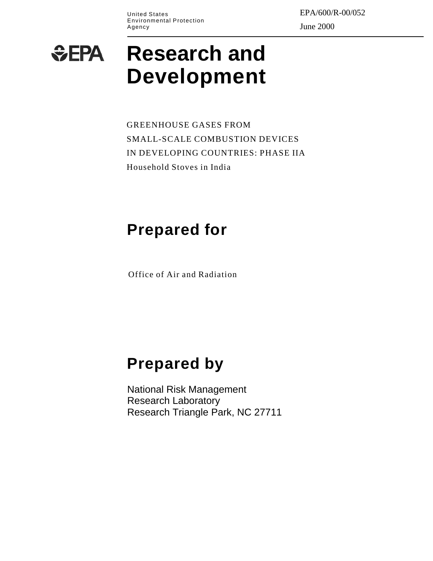Environmental Protection Agency June 2000

United States  $\rm{EPA/600/R\text{-}00/052}$ 

# **Research and**   $E$ EPA **Development**

GREENHOUSE GASES FROM SMALL-SCALE COMBUSTION DEVICES IN DEVELOPING COUNTRIES: PHASE IIA Household Stoves in India

# **Prepared for**

Office of Air and Radiation

# **Prepared by**

National Risk Management Research Laboratory Research Triangle Park, NC 27711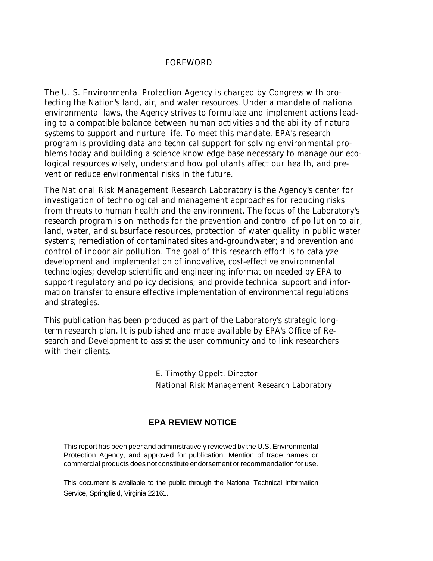# FOREWORD

The U. S. Environmental Protection Agency is charged by Congress with protecting the Nation's land, air, and water resources. Under a mandate of national environmental laws, the Agency strives to formulate and implement actions leading to a compatible balance between human activities and the ability of natural systems to support and nurture life. To meet this mandate, EPA's research program is providing data and technical support for solving environmental problems today and building a science knowledge base necessary to manage our ecological resources wisely, understand how pollutants affect our health, and prevent or reduce environmental risks in the future.

The National Risk Management Research Laboratory is the Agency's center for investigation of technological and management approaches for reducing risks from threats to human health and the environment. The focus of the Laboratory's research program is on methods for the prevention and control of pollution to air, land, water, and subsurface resources, protection of water quality in public water systems; remediation of contaminated sites and-groundwater; and prevention and control of indoor air pollution. The goal of this research effort is to catalyze development and implementation of innovative, cost-effective environmental technologies; develop scientific and engineering information needed by EPA to support regulatory and policy decisions; and provide technical support and information transfer to ensure effective implementation of environmental regulations and strategies.

This publication has been produced as part of the Laboratory's strategic longterm research plan. It is published and made available by EPA's Office of Research and Development to assist the user community and to link researchers with their clients.

> E. Timothy Oppelt, Director National Risk Management Research Laboratory

# **EPA REVIEW NOTICE**

This report has been peer and administratively reviewed by the U.S. Environmental Protection Agency, and approved for publication. Mention of trade names or commercial products does not constitute endorsement or recommendation for use.

This document is available to the public through the National Technical Information Service, Springfield, Virginia 22161.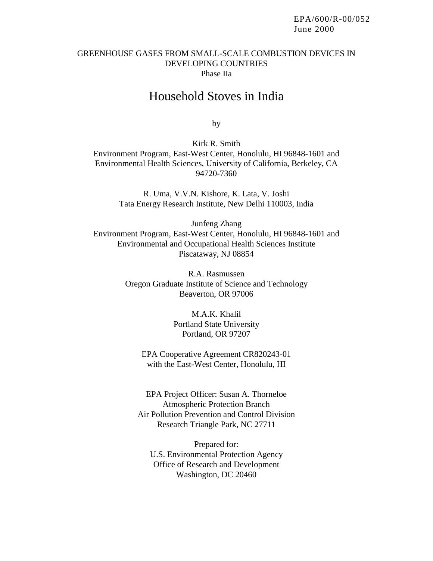## GREENHOUSE GASES FROM SMALL-SCALE COMBUSTION DEVICES IN DEVELOPING COUNTRIES Phase IIa

# Household Stoves in India

by

Kirk R. Smith Environment Program, East-West Center, Honolulu, HI 96848-1601 and Environmental Health Sciences, University of California, Berkeley, CA 94720-7360

> R. Uma, V.V.N. Kishore, K. Lata, V. Joshi Tata Energy Research Institute, New Delhi 110003, India

Junfeng Zhang Environment Program, East-West Center, Honolulu, HI 96848-1601 and Environmental and Occupational Health Sciences Institute Piscataway, NJ 08854

> R.A. Rasmussen Oregon Graduate Institute of Science and Technology Beaverton, OR 97006

> > M.A.K. Khalil Portland State University Portland, OR 97207

EPA Cooperative Agreement CR820243-01 with the East-West Center, Honolulu, HI

EPA Project Officer: Susan A. Thorneloe Atmospheric Protection Branch Air Pollution Prevention and Control Division Research Triangle Park, NC 27711

Prepared for: U.S. Environmental Protection Agency Office of Research and Development Washington, DC 20460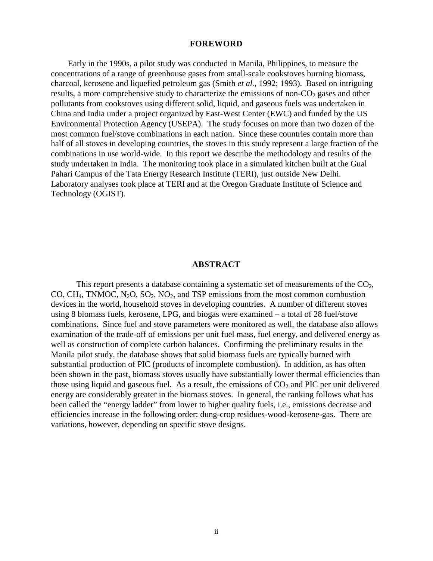#### **FOREWORD**

Early in the 1990s, a pilot study was conducted in Manila, Philippines, to measure the concentrations of a range of greenhouse gases from small-scale cookstoves burning biomass, charcoal, kerosene and liquefied petroleum gas (Smith *et al.*, 1992; 1993). Based on intriguing results, a more comprehensive study to characterize the emissions of non- $CO<sub>2</sub>$  gases and other pollutants from cookstoves using different solid, liquid, and gaseous fuels was undertaken in China and India under a project organized by East-West Center (EWC) and funded by the US Environmental Protection Agency (USEPA). The study focuses on more than two dozen of the most common fuel/stove combinations in each nation. Since these countries contain more than half of all stoves in developing countries, the stoves in this study represent a large fraction of the combinations in use world-wide. In this report we describe the methodology and results of the study undertaken in India. The monitoring took place in a simulated kitchen built at the Gual Pahari Campus of the Tata Energy Research Institute (TERI), just outside New Delhi. Laboratory analyses took place at TERI and at the Oregon Graduate Institute of Science and Technology (OGIST).

#### **ABSTRACT**

This report presents a database containing a systematic set of measurements of the  $CO<sub>2</sub>$ , CO, CH<sub>4</sub>, TNMOC,  $N_2O$ ,  $SO_2$ ,  $NO_2$ , and TSP emissions from the most common combustion devices in the world, household stoves in developing countries. A number of different stoves using 8 biomass fuels, kerosene, LPG, and biogas were examined – a total of 28 fuel/stove combinations. Since fuel and stove parameters were monitored as well, the database also allows examination of the trade-off of emissions per unit fuel mass, fuel energy, and delivered energy as well as construction of complete carbon balances. Confirming the preliminary results in the Manila pilot study, the database shows that solid biomass fuels are typically burned with substantial production of PIC (products of incomplete combustion). In addition, as has often been shown in the past, biomass stoves usually have substantially lower thermal efficiencies than those using liquid and gaseous fuel. As a result, the emissions of  $CO<sub>2</sub>$  and PIC per unit delivered energy are considerably greater in the biomass stoves. In general, the ranking follows what has been called the "energy ladder" from lower to higher quality fuels, i.e., emissions decrease and efficiencies increase in the following order: dung-crop residues-wood-kerosene-gas. There are variations, however, depending on specific stove designs.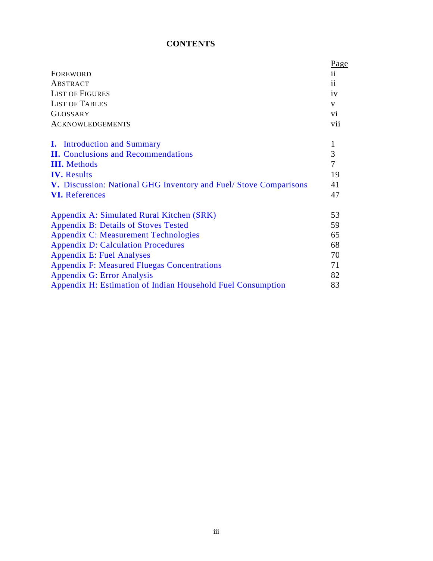#### **CONTENTS**

|                                                                         | <u>Page</u>     |
|-------------------------------------------------------------------------|-----------------|
| FOREWORD                                                                | $\overline{11}$ |
| ABSTRACT                                                                | 11              |
| <b>LIST OF FIGURES</b>                                                  | iv              |
| <b>LIST OF TABLES</b>                                                   | V               |
| <b>GLOSSARY</b>                                                         | V <sub>i</sub>  |
| <b>ACKNOWLEDGEMENTS</b>                                                 | vii             |
| <b>I.</b> Introduction and Summary                                      | 1               |
| <b>II.</b> Conclusions and Recommendations                              | 3               |
| <b>III.</b> Methods                                                     | $\overline{7}$  |
| <b>IV.</b> Results                                                      | 19              |
| <b>V.</b> Discussion: National GHG Inventory and Fuel/Stove Comparisons | 41              |
| <b>VI.</b> References                                                   | 47              |
| Appendix A: Simulated Rural Kitchen (SRK)                               | 53              |
| <b>Appendix B: Details of Stoves Tested</b>                             | 59              |
| <b>Appendix C: Measurement Technologies</b>                             | 65              |
| <b>Appendix D: Calculation Procedures</b>                               | 68              |
| <b>Appendix E: Fuel Analyses</b>                                        | 70              |
| <b>Appendix F: Measured Fluegas Concentrations</b>                      | 71              |
| Appendix G: Error Analysis                                              | 82              |
| Appendix H: Estimation of Indian Household Fuel Consumption             | 83              |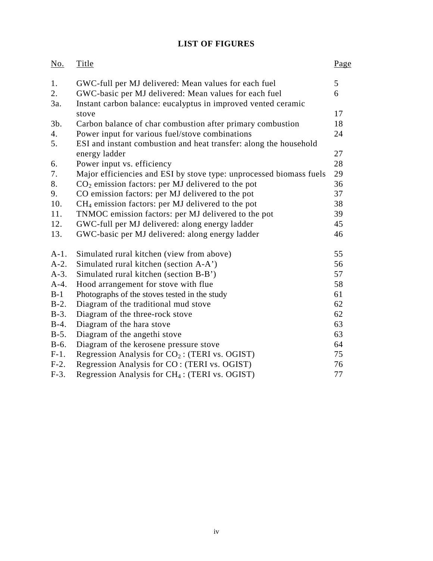# **LIST OF FIGURES**

| $\underline{\mathrm{No}}$ . | <b>Title</b>                                                        | Page |
|-----------------------------|---------------------------------------------------------------------|------|
| 1.                          | GWC-full per MJ delivered: Mean values for each fuel                | 5    |
| 2.                          | GWC-basic per MJ delivered: Mean values for each fuel               | 6    |
| 3a.                         | Instant carbon balance: eucalyptus in improved vented ceramic       |      |
|                             | stove                                                               | 17   |
| 3b.                         | Carbon balance of char combustion after primary combustion          | 18   |
| 4.                          | Power input for various fuel/stove combinations                     | 24   |
| 5.                          | ESI and instant combustion and heat transfer: along the household   |      |
|                             | energy ladder                                                       | 27   |
| 6.                          | Power input vs. efficiency                                          | 28   |
| 7.                          | Major efficiencies and ESI by stove type: unprocessed biomass fuels | 29   |
| 8.                          | $CO2$ emission factors: per MJ delivered to the pot                 | 36   |
| 9.                          | CO emission factors: per MJ delivered to the pot                    | 37   |
| 10.                         | $CH4$ emission factors: per MJ delivered to the pot                 | 38   |
| 11.                         | TNMOC emission factors: per MJ delivered to the pot                 | 39   |
| 12.                         | GWC-full per MJ delivered: along energy ladder                      | 45   |
| 13.                         | GWC-basic per MJ delivered: along energy ladder                     | 46   |
| $A-1$ .                     | Simulated rural kitchen (view from above)                           | 55   |
| $A-2.$                      | Simulated rural kitchen (section A-A')                              | 56   |
| $A-3$ .                     | Simulated rural kitchen (section B-B')                              | 57   |
| $A-4.$                      | Hood arrangement for stove with flue                                | 58   |
| $B-1$                       | Photographs of the stoves tested in the study                       | 61   |
| $B-2$ .                     | Diagram of the traditional mud stove                                | 62   |
| $B-3$ .                     | Diagram of the three-rock stove                                     | 62   |
| $B-4.$                      | Diagram of the hara stove                                           | 63   |
| $B-5$ .                     | Diagram of the angethi stove                                        | 63   |
| $B-6.$                      | Diagram of the kerosene pressure stove                              | 64   |
| $F-1.$                      | Regression Analysis for $CO_2$ : (TERI vs. OGIST)                   | 75   |
| $F-2.$                      | Regression Analysis for CO: (TERI vs. OGIST)                        | 76   |
| $F-3$ .                     | Regression Analysis for CH <sub>4</sub> : (TERI vs. OGIST)          | 77   |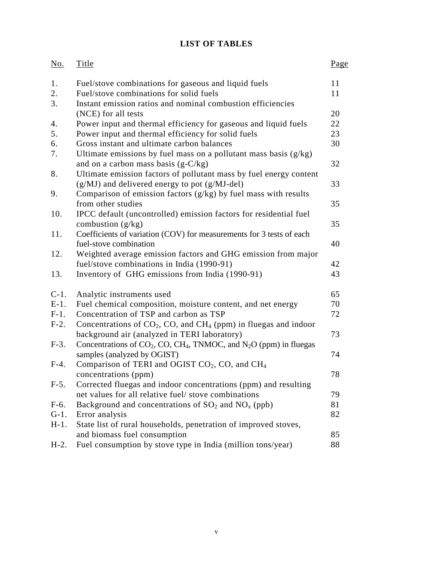#### **LIST OF TABLES**

| <u>No.</u> | Title                                                                                         | Page |
|------------|-----------------------------------------------------------------------------------------------|------|
| 1.         | Fuel/stove combinations for gaseous and liquid fuels                                          | 11   |
| 2.         | Fuel/stove combinations for solid fuels                                                       | 11   |
| 3.         | Instant emission ratios and nominal combustion efficiencies                                   |      |
|            | (NCE) for all tests                                                                           | 20   |
| 4.         | Power input and thermal efficiency for gaseous and liquid fuels                               | 22   |
| 5.         | Power input and thermal efficiency for solid fuels                                            | 23   |
| 6.         | Gross instant and ultimate carbon balances                                                    | 30   |
| 7.         | Ultimate emissions by fuel mass on a pollutant mass basis $(g/kg)$                            |      |
|            | and on a carbon mass basis $(g-C/kg)$                                                         | 32   |
| 8.         | Ultimate emission factors of pollutant mass by fuel energy content                            |      |
|            | $(g/MJ)$ and delivered energy to pot $(g/MJ$ -del)                                            | 33   |
| 9.         | Comparison of emission factors $(g/kg)$ by fuel mass with results<br>from other studies       |      |
|            |                                                                                               | 35   |
| 10.        | IPCC default (uncontrolled) emission factors for residential fuel                             | 35   |
| 11.        | combustion $(g/kg)$<br>Coefficients of variation (COV) for measurements for 3 tests of each   |      |
|            | fuel-stove combination                                                                        | 40   |
| 12.        | Weighted average emission factors and GHG emission from major                                 |      |
|            | fuel/stove combinations in India (1990-91)                                                    | 42   |
| 13.        | Inventory of GHG emissions from India (1990-91)                                               | 43   |
|            |                                                                                               |      |
| $C-1$ .    | Analytic instruments used                                                                     | 65   |
| $E-1$ .    | Fuel chemical composition, moisture content, and net energy                                   | 70   |
| $F-1$ .    | Concentration of TSP and carbon as TSP                                                        | 72   |
| $F-2$ .    | Concentrations of $CO_2$ , CO, and CH <sub>4</sub> (ppm) in fluegas and indoor                |      |
|            | background air (analyzed in TERI laboratory)                                                  | 73   |
| $F-3$ .    | Concentrations of $CO_2$ , CO, CH <sub>4</sub> , TNMOC, and N <sub>2</sub> O (ppm) in fluegas |      |
|            | samples (analyzed by OGIST)                                                                   | 74   |
| $F-4.$     | Comparison of TERI and OGIST $CO2$ , CO, and CH <sub>4</sub>                                  |      |
|            | concentrations (ppm)                                                                          | 78   |
| $F-5$ .    | Corrected fluegas and indoor concentrations (ppm) and resulting                               |      |
|            | net values for all relative fuel/ stove combinations                                          | 79   |
| $F-6.$     | Background and concentrations of $SO_2$ and $NO_x$ (ppb)                                      | 81   |
| $G-1$ .    | Error analysis                                                                                | 82   |
| $H-1.$     | State list of rural households, penetration of improved stoves,                               |      |
|            | and biomass fuel consumption                                                                  | 85   |
| $H-2$ .    | Fuel consumption by stove type in India (million tons/year)                                   | 88   |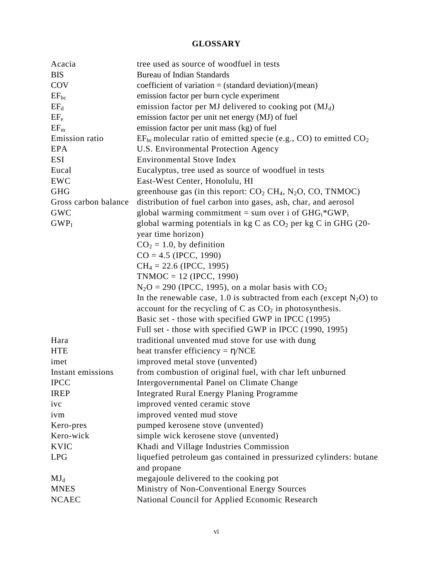#### **GLOSSARY**

| Acacia               | tree used as source of woodfuel in tests                                 |
|----------------------|--------------------------------------------------------------------------|
| <b>BIS</b>           | <b>Bureau of Indian Standards</b>                                        |
| COV                  | coefficient of variation = $(\text{standard deviation})/(\text{mean})$   |
| $EF_{bc}$            | emission factor per burn cycle experiment                                |
| $EF_{d}$             | emission factor per MJ delivered to cooking pot $(MJ_d)$                 |
| $EF_e$               | emission factor per unit net energy (MJ) of fuel                         |
| $EF_m$               | emission factor per unit mass (kg) of fuel                               |
| Emission ratio       | $EF_{bc}$ molecular ratio of emitted specie (e.g., CO) to emitted $CO2$  |
| <b>EPA</b>           | U.S. Environmental Protection Agency                                     |
| <b>ESI</b>           | <b>Environmental Stove Index</b>                                         |
| Eucal                | Eucalyptus, tree used as source of woodfuel in tests                     |
| <b>EWC</b>           | East-West Center, Honolulu, HI                                           |
| <b>GHG</b>           | greenhouse gas (in this report: $CO2 CH4$ , N <sub>2</sub> O, CO, TNMOC) |
| Gross carbon balance | distribution of fuel carbon into gases, ash, char, and aerosol           |
| <b>GWC</b>           | global warming commitment = sum over i of $GHG_i*GWP_i$                  |
| $GWP_I$              | global warming potentials in $kg C$ as $CO2$ per kg C in GHG (20-        |
|                      | year time horizon)                                                       |
|                      | $CO2 = 1.0$ , by definition                                              |
|                      | $CO = 4.5$ (IPCC, 1990)                                                  |
|                      | $CH_4 = 22.6$ (IPCC, 1995)                                               |
|                      | $TNMOC = 12$ (IPCC, 1990)                                                |
|                      | $N_2O = 290$ (IPCC, 1995), on a molar basis with $CO_2$                  |
|                      | In the renewable case, 1.0 is subtracted from each (except $N_2O$ ) to   |
|                      | account for the recycling of C as $CO2$ in photosynthesis.               |
|                      | Basic set - those with specified GWP in IPCC (1995)                      |
|                      | Full set - those with specified GWP in IPCC (1990, 1995)                 |
| Hara                 | traditional unvented mud stove for use with dung                         |
| <b>HTE</b>           | heat transfer efficiency = $\eta$ /NCE                                   |
| imet                 | improved metal stove (unvented)                                          |
| Instant emissions    | from combustion of original fuel, with char left unburned                |
| <b>IPCC</b>          | Intergovernmental Panel on Climate Change                                |
| <b>IREP</b>          | <b>Integrated Rural Energy Planing Programme</b>                         |
| ivc                  | improved vented ceramic stove                                            |
| ivm                  | improved vented mud stove                                                |
| Kero-pres            | pumped kerosene stove (unvented)                                         |
| Kero-wick            | simple wick kerosene stove (unvented)                                    |
| <b>KVIC</b>          | Khadi and Village Industries Commission                                  |
| <b>LPG</b>           | liquefied petroleum gas contained in pressurized cylinders: butane       |
|                      | and propane                                                              |
| $MJ_d$               | megajoule delivered to the cooking pot                                   |
| <b>MNES</b>          | Ministry of Non-Conventional Energy Sources                              |
| <b>NCAEC</b>         | National Council for Applied Economic Research                           |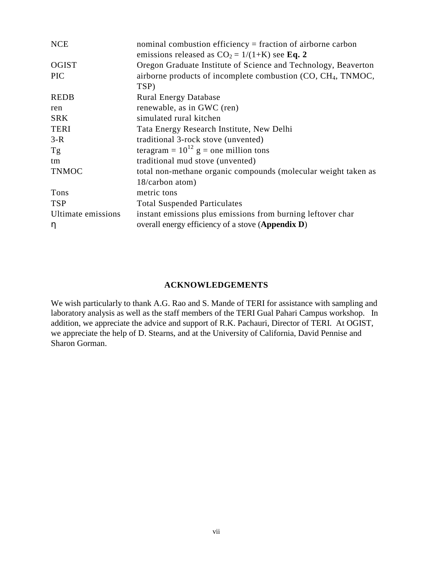| <b>NCE</b>         | nominal combustion efficiency = fraction of airborne carbon<br>emissions released as $CO_2 = 1/(1+K)$ see Eq. 2 |
|--------------------|-----------------------------------------------------------------------------------------------------------------|
| <b>OGIST</b>       | Oregon Graduate Institute of Science and Technology, Beaverton                                                  |
| <b>PIC</b>         | airborne products of incomplete combustion (CO, CH <sub>4</sub> , TNMOC,                                        |
|                    | TSP)                                                                                                            |
| <b>REDB</b>        | <b>Rural Energy Database</b>                                                                                    |
| ren                | renewable, as in GWC (ren)                                                                                      |
| <b>SRK</b>         | simulated rural kitchen                                                                                         |
| <b>TERI</b>        | Tata Energy Research Institute, New Delhi                                                                       |
| $3-R$              | traditional 3-rock stove (unvented)                                                                             |
| Tg                 | teragram = $10^{12}$ g = one million tons                                                                       |
| tm                 | traditional mud stove (unvented)                                                                                |
| <b>TNMOC</b>       | total non-methane organic compounds (molecular weight taken as                                                  |
|                    | 18/carbon atom)                                                                                                 |
| Tons               | metric tons                                                                                                     |
| <b>TSP</b>         | <b>Total Suspended Particulates</b>                                                                             |
| Ultimate emissions | instant emissions plus emissions from burning leftover char                                                     |
| η                  | overall energy efficiency of a stove (Appendix D)                                                               |

# **ACKNOWLEDGEMENTS**

We wish particularly to thank A.G. Rao and S. Mande of TERI for assistance with sampling and laboratory analysis as well as the staff members of the TERI Gual Pahari Campus workshop. In addition, we appreciate the advice and support of R.K. Pachauri, Director of TERI. At OGIST, we appreciate the help of D. Stearns, and at the University of California, David Pennise and Sharon Gorman.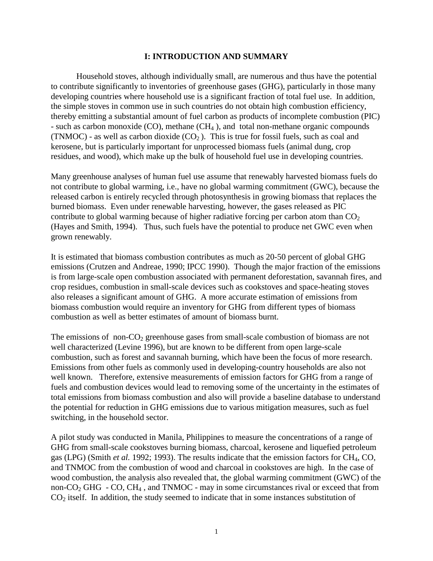#### **I: INTRODUCTION AND SUMMARY**

Household stoves, although individually small, are numerous and thus have the potential to contribute significantly to inventories of greenhouse gases (GHG), particularly in those many developing countries where household use is a significant fraction of total fuel use. In addition, the simple stoves in common use in such countries do not obtain high combustion efficiency, thereby emitting a substantial amount of fuel carbon as products of incomplete combustion (PIC) - such as carbon monoxide  $(CO)$ , methane  $(CH<sub>4</sub>)$ , and total non-methane organic compounds (TNMOC) - as well as carbon dioxide  $(CO<sub>2</sub>)$ . This is true for fossil fuels, such as coal and kerosene, but is particularly important for unprocessed biomass fuels (animal dung, crop residues, and wood), which make up the bulk of household fuel use in developing countries.

Many greenhouse analyses of human fuel use assume that renewably harvested biomass fuels do not contribute to global warming, i.e., have no global warming commitment (GWC), because the released carbon is entirely recycled through photosynthesis in growing biomass that replaces the burned biomass. Even under renewable harvesting, however, the gases released as PIC contribute to global warming because of higher radiative forcing per carbon atom than  $CO<sub>2</sub>$ (Hayes and Smith, 1994). Thus, such fuels have the potential to produce net GWC even when grown renewably.

It is estimated that biomass combustion contributes as much as 20-50 percent of global GHG emissions (Crutzen and Andreae, 1990; IPCC 1990). Though the major fraction of the emissions is from large-scale open combustion associated with permanent deforestation, savannah fires, and crop residues, combustion in small-scale devices such as cookstoves and space-heating stoves also releases a significant amount of GHG. A more accurate estimation of emissions from biomass combustion would require an inventory for GHG from different types of biomass combustion as well as better estimates of amount of biomass burnt.

The emissions of non- $CO<sub>2</sub>$  greenhouse gases from small-scale combustion of biomass are not well characterized (Levine 1996), but are known to be different from open large-scale combustion, such as forest and savannah burning, which have been the focus of more research. Emissions from other fuels as commonly used in developing-country households are also not well known. Therefore, extensive measurements of emission factors for GHG from a range of fuels and combustion devices would lead to removing some of the uncertainty in the estimates of total emissions from biomass combustion and also will provide a baseline database to understand the potential for reduction in GHG emissions due to various mitigation measures, such as fuel switching, in the household sector.

A pilot study was conducted in Manila, Philippines to measure the concentrations of a range of GHG from small-scale cookstoves burning biomass, charcoal, kerosene and liquefied petroleum gas (LPG) (Smith *et al.* 1992; 1993). The results indicate that the emission factors for CH4, CO, and TNMOC from the combustion of wood and charcoal in cookstoves are high. In the case of wood combustion, the analysis also revealed that, the global warming commitment (GWC) of the non- $CO<sub>2</sub>$  GHG - CO, CH<sub>4</sub>, and TNMOC - may in some circumstances rival or exceed that from  $CO<sub>2</sub>$  itself. In addition, the study seemed to indicate that in some instances substitution of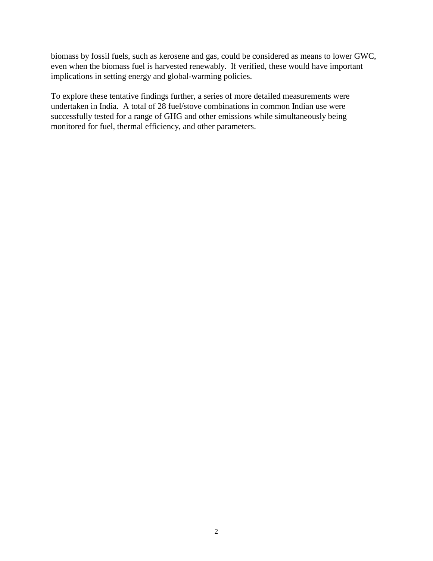biomass by fossil fuels, such as kerosene and gas, could be considered as means to lower GWC, even when the biomass fuel is harvested renewably. If verified, these would have important implications in setting energy and global-warming policies.

To explore these tentative findings further, a series of more detailed measurements were undertaken in India. A total of 28 fuel/stove combinations in common Indian use were successfully tested for a range of GHG and other emissions while simultaneously being monitored for fuel, thermal efficiency, and other parameters.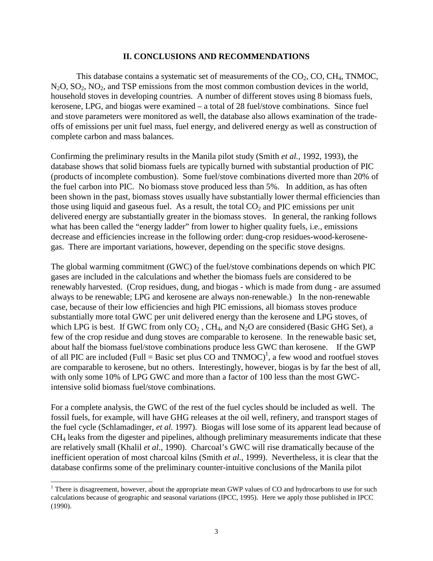#### **II. CONCLUSIONS AND RECOMMENDATIONS**

This database contains a systematic set of measurements of the  $CO<sub>2</sub>$ , CO, CH<sub>4</sub>, TNMOC,  $N<sub>2</sub>O$ ,  $SO<sub>2</sub>$ ,  $NO<sub>2</sub>$ , and TSP emissions from the most common combustion devices in the world, household stoves in developing countries. A number of different stoves using 8 biomass fuels, kerosene, LPG, and biogas were examined – a total of 28 fuel/stove combinations. Since fuel and stove parameters were monitored as well, the database also allows examination of the tradeoffs of emissions per unit fuel mass, fuel energy, and delivered energy as well as construction of complete carbon and mass balances.

Confirming the preliminary results in the Manila pilot study (Smith *et al.*, 1992, 1993), the database shows that solid biomass fuels are typically burned with substantial production of PIC (products of incomplete combustion). Some fuel/stove combinations diverted more than 20% of the fuel carbon into PIC. No biomass stove produced less than 5%. In addition, as has often been shown in the past, biomass stoves usually have substantially lower thermal efficiencies than those using liquid and gaseous fuel. As a result, the total  $CO<sub>2</sub>$  and PIC emissions per unit delivered energy are substantially greater in the biomass stoves. In general, the ranking follows what has been called the "energy ladder" from lower to higher quality fuels, i.e., emissions decrease and efficiencies increase in the following order: dung-crop residues-wood-kerosenegas. There are important variations, however, depending on the specific stove designs.

The global warming commitment (GWC) of the fuel/stove combinations depends on which PIC gases are included in the calculations and whether the biomass fuels are considered to be renewably harvested. (Crop residues, dung, and biogas - which is made from dung - are assumed always to be renewable; LPG and kerosene are always non-renewable.) In the non-renewable case, because of their low efficiencies and high PIC emissions, all biomass stoves produce substantially more total GWC per unit delivered energy than the kerosene and LPG stoves, of which LPG is best. If GWC from only  $CO<sub>2</sub>$ , CH<sub>4</sub>, and N<sub>2</sub>O are considered (Basic GHG Set), a few of the crop residue and dung stoves are comparable to kerosene. In the renewable basic set, about half the biomass fuel/stove combinations produce less GWC than kerosene. If the GWP of all PIC are included (Full = Basic set plus CO and  $TMMOC$ <sup>1</sup>, a few wood and rootfuel stoves are comparable to kerosene, but no others. Interestingly, however, biogas is by far the best of all, with only some 10% of LPG GWC and more than a factor of 100 less than the most GWCintensive solid biomass fuel/stove combinations.

For a complete analysis, the GWC of the rest of the fuel cycles should be included as well. The fossil fuels, for example, will have GHG releases at the oil well, refinery, and transport stages of the fuel cycle (Schlamadinger, *et al.* 1997). Biogas will lose some of its apparent lead because of CH4 leaks from the digester and pipelines, although preliminary measurements indicate that these are relatively small (Khalil *et al.*, 1990). Charcoal's GWC will rise dramatically because of the inefficient operation of most charcoal kilns (Smith *et al.*, 1999). Nevertheless, it is clear that the database confirms some of the preliminary counter-intuitive conclusions of the Manila pilot

 $1$  There is disagreement, however, about the appropriate mean GWP values of CO and hydrocarbons to use for such calculations because of geographic and seasonal variations (IPCC, 1995). Here we apply those published in IPCC (1990).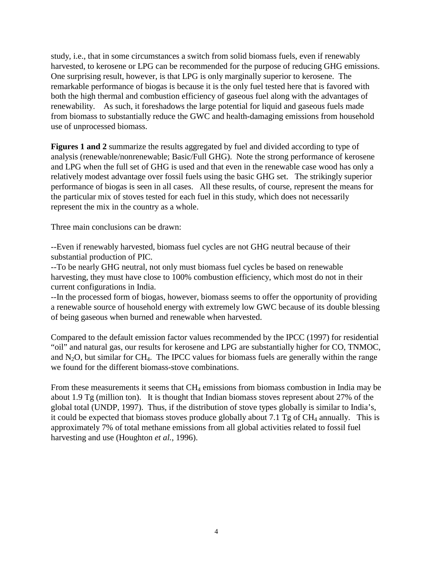study, i.e., that in some circumstances a switch from solid biomass fuels, even if renewably harvested, to kerosene or LPG can be recommended for the purpose of reducing GHG emissions. One surprising result, however, is that LPG is only marginally superior to kerosene. The remarkable performance of biogas is because it is the only fuel tested here that is favored with both the high thermal and combustion efficiency of gaseous fuel along with the advantages of renewability. As such, it foreshadows the large potential for liquid and gaseous fuels made from biomass to substantially reduce the GWC and health-damaging emissions from household use of unprocessed biomass.

**Figures 1 and 2** summarize the results aggregated by fuel and divided according to type of analysis (renewable/nonrenewable; Basic/Full GHG). Note the strong performance of kerosene and LPG when the full set of GHG is used and that even in the renewable case wood has only a relatively modest advantage over fossil fuels using the basic GHG set. The strikingly superior performance of biogas is seen in all cases. All these results, of course, represent the means for the particular mix of stoves tested for each fuel in this study, which does not necessarily represent the mix in the country as a whole.

Three main conclusions can be drawn:

--Even if renewably harvested, biomass fuel cycles are not GHG neutral because of their substantial production of PIC.

--To be nearly GHG neutral, not only must biomass fuel cycles be based on renewable harvesting, they must have close to 100% combustion efficiency, which most do not in their current configurations in India.

--In the processed form of biogas, however, biomass seems to offer the opportunity of providing a renewable source of household energy with extremely low GWC because of its double blessing of being gaseous when burned and renewable when harvested.

Compared to the default emission factor values recommended by the IPCC (1997) for residential "oil" and natural gas, our results for kerosene and LPG are substantially higher for CO, TNMOC, and  $N_2O$ , but similar for CH<sub>4</sub>. The IPCC values for biomass fuels are generally within the range we found for the different biomass-stove combinations.

From these measurements it seems that CH<sub>4</sub> emissions from biomass combustion in India may be about 1.9 Tg (million ton). It is thought that Indian biomass stoves represent about 27% of the global total (UNDP, 1997). Thus, if the distribution of stove types globally is similar to India's, it could be expected that biomass stoves produce globally about 7.1 Tg of  $CH_4$  annually. This is approximately 7% of total methane emissions from all global activities related to fossil fuel harvesting and use (Houghton *et al.*, 1996).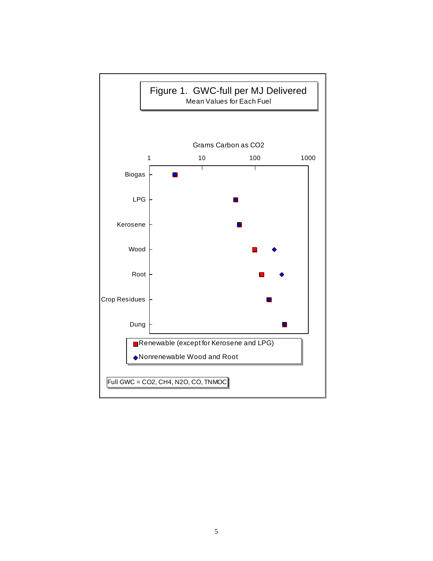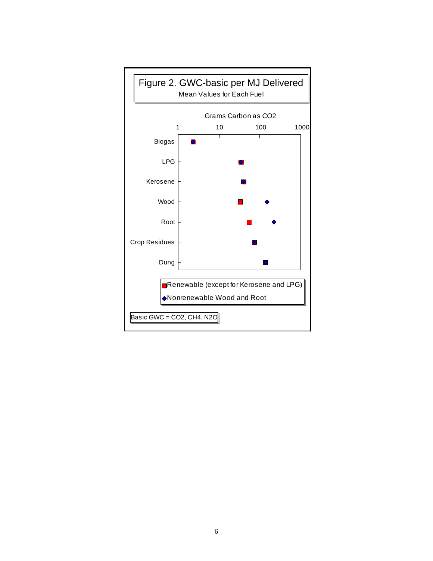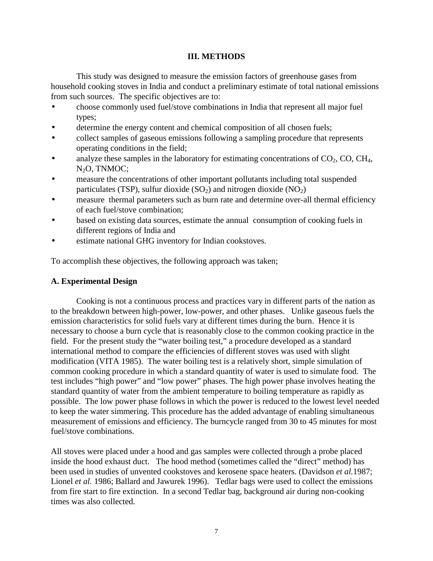### **III. METHODS**

This study was designed to measure the emission factors of greenhouse gases from household cooking stoves in India and conduct a preliminary estimate of total national emissions from such sources. The specific objectives are to:

- choose commonly used fuel/stove combinations in India that represent all major fuel types;
- determine the energy content and chemical composition of all chosen fuels;
- collect samples of gaseous emissions following a sampling procedure that represents operating conditions in the field;
- analyze these samples in the laboratory for estimating concentrations of  $CO<sub>2</sub>$ , CO, CH<sub>4</sub>, N2O, TNMOC;
- measure the concentrations of other important pollutants including total suspended particulates (TSP), sulfur dioxide  $(SO_2)$  and nitrogen dioxide  $(NO_2)$
- measure thermal parameters such as burn rate and determine over-all thermal efficiency of each fuel/stove combination;
- based on existing data sources, estimate the annual consumption of cooking fuels in different regions of India and
- estimate national GHG inventory for Indian cookstoves.

To accomplish these objectives, the following approach was taken;

# **A. Experimental Design**

Cooking is not a continuous process and practices vary in different parts of the nation as to the breakdown between high-power, low-power, and other phases. Unlike gaseous fuels the emission characteristics for solid fuels vary at different times during the burn. Hence it is necessary to choose a burn cycle that is reasonably close to the common cooking practice in the field. For the present study the "water boiling test," a procedure developed as a standard international method to compare the efficiencies of different stoves was used with slight modification (VITA 1985). The water boiling test is a relatively short, simple simulation of common cooking procedure in which a standard quantity of water is used to simulate food. The test includes "high power" and "low power" phases. The high power phase involves heating the standard quantity of water from the ambient temperature to boiling temperature as rapidly as possible. The low power phase follows in which the power is reduced to the lowest level needed to keep the water simmering. This procedure has the added advantage of enabling simultaneous measurement of emissions and efficiency. The burncycle ranged from 30 to 45 minutes for most fuel/stove combinations.

All stoves were placed under a hood and gas samples were collected through a probe placed inside the hood exhaust duct. The hood method (sometimes called the "direct" method) has been used in studies of unvented cookstoves and kerosene space heaters. (Davidson *et al.*1987; Lionel *et al.* 1986; Ballard and Jawurek 1996). Tedlar bags were used to collect the emissions from fire start to fire extinction. In a second Tedlar bag, background air during non-cooking times was also collected.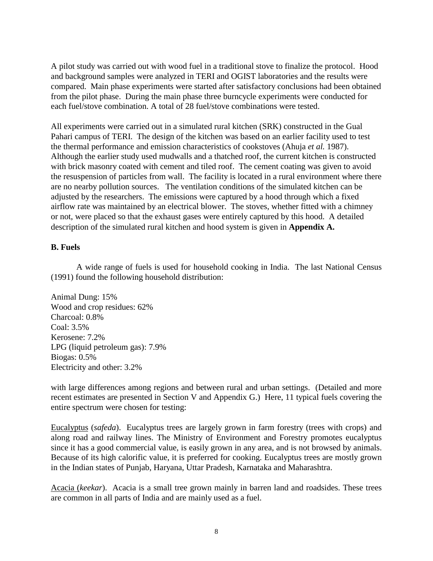A pilot study was carried out with wood fuel in a traditional stove to finalize the protocol. Hood and background samples were analyzed in TERI and OGIST laboratories and the results were compared. Main phase experiments were started after satisfactory conclusions had been obtained from the pilot phase. During the main phase three burncycle experiments were conducted for each fuel/stove combination. A total of 28 fuel/stove combinations were tested.

All experiments were carried out in a simulated rural kitchen (SRK) constructed in the Gual Pahari campus of TERI. The design of the kitchen was based on an earlier facility used to test the thermal performance and emission characteristics of cookstoves (Ahuja *et al.* 1987). Although the earlier study used mudwalls and a thatched roof, the current kitchen is constructed with brick masonry coated with cement and tiled roof. The cement coating was given to avoid the resuspension of particles from wall. The facility is located in a rural environment where there are no nearby pollution sources. The ventilation conditions of the simulated kitchen can be adjusted by the researchers. The emissions were captured by a hood through which a fixed airflow rate was maintained by an electrical blower. The stoves, whether fitted with a chimney or not, were placed so that the exhaust gases were entirely captured by this hood. A detailed description of the simulated rural kitchen and hood system is given in **Appendix A.** 

# **B. Fuels**

A wide range of fuels is used for household cooking in India. The last National Census (1991) found the following household distribution:

Animal Dung: 15% Wood and crop residues: 62% Charcoal: 0.8% Coal: 3.5% Kerosene: 7.2% LPG (liquid petroleum gas): 7.9% Biogas: 0.5% Electricity and other: 3.2%

with large differences among regions and between rural and urban settings. (Detailed and more recent estimates are presented in Section V and Appendix G.) Here, 11 typical fuels covering the entire spectrum were chosen for testing:

Eucalyptus (*safeda*). Eucalyptus trees are largely grown in farm forestry (trees with crops) and along road and railway lines. The Ministry of Environment and Forestry promotes eucalyptus since it has a good commercial value, is easily grown in any area, and is not browsed by animals. Because of its high calorific value, it is preferred for cooking. Eucalyptus trees are mostly grown in the Indian states of Punjab, Haryana, Uttar Pradesh, Karnataka and Maharashtra.

Acacia (*keekar*). Acacia is a small tree grown mainly in barren land and roadsides. These trees are common in all parts of India and are mainly used as a fuel.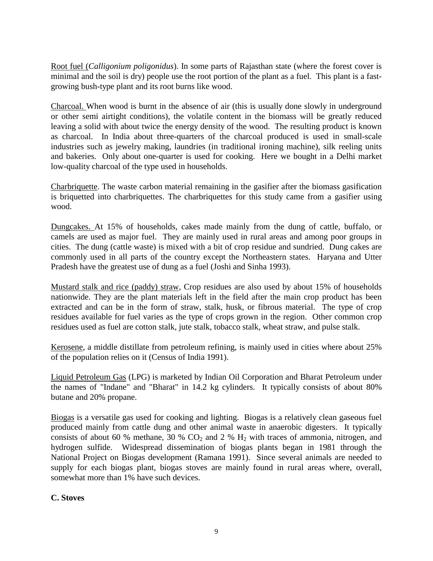Root fuel (*Calligonium poligonidus*). In some parts of Rajasthan state (where the forest cover is minimal and the soil is dry) people use the root portion of the plant as a fuel. This plant is a fastgrowing bush-type plant and its root burns like wood.

Charcoal. When wood is burnt in the absence of air (this is usually done slowly in underground or other semi airtight conditions), the volatile content in the biomass will be greatly reduced leaving a solid with about twice the energy density of the wood. The resulting product is known as charcoal. In India about three-quarters of the charcoal produced is used in small-scale industries such as jewelry making, laundries (in traditional ironing machine), silk reeling units and bakeries. Only about one-quarter is used for cooking. Here we bought in a Delhi market low-quality charcoal of the type used in households.

Charbriquette. The waste carbon material remaining in the gasifier after the biomass gasification is briquetted into charbriquettes. The charbriquettes for this study came from a gasifier using wood.

Dungcakes. At 15% of households, cakes made mainly from the dung of cattle, buffalo, or camels are used as major fuel. They are mainly used in rural areas and among poor groups in cities. The dung (cattle waste) is mixed with a bit of crop residue and sundried. Dung cakes are commonly used in all parts of the country except the Northeastern states. Haryana and Utter Pradesh have the greatest use of dung as a fuel (Joshi and Sinha 1993).

Mustard stalk and rice (paddy) straw, Crop residues are also used by about 15% of households nationwide. They are the plant materials left in the field after the main crop product has been extracted and can be in the form of straw, stalk, husk, or fibrous material. The type of crop residues available for fuel varies as the type of crops grown in the region. Other common crop residues used as fuel are cotton stalk, jute stalk, tobacco stalk, wheat straw, and pulse stalk.

Kerosene, a middle distillate from petroleum refining, is mainly used in cities where about 25% of the population relies on it (Census of India 1991).

Liquid Petroleum Gas (LPG) is marketed by Indian Oil Corporation and Bharat Petroleum under the names of "Indane" and "Bharat" in 14.2 kg cylinders. It typically consists of about 80% butane and 20% propane.

Biogas is a versatile gas used for cooking and lighting. Biogas is a relatively clean gaseous fuel produced mainly from cattle dung and other animal waste in anaerobic digesters. It typically consists of about 60 % methane, 30 %  $CO<sub>2</sub>$  and 2 %  $H<sub>2</sub>$  with traces of ammonia, nitrogen, and hydrogen sulfide. Widespread dissemination of biogas plants began in 1981 through the National Project on Biogas development (Ramana 1991). Since several animals are needed to supply for each biogas plant, biogas stoves are mainly found in rural areas where, overall, somewhat more than 1% have such devices.

# **C. Stoves**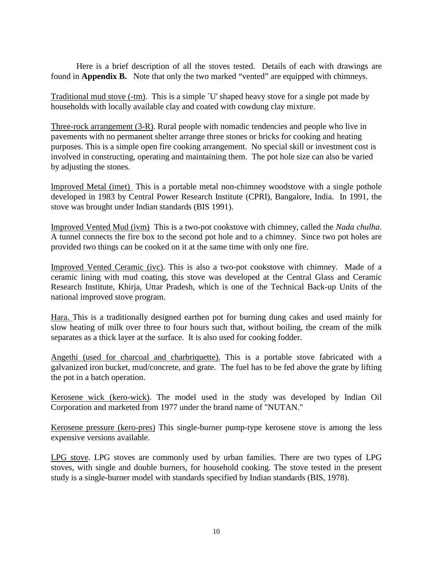Here is a brief description of all the stoves tested. Details of each with drawings are found in **Appendix B.** Note that only the two marked "vented" are equipped with chimneys.

Traditional mud stove (-tm). This is a simple `U' shaped heavy stove for a single pot made by households with locally available clay and coated with cowdung clay mixture.

Three-rock arrangement (3-R). Rural people with nomadic tendencies and people who live in pavements with no permanent shelter arrange three stones or bricks for cooking and heating purposes. This is a simple open fire cooking arrangement. No special skill or investment cost is involved in constructing, operating and maintaining them. The pot hole size can also be varied by adjusting the stones.

Improved Metal (imet) This is a portable metal non-chimney woodstove with a single pothole developed in 1983 by Central Power Research Institute (CPRI), Bangalore, India. In 1991, the stove was brought under Indian standards (BIS 1991).

Improved Vented Mud (ivm) This is a two-pot cookstove with chimney, called the *Nada chulha*. A tunnel connects the fire box to the second pot hole and to a chimney. Since two pot holes are provided two things can be cooked on it at the same time with only one fire.

Improved Vented Ceramic (ivc). This is also a two-pot cookstove with chimney. Made of a ceramic lining with mud coating, this stove was developed at the Central Glass and Ceramic Research Institute, Khirja, Uttar Pradesh, which is one of the Technical Back-up Units of the national improved stove program.

Hara. This is a traditionally designed earthen pot for burning dung cakes and used mainly for slow heating of milk over three to four hours such that, without boiling, the cream of the milk separates as a thick layer at the surface. It is also used for cooking fodder.

Angethi (used for charcoal and charbriquette). This is a portable stove fabricated with a galvanized iron bucket, mud/concrete, and grate. The fuel has to be fed above the grate by lifting the pot in a batch operation.

Kerosene wick (kero-wick). The model used in the study was developed by Indian Oil Corporation and marketed from 1977 under the brand name of "NUTAN."

Kerosene pressure (kero-pres) This single-burner pump-type kerosene stove is among the less expensive versions available.

LPG stove. LPG stoves are commonly used by urban families. There are two types of LPG stoves, with single and double burners, for household cooking. The stove tested in the present study is a single-burner model with standards specified by Indian standards (BIS, 1978).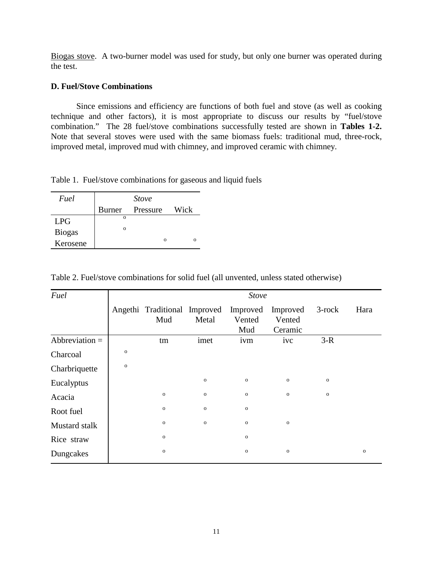Biogas stove. A two-burner model was used for study, but only one burner was operated during the test.

## **D. Fuel/Stove Combinations**

Since emissions and efficiency are functions of both fuel and stove (as well as cooking technique and other factors), it is most appropriate to discuss our results by "fuel/stove combination." The 28 fuel/stove combinations successfully tested are shown in **Tables 1-2.**  Note that several stoves were used with the same biomass fuels: traditional mud, three-rock, improved metal, improved mud with chimney, and improved ceramic with chimney.

Table 1. Fuel/stove combinations for gaseous and liquid fuels

| Fuel          | <i>Stove</i> |          |          |  |  |  |  |
|---------------|--------------|----------|----------|--|--|--|--|
|               | Burner       | Pressure | Wick     |  |  |  |  |
| <b>LPG</b>    | $\Omega$     |          |          |  |  |  |  |
| <b>Biogas</b> | $\Omega$     |          |          |  |  |  |  |
| Kerosene      |              |          | $\Omega$ |  |  |  |  |

Table 2. Fuel/stove combinations for solid fuel (all unvented, unless stated otherwise)

| Fuel             | <b>Stove</b> |                                     |             |                           |                               |             |             |  |  |
|------------------|--------------|-------------------------------------|-------------|---------------------------|-------------------------------|-------------|-------------|--|--|
|                  |              | Angethi Traditional Improved<br>Mud | Metal       | Improved<br>Vented<br>Mud | Improved<br>Vented<br>Ceramic | $3$ -rock   | Hara        |  |  |
| Abbreviation $=$ |              | tm                                  | imet        | ivm                       | ivc                           | $3-R$       |             |  |  |
| Charcoal         | $\mathbf O$  |                                     |             |                           |                               |             |             |  |  |
| Charbriquette    | $\mathbf{o}$ |                                     |             |                           |                               |             |             |  |  |
| Eucalyptus       |              |                                     | $\mathbf O$ | ${\bf O}$                 | $\mathbf 0$                   | $\mathbf 0$ |             |  |  |
| Acacia           |              | $\mathbf 0$                         | $\mathbf 0$ | ${\bf O}$                 | $\mathbf 0$                   | $\mathbf 0$ |             |  |  |
| Root fuel        |              | $\mathbf 0$                         | $\mathbf 0$ | $\mathbf 0$               |                               |             |             |  |  |
| Mustard stalk    |              | $\mathbf 0$                         | $\mathbf 0$ | ${\bf O}$                 | ${\bf O}$                     |             |             |  |  |
| Rice straw       |              | $\mathbf 0$                         |             | $\mathbf O$               |                               |             |             |  |  |
| Dungcakes        |              | $\mathbf 0$                         |             | $\mathbf O$               | $\mathbf O$                   |             | $\mathbf 0$ |  |  |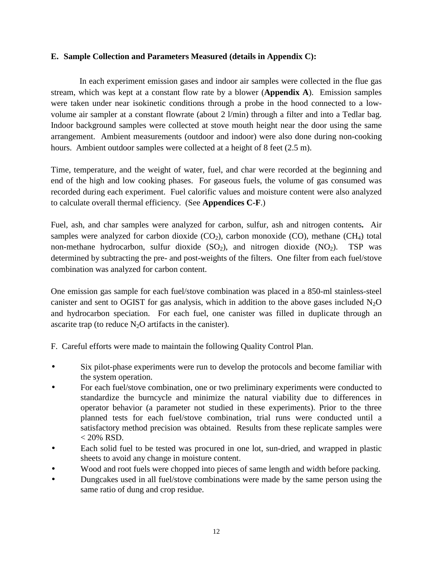## **E. Sample Collection and Parameters Measured (details in Appendix C):**

In each experiment emission gases and indoor air samples were collected in the flue gas stream, which was kept at a constant flow rate by a blower (**Appendix A**). Emission samples were taken under near isokinetic conditions through a probe in the hood connected to a lowvolume air sampler at a constant flowrate (about 2 l/min) through a filter and into a Tedlar bag. Indoor background samples were collected at stove mouth height near the door using the same arrangement. Ambient measurements (outdoor and indoor) were also done during non-cooking hours. Ambient outdoor samples were collected at a height of 8 feet (2.5 m).

Time, temperature, and the weight of water, fuel, and char were recorded at the beginning and end of the high and low cooking phases. For gaseous fuels, the volume of gas consumed was recorded during each experiment. Fuel calorific values and moisture content were also analyzed to calculate overall thermal efficiency. (See **Appendices C-F**.)

Fuel, ash, and char samples were analyzed for carbon, sulfur, ash and nitrogen contents**.** Air samples were analyzed for carbon dioxide  $(CO_2)$ , carbon monoxide  $(CO)$ , methane  $(CH_4)$  total non-methane hydrocarbon, sulfur dioxide  $(SO_2)$ , and nitrogen dioxide  $(NO_2)$ . TSP was determined by subtracting the pre- and post-weights of the filters. One filter from each fuel/stove combination was analyzed for carbon content.

One emission gas sample for each fuel/stove combination was placed in a 850-ml stainless-steel canister and sent to OGIST for gas analysis, which in addition to the above gases included  $N_2O$ and hydrocarbon speciation. For each fuel, one canister was filled in duplicate through an ascarite trap (to reduce  $N_2O$  artifacts in the canister).

F. Careful efforts were made to maintain the following Quality Control Plan.

- Six pilot-phase experiments were run to develop the protocols and become familiar with the system operation.
- For each fuel/stove combination, one or two preliminary experiments were conducted to standardize the burncycle and minimize the natural viability due to differences in operator behavior (a parameter not studied in these experiments). Prior to the three planned tests for each fuel/stove combination, trial runs were conducted until a satisfactory method precision was obtained. Results from these replicate samples were  $< 20\%$  RSD.
- Each solid fuel to be tested was procured in one lot, sun-dried, and wrapped in plastic sheets to avoid any change in moisture content.
- Wood and root fuels were chopped into pieces of same length and width before packing.
- Dungcakes used in all fuel/stove combinations were made by the same person using the same ratio of dung and crop residue.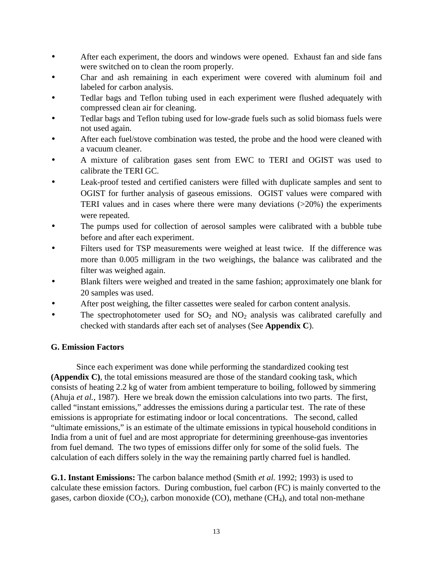- After each experiment, the doors and windows were opened. Exhaust fan and side fans were switched on to clean the room properly.
- Char and ash remaining in each experiment were covered with aluminum foil and labeled for carbon analysis.
- Tedlar bags and Teflon tubing used in each experiment were flushed adequately with compressed clean air for cleaning.
- Tedlar bags and Teflon tubing used for low-grade fuels such as solid biomass fuels were not used again.
- After each fuel/stove combination was tested, the probe and the hood were cleaned with a vacuum cleaner.
- A mixture of calibration gases sent from EWC to TERI and OGIST was used to calibrate the TERI GC.
- Leak-proof tested and certified canisters were filled with duplicate samples and sent to OGIST for further analysis of gaseous emissions. OGIST values were compared with TERI values and in cases where there were many deviations (>20%) the experiments were repeated.
- The pumps used for collection of aerosol samples were calibrated with a bubble tube before and after each experiment.
- Filters used for TSP measurements were weighed at least twice. If the difference was more than 0.005 milligram in the two weighings, the balance was calibrated and the filter was weighed again.
- Blank filters were weighed and treated in the same fashion; approximately one blank for 20 samples was used.
- After post weighing, the filter cassettes were sealed for carbon content analysis.
- The spectrophotometer used for  $SO_2$  and  $NO_2$  analysis was calibrated carefully and checked with standards after each set of analyses (See **Appendix C**).

# **G. Emission Factors**

Since each experiment was done while performing the standardized cooking test **(Appendix C)**, the total emissions measured are those of the standard cooking task, which consists of heating 2.2 kg of water from ambient temperature to boiling, followed by simmering (Ahuja *et al.*, 1987). Here we break down the emission calculations into two parts. The first, called "instant emissions," addresses the emissions during a particular test. The rate of these emissions is appropriate for estimating indoor or local concentrations. The second, called "ultimate emissions," is an estimate of the ultimate emissions in typical household conditions in India from a unit of fuel and are most appropriate for determining greenhouse-gas inventories from fuel demand. The two types of emissions differ only for some of the solid fuels. The calculation of each differs solely in the way the remaining partly charred fuel is handled.

**G.1. Instant Emissions:** The carbon balance method (Smith *et al.* 1992; 1993) is used to calculate these emission factors. During combustion, fuel carbon (FC) is mainly converted to the gases, carbon dioxide  $(CO_2)$ , carbon monoxide  $(CO)$ , methane  $(CH_4)$ , and total non-methane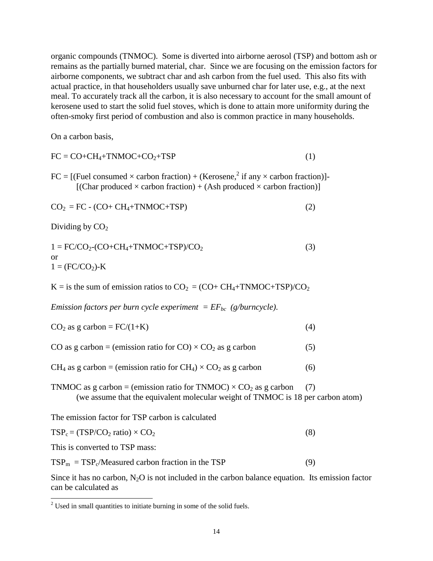organic compounds (TNMOC). Some is diverted into airborne aerosol (TSP) and bottom ash or remains as the partially burned material, char. Since we are focusing on the emission factors for airborne components, we subtract char and ash carbon from the fuel used. This also fits with actual practice, in that householders usually save unburned char for later use, e.g., at the next meal. To accurately track all the carbon, it is also necessary to account for the small amount of kerosene used to start the solid fuel stoves, which is done to attain more uniformity during the often-smoky first period of combustion and also is common practice in many households.

On a carbon basis,

$$
FC = CO + CH4+TNMOC + CO2+TSP
$$
 (1)

 $FC = [(Fuel consumed \times carbon fraction) + (Kerosene, ^2 if any \times carbon fraction)]$ [(Char produced  $\times$  carbon fraction) + (Ash produced  $\times$  carbon fraction)]

$$
CO2 = FC - (CO + CH4+TNMOC+TSP)
$$
 (2)

Dividing by  $CO<sub>2</sub>$ 

$$
1 = FC/CO_2-CO + CH_4 + TNMOC + TSP)/CO_2
$$
  
or  

$$
1 = (FC/CO_2)-K
$$
 (3)

 $K =$  is the sum of emission ratios to  $CO_2 = (CO + CH_4 + TMMOC + TSP)/CO_2$ 

*Emission factors per burn cycle experiment =*  $EF_{bc}$  *(g/burncycle).* 

| $CO2$ as g carbon = FC/(1+K) |  |
|------------------------------|--|
|------------------------------|--|

CO as g carbon = (emission ratio for CO)  $\times$  CO<sub>2</sub> as g carbon (5)

 $CH_4$  as g carbon = (emission ratio for  $CH_4$ ) ×  $CO_2$  as g carbon (6)

TNMOC as g carbon = (emission ratio for TNMOC)  $\times$  CO<sub>2</sub> as g carbon (7) (we assume that the equivalent molecular weight of TNMOC is 18 per carbon atom)

The emission factor for TSP carbon is calculated

| $TSP_c = (TSP/CO_2 \text{ ratio}) \times CO_2$ |  |
|------------------------------------------------|--|
|------------------------------------------------|--|

This is converted to TSP mass:

 $TSP_m = TSP_c/Measured carbon fraction in the TSP$  (9)

Since it has no carbon,  $N_2O$  is not included in the carbon balance equation. Its emission factor can be calculated as

 $2^2$  Used in small quantities to initiate burning in some of the solid fuels.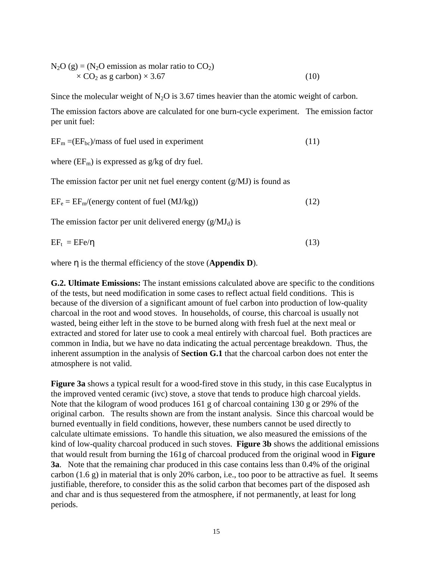$N_2O$  (g) = ( $N_2O$  emission as molar ratio to  $CO_2$ )  $\times$  CO<sub>2</sub> as g carbon)  $\times$  3.67 (10)

Since the molecular weight of  $N_2O$  is 3.67 times heavier than the atomic weight of carbon.

The emission factors above are calculated for one burn-cycle experiment. The emission factor per unit fuel:

 $EF_m = (EF_{bc})/mass$  of fuel used in experiment (11)

where  $(EF_m)$  is expressed as  $g/kg$  of dry fuel.

The emission factor per unit net fuel energy content  $(g/MJ)$  is found as

 $EF_e = EF_m/(energy content of fuel (MJ/kg))$  (12)

The emission factor per unit delivered energy  $(g/MJ_d)$  is

 $EF_t = EFe/\eta$  (13)

where η is the thermal efficiency of the stove (**Appendix D**).

**G.2. Ultimate Emissions:** The instant emissions calculated above are specific to the conditions of the tests, but need modification in some cases to reflect actual field conditions. This is because of the diversion of a significant amount of fuel carbon into production of low-quality charcoal in the root and wood stoves. In households, of course, this charcoal is usually not wasted, being either left in the stove to be burned along with fresh fuel at the next meal or extracted and stored for later use to cook a meal entirely with charcoal fuel. Both practices are common in India, but we have no data indicating the actual percentage breakdown. Thus, the inherent assumption in the analysis of **Section G.1** that the charcoal carbon does not enter the atmosphere is not valid.

**Figure 3a** shows a typical result for a wood-fired stove in this study, in this case Eucalyptus in the improved vented ceramic (ivc) stove, a stove that tends to produce high charcoal yields. Note that the kilogram of wood produces 161 g of charcoal containing 130 g or 29% of the original carbon. The results shown are from the instant analysis. Since this charcoal would be burned eventually in field conditions, however, these numbers cannot be used directly to calculate ultimate emissions. To handle this situation, we also measured the emissions of the kind of low-quality charcoal produced in such stoves. **Figure 3b** shows the additional emissions that would result from burning the 161g of charcoal produced from the original wood in **Figure 3a**. Note that the remaining char produced in this case contains less than 0.4% of the original carbon (1.6 g) in material that is only 20% carbon, i.e., too poor to be attractive as fuel. It seems justifiable, therefore, to consider this as the solid carbon that becomes part of the disposed ash and char and is thus sequestered from the atmosphere, if not permanently, at least for long periods.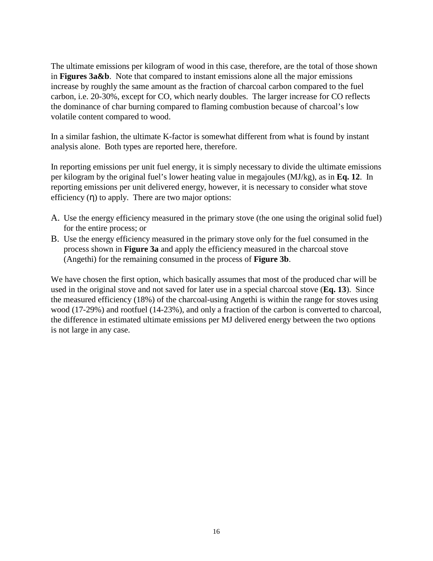The ultimate emissions per kilogram of wood in this case, therefore, are the total of those shown in **Figures 3a&b**. Note that compared to instant emissions alone all the major emissions increase by roughly the same amount as the fraction of charcoal carbon compared to the fuel carbon, i.e. 20-30%, except for CO, which nearly doubles. The larger increase for CO reflects the dominance of char burning compared to flaming combustion because of charcoal's low volatile content compared to wood.

In a similar fashion, the ultimate K-factor is somewhat different from what is found by instant analysis alone. Both types are reported here, therefore.

In reporting emissions per unit fuel energy, it is simply necessary to divide the ultimate emissions per kilogram by the original fuel's lower heating value in megajoules (MJ/kg), as in **Eq. 12**. In reporting emissions per unit delivered energy, however, it is necessary to consider what stove efficiency  $(\eta)$  to apply. There are two major options:

- A. Use the energy efficiency measured in the primary stove (the one using the original solid fuel) for the entire process; or
- B. Use the energy efficiency measured in the primary stove only for the fuel consumed in the process shown in **Figure 3a** and apply the efficiency measured in the charcoal stove (Angethi) for the remaining consumed in the process of **Figure 3b**.

We have chosen the first option, which basically assumes that most of the produced char will be used in the original stove and not saved for later use in a special charcoal stove (**Eq. 13**). Since the measured efficiency (18%) of the charcoal-using Angethi is within the range for stoves using wood (17-29%) and rootfuel (14-23%), and only a fraction of the carbon is converted to charcoal, the difference in estimated ultimate emissions per MJ delivered energy between the two options is not large in any case.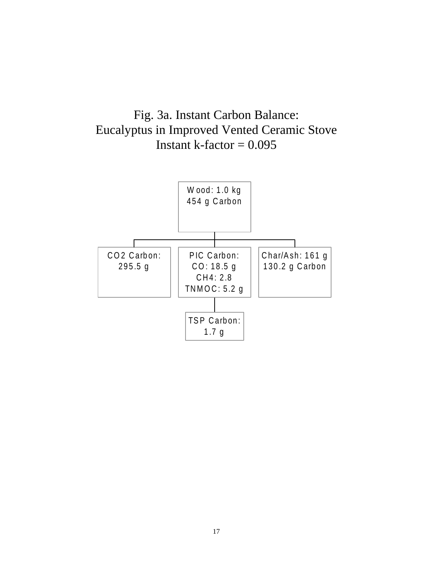

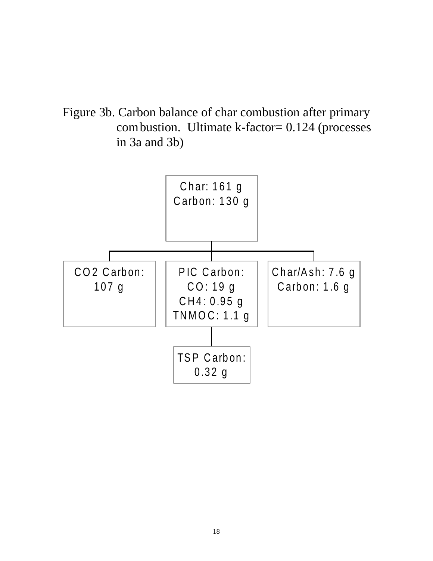Figure 3b. Carbon balance of char combustion after primary combustion. Ultimate k-factor= 0.124 (processes in 3a and 3b)

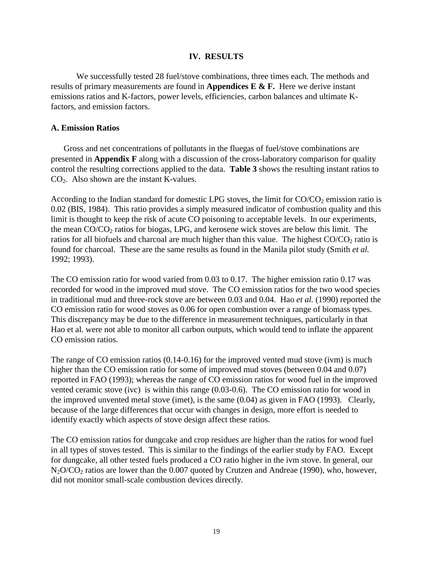#### **IV. RESULTS**

We successfully tested 28 fuel/stove combinations, three times each. The methods and results of primary measurements are found in **Appendices E & F.** Here we derive instant emissions ratios and K-factors, power levels, efficiencies, carbon balances and ultimate Kfactors, and emission factors.

#### **A. Emission Ratios**

Gross and net concentrations of pollutants in the fluegas of fuel/stove combinations are presented in **Appendix F** along with a discussion of the cross-laboratory comparison for quality control the resulting corrections applied to the data. **Table 3** shows the resulting instant ratios to CO2. Also shown are the instant K-values.

According to the Indian standard for domestic LPG stoves, the limit for  $CO/CO<sub>2</sub>$  emission ratio is 0.02 (BIS, 1984). This ratio provides a simply measured indicator of combustion quality and this limit is thought to keep the risk of acute CO poisoning to acceptable levels. In our experiments, the mean  $CO/CO<sub>2</sub>$  ratios for biogas, LPG, and kerosene wick stoves are below this limit. The ratios for all biofuels and charcoal are much higher than this value. The highest CO/CO<sub>2</sub> ratio is found for charcoal. These are the same results as found in the Manila pilot study (Smith *et al.*  1992; 1993).

The CO emission ratio for wood varied from 0.03 to 0.17. The higher emission ratio 0.17 was recorded for wood in the improved mud stove. The CO emission ratios for the two wood species in traditional mud and three-rock stove are between 0.03 and 0.04. Hao *et al.* (1990) reported the CO emission ratio for wood stoves as 0.06 for open combustion over a range of biomass types. This discrepancy may be due to the difference in measurement techniques, particularly in that Hao et al. were not able to monitor all carbon outputs, which would tend to inflate the apparent CO emission ratios.

The range of CO emission ratios (0.14-0.16) for the improved vented mud stove (ivm) is much higher than the CO emission ratio for some of improved mud stoves (between 0.04 and 0.07) reported in FAO (1993); whereas the range of CO emission ratios for wood fuel in the improved vented ceramic stove (ivc) is within this range (0.03-0.6). The CO emission ratio for wood in the improved unvented metal stove (imet), is the same (0.04) as given in FAO (1993). Clearly, because of the large differences that occur with changes in design, more effort is needed to identify exactly which aspects of stove design affect these ratios.

The CO emission ratios for dungcake and crop residues are higher than the ratios for wood fuel in all types of stoves tested. This is similar to the findings of the earlier study by FAO. Except for dungcake, all other tested fuels produced a CO ratio higher in the ivm stove. In general, our N<sub>2</sub>O/CO<sub>2</sub> ratios are lower than the 0.007 quoted by Crutzen and Andreae (1990), who, however, did not monitor small-scale combustion devices directly.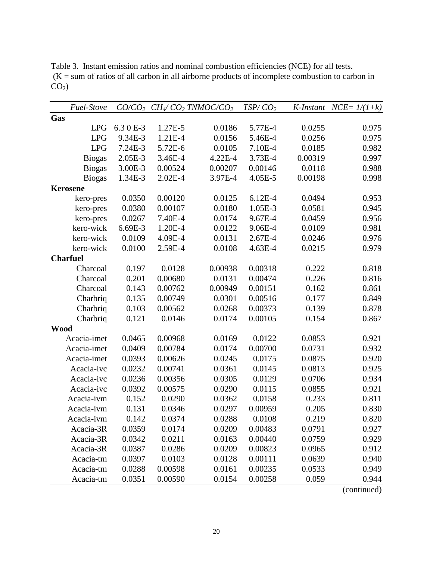| Fuel-Stove      |           |             | $CO/CO_2$ $CH_4/CO_2$ TNMOC/CO <sub>2</sub> | TSP/CO <sub>2</sub> |         | K-Instant NCE= $1/(1+k)$ |
|-----------------|-----------|-------------|---------------------------------------------|---------------------|---------|--------------------------|
| Gas             |           |             |                                             |                     |         |                          |
| <b>LPG</b>      | 6.3 0 E-3 | 1.27E-5     | 0.0186                                      | 5.77E-4             | 0.0255  | 0.975                    |
| <b>LPG</b>      | 9.34E-3   | 1.21E-4     | 0.0156                                      | 5.46E-4             | 0.0256  | 0.975                    |
| <b>LPG</b>      | 7.24E-3   | 5.72E-6     | 0.0105                                      | 7.10E-4             | 0.0185  | 0.982                    |
| <b>Biogas</b>   | 2.05E-3   | 3.46E-4     | 4.22E-4                                     | 3.73E-4             | 0.00319 | 0.997                    |
| <b>Biogas</b>   | 3.00E-3   | 0.00524     | 0.00207                                     | 0.00146             | 0.0118  | 0.988                    |
| <b>Biogas</b>   | 1.34E-3   | $2.02E - 4$ | 3.97E-4                                     | 4.05E-5             | 0.00198 | 0.998                    |
| <b>Kerosene</b> |           |             |                                             |                     |         |                          |
| kero-pres       | 0.0350    | 0.00120     | 0.0125                                      | $6.12E-4$           | 0.0494  | 0.953                    |
| kero-pres       | 0.0380    | 0.00107     | 0.0180                                      | 1.05E-3             | 0.0581  | 0.945                    |
| kero-pres       | 0.0267    | 7.40E-4     | 0.0174                                      | 9.67E-4             | 0.0459  | 0.956                    |
| kero-wick       | 6.69E-3   | 1.20E-4     | 0.0122                                      | 9.06E-4             | 0.0109  | 0.981                    |
| kero-wick       | 0.0109    | 4.09E-4     | 0.0131                                      | $2.67E-4$           | 0.0246  | 0.976                    |
| kero-wick       | 0.0100    | 2.59E-4     | 0.0108                                      | 4.63E-4             | 0.0215  | 0.979                    |
| <b>Charfuel</b> |           |             |                                             |                     |         |                          |
| Charcoal        | 0.197     | 0.0128      | 0.00938                                     | 0.00318             | 0.222   | 0.818                    |
| Charcoal        | 0.201     | 0.00680     | 0.0131                                      | 0.00474             | 0.226   | 0.816                    |
| Charcoal        | 0.143     | 0.00762     | 0.00949                                     | 0.00151             | 0.162   | 0.861                    |
| Charbriq        | 0.135     | 0.00749     | 0.0301                                      | 0.00516             | 0.177   | 0.849                    |
| Charbriq        | 0.103     | 0.00562     | 0.0268                                      | 0.00373             | 0.139   | 0.878                    |
| Charbriq        | 0.121     | 0.0146      | 0.0174                                      | 0.00105             | 0.154   | 0.867                    |
| <b>Wood</b>     |           |             |                                             |                     |         |                          |
| Acacia-imet     | 0.0465    | 0.00968     | 0.0169                                      | 0.0122              | 0.0853  | 0.921                    |
| Acacia-imet     | 0.0409    | 0.00784     | 0.0174                                      | 0.00700             | 0.0731  | 0.932                    |
| Acacia-imet     | 0.0393    | 0.00626     | 0.0245                                      | 0.0175              | 0.0875  | 0.920                    |
| Acacia-ivc      | 0.0232    | 0.00741     | 0.0361                                      | 0.0145              | 0.0813  | 0.925                    |
| Acacia-ivc      | 0.0236    | 0.00356     | 0.0305                                      | 0.0129              | 0.0706  | 0.934                    |
| Acacia-ivc      | 0.0392    | 0.00575     | 0.0290                                      | 0.0115              | 0.0855  | 0.921                    |
| Acacia-ivm      | 0.152     | 0.0290      | 0.0362                                      | 0.0158              | 0.233   | 0.811                    |
| Acacia-ivm      | 0.131     | 0.0346      | 0.0297                                      | 0.00959             | 0.205   | 0.830                    |
| Acacia-ivm      | 0.142     | 0.0374      | 0.0288                                      | 0.0108              | 0.219   | 0.820                    |
| Acacia-3R       | 0.0359    | 0.0174      | 0.0209                                      | 0.00483             | 0.0791  | 0.927                    |
| Acacia-3R       | 0.0342    | 0.0211      | 0.0163                                      | 0.00440             | 0.0759  | 0.929                    |
| Acacia-3R       | 0.0387    | 0.0286      | 0.0209                                      | 0.00823             | 0.0965  | 0.912                    |
| Acacia-tm       | 0.0397    | 0.0103      | 0.0128                                      | 0.00111             | 0.0639  | 0.940                    |
| Acacia-tm       | 0.0288    | 0.00598     | 0.0161                                      | 0.00235             | 0.0533  | 0.949                    |
| Acacia-tm       | 0.0351    | 0.00590     | 0.0154                                      | 0.00258             | 0.059   | 0.944                    |

Table 3. Instant emission ratios and nominal combustion efficiencies (NCE) for all tests.  $(K = sum of ratios of all carbon in all airborne products of incomplete combustion to carbon in$  $CO<sub>2</sub>$ )

(continued)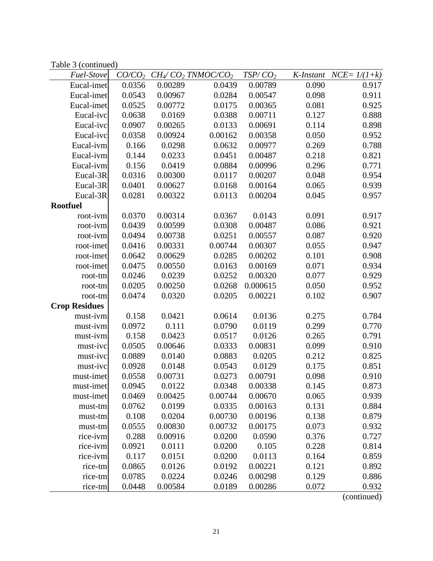Table 3 (continued)

| Fuel-Stove           | CO/CO <sub>2</sub> |         | $CH_4$ /CO <sub>2</sub> TNMOC/CO <sub>2</sub> | TSP/CO <sub>2</sub> | K-Instant | $NCE = 1/(1+k)$ |
|----------------------|--------------------|---------|-----------------------------------------------|---------------------|-----------|-----------------|
| Eucal-imet           | 0.0356             | 0.00289 | 0.0439                                        | 0.00789             | 0.090     | 0.917           |
| Eucal-imet           | 0.0543             | 0.00967 | 0.0284                                        | 0.00547             | 0.098     | 0.911           |
| Eucal-imet           | 0.0525             | 0.00772 | 0.0175                                        | 0.00365             | 0.081     | 0.925           |
| Eucal-ivc            | 0.0638             | 0.0169  | 0.0388                                        | 0.00711             | 0.127     | 0.888           |
| Eucal-ivc            | 0.0907             | 0.00265 | 0.0133                                        | 0.00691             | 0.114     | 0.898           |
| Eucal-ivc            | 0.0358             | 0.00924 | 0.00162                                       | 0.00358             | 0.050     | 0.952           |
| Eucal-ivm            | 0.166              | 0.0298  | 0.0632                                        | 0.00977             | 0.269     | 0.788           |
| Eucal-ivm            | 0.144              | 0.0233  | 0.0451                                        | 0.00487             | 0.218     | 0.821           |
| Eucal-ivm            | 0.156              | 0.0419  | 0.0884                                        | 0.00996             | 0.296     | 0.771           |
| Eucal-3R             | 0.0316             | 0.00300 | 0.0117                                        | 0.00207             | 0.048     | 0.954           |
| Eucal-3R             | 0.0401             | 0.00627 | 0.0168                                        | 0.00164             | 0.065     | 0.939           |
| Eucal-3R             | 0.0281             | 0.00322 | 0.0113                                        | 0.00204             | 0.045     | 0.957           |
| <b>Rootfuel</b>      |                    |         |                                               |                     |           |                 |
| root-ivm             | 0.0370             | 0.00314 | 0.0367                                        | 0.0143              | 0.091     | 0.917           |
| root-ivm             | 0.0439             | 0.00599 | 0.0308                                        | 0.00487             | 0.086     | 0.921           |
| root-ivm             | 0.0494             | 0.00738 | 0.0251                                        | 0.00557             | 0.087     | 0.920           |
| root-imet            | 0.0416             | 0.00331 | 0.00744                                       | 0.00307             | 0.055     | 0.947           |
| root-imet            | 0.0642             | 0.00629 | 0.0285                                        | 0.00202             | 0.101     | 0.908           |
| root-imet            | 0.0475             | 0.00550 | 0.0163                                        | 0.00169             | 0.071     | 0.934           |
| root-tm              | 0.0246             | 0.0239  | 0.0252                                        | 0.00320             | 0.077     | 0.929           |
| root-tm              | 0.0205             | 0.00250 | 0.0268                                        | 0.000615            | 0.050     | 0.952           |
| root-tm              | 0.0474             | 0.0320  | 0.0205                                        | 0.00221             | 0.102     | 0.907           |
| <b>Crop Residues</b> |                    |         |                                               |                     |           |                 |
| must-ivm             | 0.158              | 0.0421  | 0.0614                                        | 0.0136              | 0.275     | 0.784           |
| must-ivm             | 0.0972             | 0.111   | 0.0790                                        | 0.0119              | 0.299     | 0.770           |
| must-ivm             | 0.158              | 0.0423  | 0.0517                                        | 0.0126              | 0.265     | 0.791           |
| must-ivc             | 0.0505             | 0.00646 | 0.0333                                        | 0.00831             | 0.099     | 0.910           |
| must-ivc             | 0.0889             | 0.0140  | 0.0883                                        | 0.0205              | 0.212     | 0.825           |
| must-ivc             | 0.0928             | 0.0148  | 0.0543                                        | 0.0129              | 0.175     | 0.851           |
| must-imet            | 0.0558             | 0.00731 | 0.0273                                        | 0.00791             | 0.098     | 0.910           |
| must-imet            | 0.0945             | 0.0122  | 0.0348                                        | 0.00338             | 0.145     | 0.873           |
| must-imet            | 0.0469             | 0.00425 | 0.00744                                       | 0.00670             | 0.065     | 0.939           |
| must-tm              | 0.0762             | 0.0199  | 0.0335                                        | 0.00163             | 0.131     | 0.884           |
| must-tm              | 0.108              | 0.0204  | 0.00730                                       | 0.00196             | 0.138     | 0.879           |
| must-tm              | 0.0555             | 0.00830 | 0.00732                                       | 0.00175             | 0.073     | 0.932           |
| rice-ivm             | 0.288              | 0.00916 | 0.0200                                        | 0.0590              | 0.376     | 0.727           |
| rice-ivm             | 0.0921             | 0.0111  | 0.0200                                        | 0.105               | 0.228     | 0.814           |
| rice-ivm             | 0.117              | 0.0151  | 0.0200                                        | 0.0113              | 0.164     | 0.859           |
| rice-tm              | 0.0865             | 0.0126  | 0.0192                                        | 0.00221             | 0.121     | 0.892           |
| rice-tm              | 0.0785             | 0.0224  | 0.0246                                        | 0.00298             | 0.129     | 0.886           |
| rice-tm              | 0.0448             | 0.00584 | 0.0189                                        | 0.00286             | 0.072     | 0.932           |

(continued)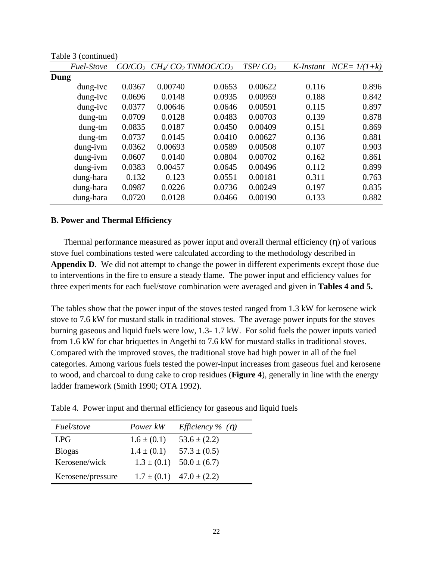| Fuel-Stove  | CO/CO <sub>2</sub> |         | $CH_4$ CO <sub>2</sub> TNMOC/CO <sub>2</sub> | TSP/CO <sub>2</sub> | K-Instant | $NCE = 1/(1+k)$ |
|-------------|--------------------|---------|----------------------------------------------|---------------------|-----------|-----------------|
| Dung        |                    |         |                                              |                     |           |                 |
| dung-ivc    | 0.0367             | 0.00740 | 0.0653                                       | 0.00622             | 0.116     | 0.896           |
| dung-ivc    | 0.0696             | 0.0148  | 0.0935                                       | 0.00959             | 0.188     | 0.842           |
| dung-ivc    | 0.0377             | 0.00646 | 0.0646                                       | 0.00591             | 0.115     | 0.897           |
| $d$ ung-tm  | 0.0709             | 0.0128  | 0.0483                                       | 0.00703             | 0.139     | 0.878           |
| $d$ ung-tm  | 0.0835             | 0.0187  | 0.0450                                       | 0.00409             | 0.151     | 0.869           |
| $d$ ung-tm  | 0.0737             | 0.0145  | 0.0410                                       | 0.00627             | 0.136     | 0.881           |
| dung-ivm    | 0.0362             | 0.00693 | 0.0589                                       | 0.00508             | 0.107     | 0.903           |
| $d$ ung-ivm | 0.0607             | 0.0140  | 0.0804                                       | 0.00702             | 0.162     | 0.861           |
| $dung-ivm$  | 0.0383             | 0.00457 | 0.0645                                       | 0.00496             | 0.112     | 0.899           |
| dung-hara   | 0.132              | 0.123   | 0.0551                                       | 0.00181             | 0.311     | 0.763           |
| dung-hara   | 0.0987             | 0.0226  | 0.0736                                       | 0.00249             | 0.197     | 0.835           |
| dung-hara   | 0.0720             | 0.0128  | 0.0466                                       | 0.00190             | 0.133     | 0.882           |

Table 3 (continued)

#### **B. Power and Thermal Efficiency**

Thermal performance measured as power input and overall thermal efficiency (η) of various stove fuel combinations tested were calculated according to the methodology described in **Appendix D**. We did not attempt to change the power in different experiments except those due to interventions in the fire to ensure a steady flame. The power input and efficiency values for three experiments for each fuel/stove combination were averaged and given in **Tables 4 and 5.** 

The tables show that the power input of the stoves tested ranged from 1.3 kW for kerosene wick stove to 7.6 kW for mustard stalk in traditional stoves. The average power inputs for the stoves burning gaseous and liquid fuels were low, 1.3- 1.7 kW. For solid fuels the power inputs varied from 1.6 kW for char briquettes in Angethi to 7.6 kW for mustard stalks in traditional stoves. Compared with the improved stoves, the traditional stove had high power in all of the fuel categories. Among various fuels tested the power-input increases from gaseous fuel and kerosene to wood, and charcoal to dung cake to crop residues (**Figure 4**), generally in line with the energy ladder framework (Smith 1990; OTA 1992).

Table 4. Power input and thermal efficiency for gaseous and liquid fuels

| Fuel/stove        | Power kW                           | <i>Efficiency</i> % $(\eta)$     |
|-------------------|------------------------------------|----------------------------------|
| <b>LPG</b>        |                                    | $53.6 \pm (2.2)$                 |
| <b>Biogas</b>     | $1.6 \pm (0.1)$<br>$1.4 \pm (0.1)$ | $57.3 \pm (0.5)$                 |
| Kerosene/wick     | $1.3 \pm (0.1)$                    | $50.0 \pm (6.7)$                 |
| Kerosene/pressure |                                    | $1.7 \pm (0.1)$ $47.0 \pm (2.2)$ |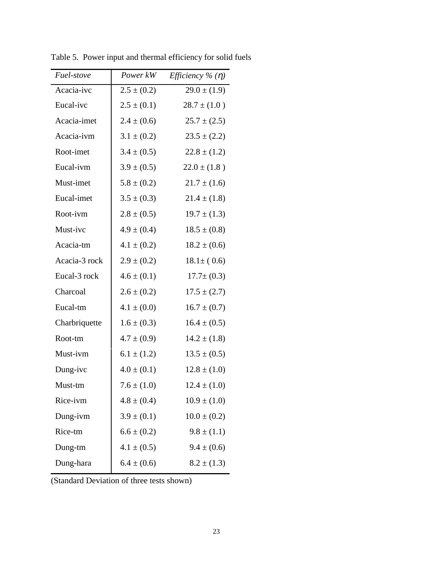| <i>Fuel-stove</i> | Power kW        | <i>Efficiency</i> % $(\eta)$ |
|-------------------|-----------------|------------------------------|
| Acacia-ivc        | $2.5 \pm (0.2)$ | $29.0 \pm (1.9)$             |
| Eucal-ivc         | $2.5 \pm (0.1)$ | $28.7 \pm (1.0)$             |
| Acacia-imet       | $2.4 \pm (0.6)$ | $25.7 \pm (2.5)$             |
| Acacia-ivm        | $3.1 \pm (0.2)$ | $23.5 \pm (2.2)$             |
| Root-imet         | $3.4 \pm (0.5)$ | $22.8 \pm (1.2)$             |
| Eucal-ivm         | $3.9 \pm (0.5)$ | $22.0 \pm (1.8)$             |
| Must-imet         | $5.8 \pm (0.2)$ | $21.7 \pm (1.6)$             |
| Eucal-imet        | $3.5 \pm (0.3)$ | $21.4 \pm (1.8)$             |
| Root-ivm          | $2.8 \pm (0.5)$ | $19.7 \pm (1.3)$             |
| Must-ivc          | $4.9 \pm (0.4)$ | $18.5 \pm (0.8)$             |
| Acacia-tm         | $4.1 \pm (0.2)$ | $18.2 \pm (0.6)$             |
| Acacia-3 rock     | $2.9 \pm (0.2)$ | $18.1 \pm (0.6)$             |
| Eucal-3 rock      | $4.6 \pm (0.1)$ | $17.7 \pm (0.3)$             |
| Charcoal          | $2.6 \pm (0.2)$ | $17.5 \pm (2.7)$             |
| Eucal-tm          | $4.1 \pm (0.0)$ | $16.7 \pm (0.7)$             |
| Charbriquette     | $1.6 \pm (0.3)$ | $16.4 \pm (0.5)$             |
| Root-tm           | $4.7 \pm (0.9)$ | $14.2 \pm (1.8)$             |
| Must-ivm          | $6.1 \pm (1.2)$ | $13.5 \pm (0.5)$             |
| Dung-ivc          | $4.0 \pm (0.1)$ | $12.8 \pm (1.0)$             |
| Must-tm           | $7.6 \pm (1.0)$ | $12.4 \pm (1.0)$             |
| Rice-ivm          | $4.8 \pm (0.4)$ | $10.9 \pm (1.0)$             |
| Dung-ivm          | $3.9 \pm (0.1)$ | $10.0 \pm (0.2)$             |
| Rice-tm           | $6.6 \pm (0.2)$ | $9.8 \pm (1.1)$              |
| Dung-tm           | $4.1 \pm (0.5)$ | $9.4 \pm (0.6)$              |
| Dung-hara         | $6.4 \pm (0.6)$ | $8.2 \pm (1.3)$              |

Table 5. Power input and thermal efficiency for solid fuels

(Standard Deviation of three tests shown)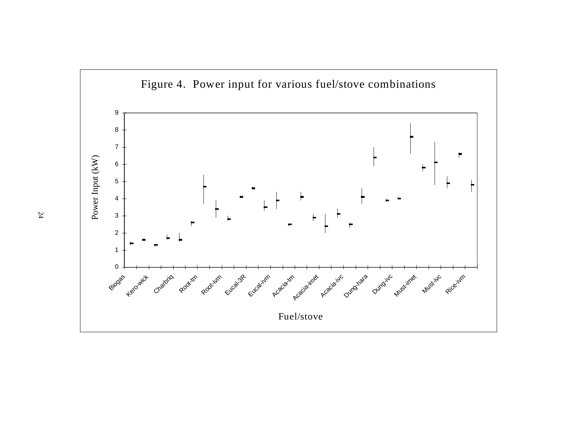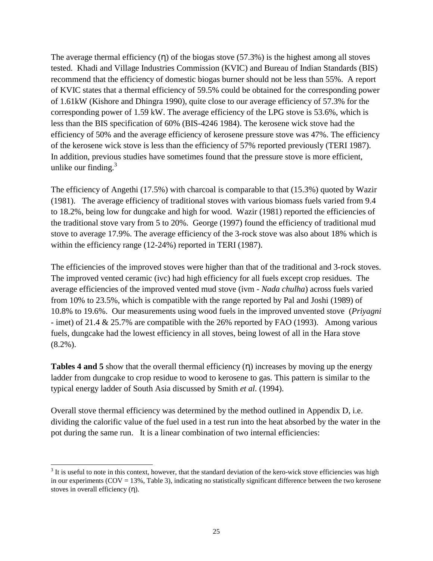The average thermal efficiency  $(η)$  of the biogas stove  $(57.3%)$  is the highest among all stoves tested. Khadi and Village Industries Commission (KVIC) and Bureau of Indian Standards (BIS) recommend that the efficiency of domestic biogas burner should not be less than 55%. A report of KVIC states that a thermal efficiency of 59.5% could be obtained for the corresponding power of 1.61kW (Kishore and Dhingra 1990), quite close to our average efficiency of 57.3% for the corresponding power of 1.59 kW. The average efficiency of the LPG stove is 53.6%, which is less than the BIS specification of 60% (BIS-4246 1984). The kerosene wick stove had the efficiency of 50% and the average efficiency of kerosene pressure stove was 47%. The efficiency of the kerosene wick stove is less than the efficiency of 57% reported previously (TERI 1987). In addition, previous studies have sometimes found that the pressure stove is more efficient, unlike our finding. $3$ 

The efficiency of Angethi (17.5%) with charcoal is comparable to that (15.3%) quoted by Wazir (1981). The average efficiency of traditional stoves with various biomass fuels varied from 9.4 to 18.2%, being low for dungcake and high for wood. Wazir (1981) reported the efficiencies of the traditional stove vary from 5 to 20%. George (1997) found the efficiency of traditional mud stove to average 17.9%. The average efficiency of the 3-rock stove was also about 18% which is within the efficiency range (12-24%) reported in TERI (1987).

The efficiencies of the improved stoves were higher than that of the traditional and 3-rock stoves. The improved vented ceramic (ivc) had high efficiency for all fuels except crop residues. The average efficiencies of the improved vented mud stove (ivm - *Nada chulha*) across fuels varied from 10% to 23.5%, which is compatible with the range reported by Pal and Joshi (1989) of 10.8% to 19.6%. Our measurements using wood fuels in the improved unvented stove (*Priyagni*  - imet) of 21.4 & 25.7% are compatible with the 26% reported by FAO (1993). Among various fuels, dungcake had the lowest efficiency in all stoves, being lowest of all in the Hara stove (8.2%).

**Tables 4 and 5** show that the overall thermal efficiency (η) increases by moving up the energy ladder from dungcake to crop residue to wood to kerosene to gas. This pattern is similar to the typical energy ladder of South Asia discussed by Smith *et al.* (1994).

Overall stove thermal efficiency was determined by the method outlined in Appendix D, i.e. dividing the calorific value of the fuel used in a test run into the heat absorbed by the water in the pot during the same run. It is a linear combination of two internal efficiencies:

 $3$  It is useful to note in this context, however, that the standard deviation of the kero-wick stove efficiencies was high in our experiments ( $COV = 13\%$ , Table 3), indicating no statistically significant difference between the two kerosene stoves in overall efficiency (η).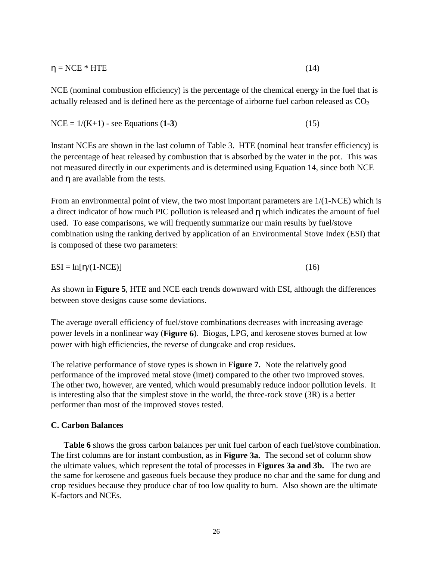$$
\eta = \text{NCE}^* \text{HTE} \tag{14}
$$

NCE (nominal combustion efficiency) is the percentage of the chemical energy in the fuel that is actually released and is defined here as the percentage of airborne fuel carbon released as  $CO<sub>2</sub>$ 

 $NCE = 1/(K+1)$  - see Equations (1-3) (15)

Instant NCEs are shown in the last column of Table 3. HTE (nominal heat transfer efficiency) is the percentage of heat released by combustion that is absorbed by the water in the pot. This was not measured directly in our experiments and is determined using Equation 14, since both NCE and  $\eta$  are available from the tests.

From an environmental point of view, the two most important parameters are 1/(1-NCE) which is a direct indicator of how much PIC pollution is released and η which indicates the amount of fuel used. To ease comparisons, we will frequently summarize our main results by fuel/stove combination using the ranking derived by application of an Environmental Stove Index (ESI) that is composed of these two parameters:

 $ESI = ln[\eta/(1-NCE)]$  (16)

As shown in **Figure 5**, HTE and NCE each trends downward with ESI, although the differences between stove designs cause some deviations.

The average overall efficiency of fuel/stove combinations decreases with increasing average power levels in a nonlinear way (**Figure 6**). Biogas, LPG, and kerosene stoves burned at low power with high efficiencies, the reverse of dungcake and crop residues.

The relative performance of stove types is shown in **Figure 7.** Note the relatively good performance of the improved metal stove (imet) compared to the other two improved stoves. The other two, however, are vented, which would presumably reduce indoor pollution levels. It is interesting also that the simplest stove in the world, the three-rock stove (3R) is a better performer than most of the improved stoves tested.

#### **C. Carbon Balances**

**Table 6** shows the gross carbon balances per unit fuel carbon of each fuel/stove combination. The first columns are for instant combustion, as in **Figure 3a.** The second set of column show the ultimate values, which represent the total of processes in **Figures 3a and 3b.** The two are the same for kerosene and gaseous fuels because they produce no char and the same for dung and crop residues because they produce char of too low quality to burn. Also shown are the ultimate K-factors and NCEs.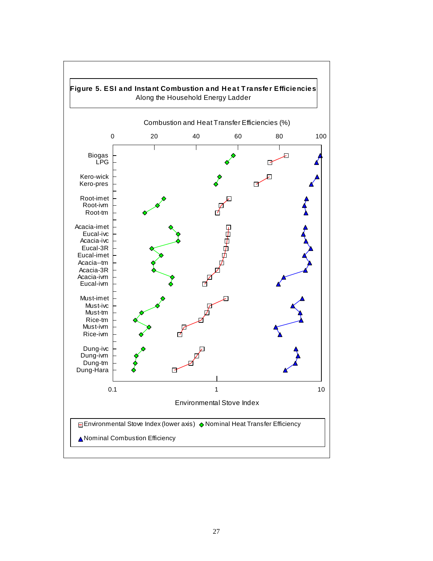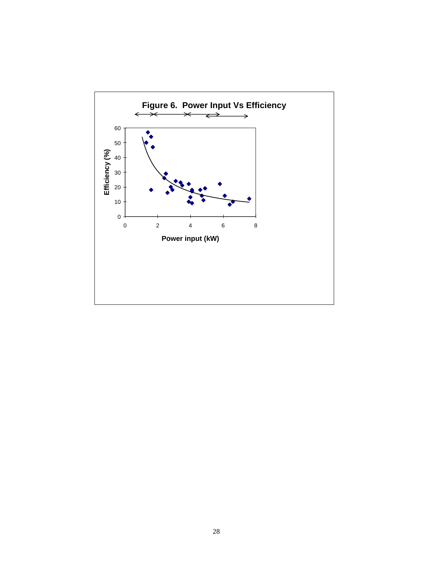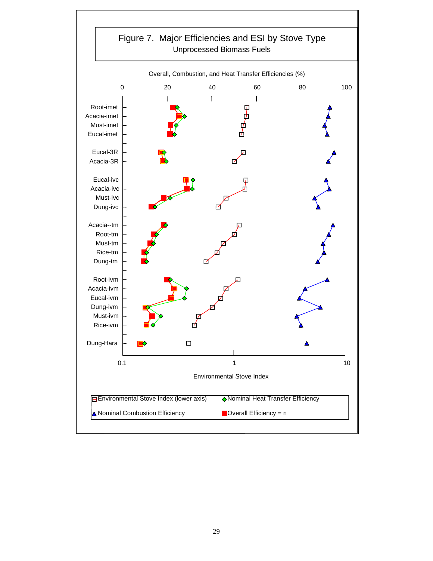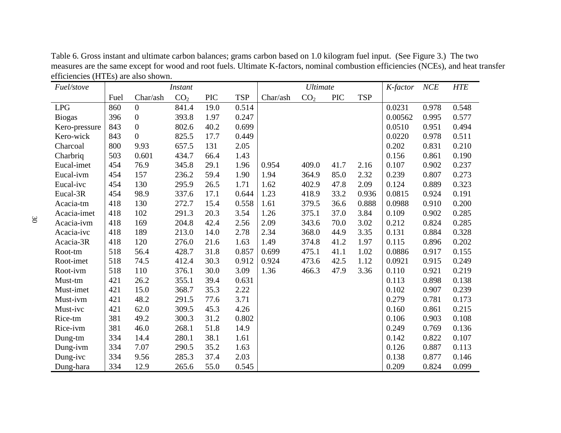Table 6. Gross instant and ultimate carbon balances; grams carbon based on 1.0 kilogram fuel input. (See Figure 3.) The two measures are the same except for wood and root fuels. Ultimate K-factors, nominal combustion efficiencies (NCEs), and heat transfer efficiencies (HTEs) are also shown.  $\overline{\phantom{0}}$ 

| Fuel/stove    | <b>Instant</b> |                  |                 |            |            | <b>Ultimate</b> |                 |            | K-factor   | NCE     | <b>HTE</b> |       |
|---------------|----------------|------------------|-----------------|------------|------------|-----------------|-----------------|------------|------------|---------|------------|-------|
|               | Fuel           | Char/ash         | CO <sub>2</sub> | <b>PIC</b> | <b>TSP</b> | Char/ash        | CO <sub>2</sub> | <b>PIC</b> | <b>TSP</b> |         |            |       |
| <b>LPG</b>    | 860            | $\overline{0}$   | 841.4           | 19.0       | 0.514      |                 |                 |            |            | 0.0231  | 0.978      | 0.548 |
| <b>Biogas</b> | 396            | $\boldsymbol{0}$ | 393.8           | 1.97       | 0.247      |                 |                 |            |            | 0.00562 | 0.995      | 0.577 |
| Kero-pressure | 843            | $\boldsymbol{0}$ | 802.6           | 40.2       | 0.699      |                 |                 |            |            | 0.0510  | 0.951      | 0.494 |
| Kero-wick     | 843            | $\boldsymbol{0}$ | 825.5           | 17.7       | 0.449      |                 |                 |            |            | 0.0220  | 0.978      | 0.511 |
| Charcoal      | 800            | 9.93             | 657.5           | 131        | 2.05       |                 |                 |            |            | 0.202   | 0.831      | 0.210 |
| Charbriq      | 503            | 0.601            | 434.7           | 66.4       | 1.43       |                 |                 |            |            | 0.156   | 0.861      | 0.190 |
| Eucal-imet    | 454            | 76.9             | 345.8           | 29.1       | 1.96       | 0.954           | 409.0           | 41.7       | 2.16       | 0.107   | 0.902      | 0.237 |
| Eucal-ivm     | 454            | 157              | 236.2           | 59.4       | 1.90       | 1.94            | 364.9           | 85.0       | 2.32       | 0.239   | 0.807      | 0.273 |
| Eucal-ivc     | 454            | 130              | 295.9           | 26.5       | 1.71       | 1.62            | 402.9           | 47.8       | 2.09       | 0.124   | 0.889      | 0.323 |
| Eucal-3R      | 454            | 98.9             | 337.6           | 17.1       | 0.644      | 1.23            | 418.9           | 33.2       | 0.936      | 0.0815  | 0.924      | 0.191 |
| Acacia-tm     | 418            | 130              | 272.7           | 15.4       | 0.558      | 1.61            | 379.5           | 36.6       | 0.888      | 0.0988  | 0.910      | 0.200 |
| Acacia-imet   | 418            | 102              | 291.3           | 20.3       | 3.54       | 1.26            | 375.1           | 37.0       | 3.84       | 0.109   | 0.902      | 0.285 |
| Acacia-ivm    | 418            | 169              | 204.8           | 42.4       | 2.56       | 2.09            | 343.6           | 70.0       | 3.02       | 0.212   | 0.824      | 0.285 |
| Acacia-ivc    | 418            | 189              | 213.0           | 14.0       | 2.78       | 2.34            | 368.0           | 44.9       | 3.35       | 0.131   | 0.884      | 0.328 |
| Acacia-3R     | 418            | 120              | 276.0           | 21.6       | 1.63       | 1.49            | 374.8           | 41.2       | 1.97       | 0.115   | 0.896      | 0.202 |
| Root-tm       | 518            | 56.4             | 428.7           | 31.8       | 0.857      | 0.699           | 475.1           | 41.1       | 1.02       | 0.0886  | 0.917      | 0.155 |
| Root-imet     | 518            | 74.5             | 412.4           | 30.3       | 0.912      | 0.924           | 473.6           | 42.5       | 1.12       | 0.0921  | 0.915      | 0.249 |
| Root-ivm      | 518            | 110              | 376.1           | 30.0       | 3.09       | 1.36            | 466.3           | 47.9       | 3.36       | 0.110   | 0.921      | 0.219 |
| Must-tm       | 421            | 26.2             | 355.1           | 39.4       | 0.631      |                 |                 |            |            | 0.113   | 0.898      | 0.138 |
| Must-imet     | 421            | 15.0             | 368.7           | 35.3       | 2.22       |                 |                 |            |            | 0.102   | 0.907      | 0.239 |
| Must-ivm      | 421            | 48.2             | 291.5           | 77.6       | 3.71       |                 |                 |            |            | 0.279   | 0.781      | 0.173 |
| Must-ivc      | 421            | 62.0             | 309.5           | 45.3       | 4.26       |                 |                 |            |            | 0.160   | 0.861      | 0.215 |
| Rice-tm       | 381            | 49.2             | 300.3           | 31.2       | 0.802      |                 |                 |            |            | 0.106   | 0.903      | 0.108 |
| Rice-ivm      | 381            | 46.0             | 268.1           | 51.8       | 14.9       |                 |                 |            |            | 0.249   | 0.769      | 0.136 |
| Dung-tm       | 334            | 14.4             | 280.1           | 38.1       | 1.61       |                 |                 |            |            | 0.142   | 0.822      | 0.107 |
| Dung-ivm      | 334            | 7.07             | 290.5           | 35.2       | 1.63       |                 |                 |            |            | 0.126   | 0.887      | 0.113 |
| Dung-ivc      | 334            | 9.56             | 285.3           | 37.4       | 2.03       |                 |                 |            |            | 0.138   | 0.877      | 0.146 |
| Dung-hara     | 334            | 12.9             | 265.6           | 55.0       | 0.545      |                 |                 |            |            | 0.209   | 0.824      | 0.099 |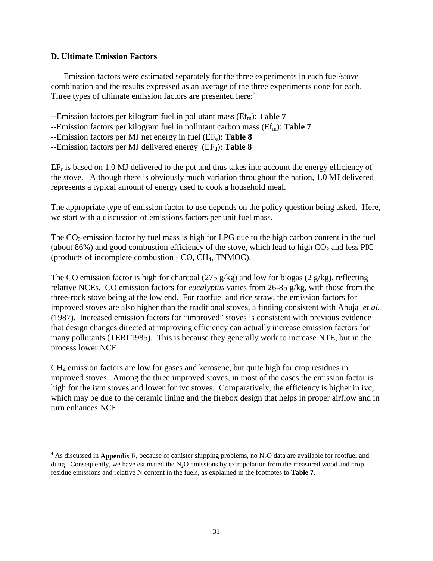## **D. Ultimate Emission Factors**

Emission factors were estimated separately for the three experiments in each fuel/stove combination and the results expressed as an average of the three experiments done for each. Three types of ultimate emission factors are presented here:<sup>4</sup>

- --Emission factors per kilogram fuel in pollutant mass (Ef<sub>m</sub>): Table 7
- **--**Emission factors per kilogram fuel in pollutant carbon mass (Ef<sub>m</sub>): Table 7
- --Emission factors per MJ net energy in fuel (EFe): Table 8
- --Emission factors per MJ delivered energy (EF<sub>d</sub>): Table 8

 $EF_d$  is based on 1.0 MJ delivered to the pot and thus takes into account the energy efficiency of the stove. Although there is obviously much variation throughout the nation, 1.0 MJ delivered represents a typical amount of energy used to cook a household meal.

The appropriate type of emission factor to use depends on the policy question being asked. Here, we start with a discussion of emissions factors per unit fuel mass.

The  $CO<sub>2</sub>$  emission factor by fuel mass is high for LPG due to the high carbon content in the fuel (about 86%) and good combustion efficiency of the stove, which lead to high  $CO<sub>2</sub>$  and less PIC (products of incomplete combustion - CO, CH4, TNMOC).

The CO emission factor is high for charcoal (275 g/kg) and low for biogas (2 g/kg), reflecting relative NCEs. CO emission factors for *eucalyptus* varies from 26-85 g/kg, with those from the three-rock stove being at the low end. For rootfuel and rice straw, the emission factors for improved stoves are also higher than the traditional stoves, a finding consistent with Ahuja *et al.*  (1987). Increased emission factors for "improved" stoves is consistent with previous evidence that design changes directed at improving efficiency can actually increase emission factors for many pollutants (TERI 1985). This is because they generally work to increase NTE, but in the process lower NCE.

CH4 emission factors are low for gases and kerosene, but quite high for crop residues in improved stoves. Among the three improved stoves, in most of the cases the emission factor is high for the ivm stoves and lower for ivc stoves. Comparatively, the efficiency is higher in ivc, which may be due to the ceramic lining and the firebox design that helps in proper airflow and in turn enhances NCE.

 $4$  As discussed in **Appendix F**, because of canister shipping problems, no N<sub>2</sub>O data are available for rootfuel and dung. Consequently, we have estimated the  $N_2O$  emissions by extrapolation from the measured wood and crop residue emissions and relative N content in the fuels, as explained in the footnotes to **Table 7**.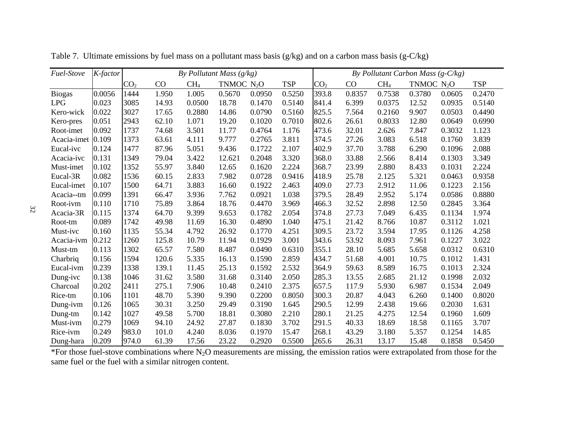| Fuel-Stove        | K-factor | By Pollutant Mass $(g/kg)$ |       |                 |              |        |            |                 | By Pollutant Carbon Mass $(g-C/kg)$ |                 |              |        |            |
|-------------------|----------|----------------------------|-------|-----------------|--------------|--------|------------|-----------------|-------------------------------------|-----------------|--------------|--------|------------|
|                   |          | CO <sub>2</sub>            | CO    | CH <sub>4</sub> | TNMOC $N_2O$ |        | <b>TSP</b> | CO <sub>2</sub> | CO                                  | CH <sub>4</sub> | TNMOC $N_2O$ |        | <b>TSP</b> |
| <b>Biogas</b>     | 0.0056   | 1444                       | 1.950 | 1.005           | 0.5670       | 0.0950 | 0.5250     | 393.8           | 0.8357                              | 0.7538          | 0.3780       | 0.0605 | 0.2470     |
| <b>LPG</b>        | 0.023    | 3085                       | 14.93 | 0.0500          | 18.78        | 0.1470 | 0.5140     | 841.4           | 6.399                               | 0.0375          | 12.52        | 0.0935 | 0.5140     |
| Kero-wick         | 0.022    | 3027                       | 17.65 | 0.2880          | 14.86        | 0.0790 | 0.5160     | 825.5           | 7.564                               | 0.2160          | 9.907        | 0.0503 | 0.4490     |
| Kero-pres         | 0.051    | 2943                       | 62.10 | 1.071           | 19.20        | 0.1020 | 0.7010     | 802.6           | 26.61                               | 0.8033          | 12.80        | 0.0649 | 0.6990     |
| Root-imet         | 0.092    | 1737                       | 74.68 | 3.501           | 11.77        | 0.4764 | 1.176      | 473.6           | 32.01                               | 2.626           | 7.847        | 0.3032 | 1.123      |
| Acacia-imet 0.109 |          | 1373                       | 63.61 | 4.111           | 9.777        | 0.2765 | 3.811      | 374.5           | 27.26                               | 3.083           | 6.518        | 0.1760 | 3.839      |
| Eucal-ivc         | 0.124    | 1477                       | 87.96 | 5.051           | 9.436        | 0.1722 | 2.107      | 402.9           | 37.70                               | 3.788           | 6.290        | 0.1096 | 2.088      |
| Acacia-ivc        | 0.131    | 1349                       | 79.04 | 3.422           | 12.621       | 0.2048 | 3.320      | 368.0           | 33.88                               | 2.566           | 8.414        | 0.1303 | 3.349      |
| Must-imet         | 0.102    | 1352                       | 55.97 | 3.840           | 12.65        | 0.1620 | 2.224      | 368.7           | 23.99                               | 2.880           | 8.433        | 0.1031 | 2.224      |
| Eucal-3R          | 0.082    | 1536                       | 60.15 | 2.833           | 7.982        | 0.0728 | 0.9416     | 418.9           | 25.78                               | 2.125           | 5.321        | 0.0463 | 0.9358     |
| Eucal-imet        | 0.107    | 1500                       | 64.71 | 3.883           | 16.60        | 0.1922 | 2.463      | 409.0           | 27.73                               | 2.912           | 11.06        | 0.1223 | 2.156      |
| Acacia--tm        | 0.099    | 1391                       | 66.47 | 3.936           | 7.762        | 0.0921 | 1.038      | 379.5           | 28.49                               | 2.952           | 5.174        | 0.0586 | 0.8880     |
| Root-ivm          | 0.110    | 1710                       | 75.89 | 3.864           | 18.76        | 0.4470 | 3.969      | 466.3           | 32.52                               | 2.898           | 12.50        | 0.2845 | 3.364      |
| Acacia-3R         | 0.115    | 1374                       | 64.70 | 9.399           | 9.653        | 0.1782 | 2.054      | 374.8           | 27.73                               | 7.049           | 6.435        | 0.1134 | 1.974      |
| Root-tm           | 0.089    | 1742                       | 49.98 | 11.69           | 16.30        | 0.4890 | 1.040      | 475.1           | 21.42                               | 8.766           | 10.87        | 0.3112 | 1.021      |
| Must-ivc          | 0.160    | 1135                       | 55.34 | 4.792           | 26.92        | 0.1770 | 4.251      | 309.5           | 23.72                               | 3.594           | 17.95        | 0.1126 | 4.258      |
| Acacia-ivm        | 0.212    | 1260                       | 125.8 | 10.79           | 11.94        | 0.1929 | 3.001      | 343.6           | 53.92                               | 8.093           | 7.961        | 0.1227 | 3.022      |
| Must-tm           | 0.113    | 1302                       | 65.57 | 7.580           | 8.487        | 0.0490 | 0.6310     | 355.1           | 28.10                               | 5.685           | 5.658        | 0.0312 | 0.6310     |
| Charbriq          | 0.156    | 1594                       | 120.6 | 5.335           | 16.13        | 0.1590 | 2.859      | 434.7           | 51.68                               | 4.001           | 10.75        | 0.1012 | 1.431      |
| Eucal-ivm         | 0.239    | 1338                       | 139.1 | 11.45           | 25.13        | 0.1592 | 2.532      | 364.9           | 59.63                               | 8.589           | 16.75        | 0.1013 | 2.324      |
| Dung-ivc          | 0.138    | 1046                       | 31.62 | 3.580           | 31.68        | 0.3140 | 2.050      | 285.3           | 13.55                               | 2.685           | 21.12        | 0.1998 | 2.032      |
| Charcoal          | 0.202    | 2411                       | 275.1 | 7.906           | 10.48        | 0.2410 | 2.375      | 657.5           | 117.9                               | 5.930           | 6.987        | 0.1534 | 2.049      |
| Rice-tm           | 0.106    | 1101                       | 48.70 | 5.390           | 9.390        | 0.2200 | 0.8050     | 300.3           | 20.87                               | 4.043           | 6.260        | 0.1400 | 0.8020     |
| Dung-ivm          | 0.126    | 1065                       | 30.31 | 3.250           | 29.49        | 0.3190 | 1.645      | 290.5           | 12.99                               | 2.438           | 19.66        | 0.2030 | 1.631      |
| Dung-tm           | 0.142    | 1027                       | 49.58 | 5.700           | 18.81        | 0.3080 | 2.210      | 280.1           | 21.25                               | 4.275           | 12.54        | 0.1960 | 1.609      |
| Must-ivm          | 0.279    | 1069                       | 94.10 | 24.92           | 27.87        | 0.1830 | 3.702      | 291.5           | 40.33                               | 18.69           | 18.58        | 0.1165 | 3.707      |
| Rice-ivm          | 0.249    | 983.0                      | 101.0 | 4.240           | 8.036        | 0.1970 | 15.47      | 268.1           | 43.29                               | 3.180           | 5.357        | 0.1254 | 14.85      |
| Dung-hara         | 0.209    | 974.0                      | 61.39 | 17.56           | 23.22        | 0.2920 | 0.5500     | 265.6           | 26.31                               | 13.17           | 15.48        | 0.1858 | 0.5450     |

Table 7. Ultimate emissions by fuel mass on a pollutant mass basis (g/kg) and on a carbon mass basis (g-C/kg)

\*For those fuel-stove combinations where  $N_2O$  measurements are missing, the emission ratios were extrapolated from those for the same fuel or the fuel with a similar nitrogen content.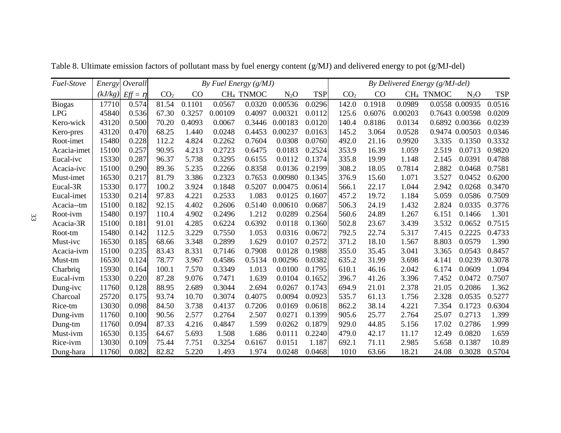| Fuel-Stove  | Energy  | Overall      |                 | By Fuel Energy (g/MJ) |         |                       |         |            | By Delivered Energy (g/MJ-del) |        |         |                       |                |            |
|-------------|---------|--------------|-----------------|-----------------------|---------|-----------------------|---------|------------|--------------------------------|--------|---------|-----------------------|----------------|------------|
|             | (kJ/kg) | $Eff = \eta$ | CO <sub>2</sub> | CO                    |         | CH <sub>4</sub> TNMOC | $N_2O$  | <b>TSP</b> | CO <sub>2</sub>                | CO     |         | CH <sub>4</sub> TNMOC | $N_2O$         | <b>TSP</b> |
| Biogas      | 17710   | 0.574        | 81.54           | 0.1101                | 0.0567  | 0.0320                | 0.00536 | 0.0296     | 142.0                          | 0.1918 | 0.0989  |                       | 0.0558 0.00935 | 0.0516     |
| <b>LPG</b>  | 45840   | 0.536        | 67.30           | 0.3257                | 0.00109 | 0.4097                | 0.00321 | 0.0112     | 125.6                          | 0.6076 | 0.00203 |                       | 0.7643 0.00598 | 0.0209     |
| Kero-wick   | 43120   | 0.500        | 70.20           | 0.4093                | 0.0067  | 0.3446                | 0.00183 | 0.0120     | 140.4                          | 0.8186 | 0.0134  |                       | 0.6892 0.00366 | 0.0239     |
| Kero-pres   | 43120   | 0.470        | 68.25           | 1.440                 | 0.0248  | 0.4453                | 0.00237 | 0.0163     | 145.2                          | 3.064  | 0.0528  |                       | 0.9474 0.00503 | 0.0346     |
| Root-imet   | 15480   | 0.228        | 112.2           | 4.824                 | 0.2262  | 0.7604                | 0.0308  | 0.0760     | 492.0                          | 21.16  | 0.9920  | 3.335                 | 0.1350         | 0.3332     |
| Acacia-imet | 15100   | 0.257        | 90.95           | 4.213                 | 0.2723  | 0.6475                | 0.0183  | 0.2524     | 353.9                          | 16.39  | 1.059   | 2.519                 | 0.0713         | 0.9820     |
| Eucal-ivc   | 15330   | 0.287        | 96.37           | 5.738                 | 0.3295  | 0.6155                | 0.0112  | 0.1374     | 335.8                          | 19.99  | 1.148   | 2.145                 | 0.0391         | 0.4788     |
| Acacia-ivc  | 15100   | 0.290        | 89.36           | 5.235                 | 0.2266  | 0.8358                | 0.0136  | 0.2199     | 308.2                          | 18.05  | 0.7814  | 2.882                 | 0.0468         | 0.7581     |
| Must-imet   | 16530   | 0.217        | 81.79           | 3.386                 | 0.2323  | 0.7653                | 0.00980 | 0.1345     | 376.9                          | 15.60  | 1.071   | 3.527                 | 0.0452         | 0.6200     |
| Eucal-3R    | 15330   | 0.177        | 100.2           | 3.924                 | 0.1848  | 0.5207                | 0.00475 | 0.0614     | 566.1                          | 22.17  | 1.044   | 2.942                 | 0.0268         | 0.3470     |
| Eucal-imet  | 15330   | 0.214        | 97.83           | 4.221                 | 0.2533  | 1.083                 | 0.0125  | 0.1607     | 457.2                          | 19.72  | 1.184   | 5.059                 | 0.0586         | 0.7509     |
| Acacia--tm  | 15100   | 0.182        | 92.15           | 4.402                 | 0.2606  | 0.5140                | 0.00610 | 0.0687     | 506.3                          | 24.19  | 1.432   | 2.824                 | 0.0335         | 0.3776     |
| Root-ivm    | 15480   | 0.197        | 110.4           | 4.902                 | 0.2496  | 1.212                 | 0.0289  | 0.2564     | 560.6                          | 24.89  | 1.267   | 6.151                 | 0.1466         | 1.301      |
| Acacia-3R   | 15100   | 0.181        | 91.01           | 4.285                 | 0.6224  | 0.6392                | 0.0118  | 0.1360     | 502.8                          | 23.67  | 3.439   | 3.532                 | 0.0652         | 0.7515     |
| Root-tm     | 15480   | 0.142        | 112.5           | 3.229                 | 0.7550  | 1.053                 | 0.0316  | 0.0672     | 792.5                          | 22.74  | 5.317   | 7.415                 | 0.2225         | 0.4733     |
| Must-ivc    | 16530   | 0.185        | 68.66           | 3.348                 | 0.2899  | 1.629                 | 0.0107  | 0.2572     | 371.2                          | 18.10  | 1.567   | 8.803                 | 0.0579         | 1.390      |
| Acacia-ivm  | 15100   | 0.235        | 83.43           | 8.331                 | 0.7146  | 0.7908                | 0.0128  | 0.1988     | 355.0                          | 35.45  | 3.041   | 3.365                 | 0.0543         | 0.8457     |
| Must-tm     | 16530   | 0.124        | 78.77           | 3.967                 | 0.4586  | 0.5134                | 0.00296 | 0.0382     | 635.2                          | 31.99  | 3.698   | 4.141                 | 0.0239         | 0.3078     |
| Charbriq    | 15930   | 0.164        | 100.1           | 7.570                 | 0.3349  | 1.013                 | 0.0100  | 0.1795     | 610.1                          | 46.16  | 2.042   | 6.174                 | 0.0609         | 1.094      |
| Eucal-ivm   | 15330   | 0.220        | 87.28           | 9.076                 | 0.7471  | 1.639                 | 0.0104  | 0.1652     | 396.7                          | 41.26  | 3.396   | 7.452                 | 0.0472         | 0.7507     |
| Dung-ivc    | 11760   | 0.128        | 88.95           | 2.689                 | 0.3044  | 2.694                 | 0.0267  | 0.1743     | 694.9                          | 21.01  | 2.378   | 21.05                 | 0.2086         | 1.362      |
| Charcoal    | 25720   | 0.175        | 93.74           | 10.70                 | 0.3074  | 0.4075                | 0.0094  | 0.0923     | 535.7                          | 61.13  | 1.756   | 2.328                 | 0.0535         | 0.5277     |
| Rice-tm     | 13030   | 0.098        | 84.50           | 3.738                 | 0.4137  | 0.7206                | 0.0169  | 0.0618     | 862.2                          | 38.14  | 4.221   | 7.354                 | 0.1723         | 0.6304     |
| Dung-ivm    | 11760   | 0.100        | 90.56           | 2.577                 | 0.2764  | 2.507                 | 0.0271  | 0.1399     | 905.6                          | 25.77  | 2.764   | 25.07                 | 0.2713         | 1.399      |
| Dung-tm     | 11760   | 0.094        | 87.33           | 4.216                 | 0.4847  | 1.599                 | 0.0262  | 0.1879     | 929.0                          | 44.85  | 5.156   | 17.02                 | 0.2786         | 1.999      |
| Must-ivm    | 16530   | 0.135        | 64.67           | 5.693                 | 1.508   | 1.686                 | 0.0111  | 0.2240     | 479.0                          | 42.17  | 11.17   | 12.49                 | 0.0820         | 1.659      |
| Rice-ivm    | 13030   | 0.109        | 75.44           | 7.751                 | 0.3254  | 0.6167                | 0.0151  | 1.187      | 692.1                          | 71.11  | 2.985   | 5.658                 | 0.1387         | 10.89      |
| Dung-hara   | 11760   | 0.082        | 82.82           | 5.220                 | 1.493   | 1.974                 | 0.0248  | 0.0468     | 1010                           | 63.66  | 18.21   | 24.08                 | 0.3028         | 0.5704     |

Table 8. Ultimate emission factors of pollutant mass by fuel energy content (g/MJ) and delivered energy to pot (g/MJ-del)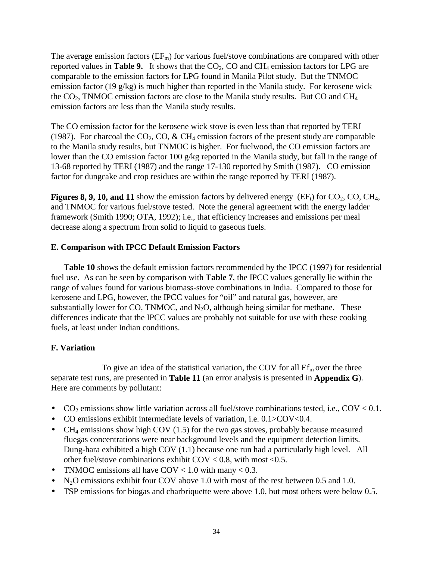The average emission factors  $(EF_m)$  for various fuel/stove combinations are compared with other reported values in **Table 9.** It shows that the  $CO<sub>2</sub>$ , CO and CH<sub>4</sub> emission factors for LPG are comparable to the emission factors for LPG found in Manila Pilot study. But the TNMOC emission factor (19 g/kg) is much higher than reported in the Manila study. For kerosene wick the  $CO<sub>2</sub>$ , TNMOC emission factors are close to the Manila study results. But CO and CH<sub>4</sub> emission factors are less than the Manila study results.

The CO emission factor for the kerosene wick stove is even less than that reported by TERI (1987). For charcoal the  $CO_2$ , CO, & CH<sub>4</sub> emission factors of the present study are comparable to the Manila study results, but TNMOC is higher. For fuelwood, the CO emission factors are lower than the CO emission factor 100 g/kg reported in the Manila study, but fall in the range of 13-68 reported by TERI (1987) and the range 17-130 reported by Smith (1987). CO emission factor for dungcake and crop residues are within the range reported by TERI (1987).

**Figures 8, 9, 10, and 11** show the emission factors by delivered energy (EF<sub>t</sub>) for  $CO_2$ , CO, CH<sub>4</sub>, and TNMOC for various fuel/stove tested. Note the general agreement with the energy ladder framework (Smith 1990; OTA, 1992); i.e., that efficiency increases and emissions per meal decrease along a spectrum from solid to liquid to gaseous fuels.

# **E. Comparison with IPCC Default Emission Factors**

**Table 10** shows the default emission factors recommended by the IPCC (1997) for residential fuel use. As can be seen by comparison with **Table 7**, the IPCC values generally lie within the range of values found for various biomass-stove combinations in India. Compared to those for kerosene and LPG, however, the IPCC values for "oil" and natural gas, however, are substantially lower for CO, TNMOC, and  $N_2O$ , although being similar for methane. These differences indicate that the IPCC values are probably not suitable for use with these cooking fuels, at least under Indian conditions.

# **F. Variation**

To give an idea of the statistical variation, the COV for all  $\mathrm{Ef}_{\mathrm{m}}$  over the three separate test runs, are presented in **Table 11** (an error analysis is presented in **Appendix G**). Here are comments by pollutant:

- CO<sub>2</sub> emissions show little variation across all fuel/stove combinations tested, i.e., COV < 0.1.
- CO emissions exhibit intermediate levels of variation, i.e.  $0.1$ >COV<0.4.
- CH<sub>4</sub> emissions show high COV (1.5) for the two gas stoves, probably because measured fluegas concentrations were near background levels and the equipment detection limits. Dung-hara exhibited a high COV (1.1) because one run had a particularly high level. All other fuel/stove combinations exhibit  $COV < 0.8$ , with most <0.5.
- TNMOC emissions all have COV <  $1.0$  with many <  $0.3$ .
- N<sub>2</sub>O emissions exhibit four COV above 1.0 with most of the rest between 0.5 and 1.0.
- TSP emissions for biogas and charbriquette were above 1.0, but most others were below 0.5.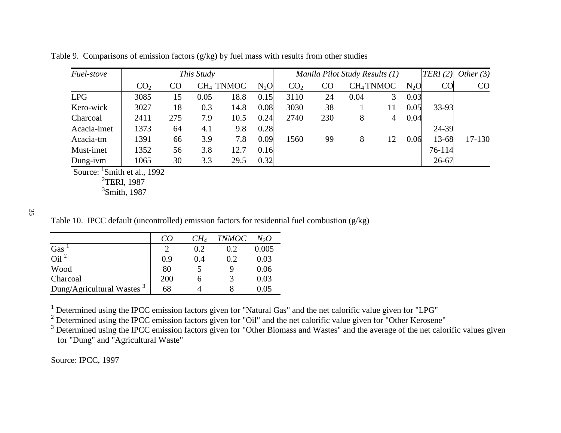| Fuel-stove  | This Study      |     |      |                       |        | Manila Pilot Study Results (1) |     |      |                       |        | TERI(2)   | Other $(3)$ |
|-------------|-----------------|-----|------|-----------------------|--------|--------------------------------|-----|------|-----------------------|--------|-----------|-------------|
|             | CO <sub>2</sub> | CO  |      | CH <sub>4</sub> TNMOC | $N_2O$ | CO <sub>2</sub>                | CO  |      | CH <sub>4</sub> TNMOC | $N_2O$ | CO        | CO          |
| <b>LPG</b>  | 3085            | 15  | 0.05 | 18.8                  | 0.15   | 3110                           | 24  | 0.04 |                       | 0.03   |           |             |
| Kero-wick   | 3027            | 18  | 0.3  | 14.8                  | 0.08   | 3030                           | 38  |      | 11                    | 0.05   | 33-93     |             |
| Charcoal    | 2411            | 275 | 7.9  | 10.5                  | 0.24   | 2740                           | 230 | 8    | 4                     | 0.04   |           |             |
| Acacia-imet | 1373            | 64  | 4.1  | 9.8                   | 0.28   |                                |     |      |                       |        | 24-39     |             |
| Acacia-tm   | 1391            | 66  | 3.9  | 7.8                   | 0.09   | 1560                           | 99  | 8    | 12                    | 0.06   | 13-68     | $17 - 130$  |
| Must-imet   | 1352            | 56  | 3.8  | 12.7                  | 0.16   |                                |     |      |                       |        | 76-114    |             |
| Dung-ivm    | 1065            | 30  | 3.3  | 29.5                  | 0.32   |                                |     |      |                       |        | $26 - 67$ |             |

Table 9. Comparisons of emission factors (g/kg) by fuel mass with results from other studies

Source: <sup>1</sup>Smith et al., 1992

<sup>2</sup>TERI, 1987

 $3$ Smith, 1987

35

Table 10. IPCC default (uncontrolled) emission factors for residential fuel combustion (g/kg)

|                                       | CO  | $CH_4$ | <b>TNMOC</b> | $N_2O$ |
|---------------------------------------|-----|--------|--------------|--------|
| Gas                                   |     | 0.2    | 0.2          | 0.005  |
| $\overline{0}$ il <sup>2</sup>        | 0.9 | 0.4    | 0.2          | 0.03   |
| Wood                                  | 80  |        |              | 0.06   |
| Charcoal                              | 200 | h      |              | 0.03   |
| Dung/Agricultural Wastes <sup>3</sup> | 68  |        |              | 0.05   |

 $1$  Determined using the IPCC emission factors given for "Natural Gas" and the net calorific value given for "LPG"

 $2$  Determined using the IPCC emission factors given for "Oil" and the net calorific value given for "Other Kerosene"

 $3$  Determined using the IPCC emission factors given for "Other Biomass and Wastes" and the average of the net calorific values given for "Dung" and "Agricultural Waste"

Source: IPCC, 1997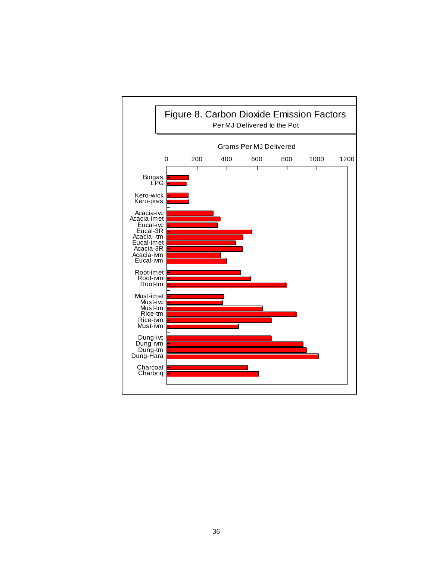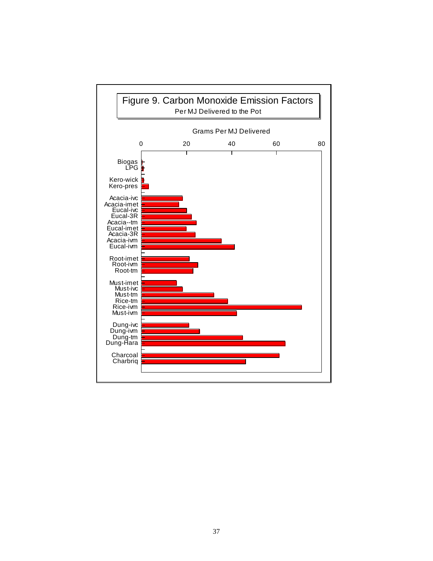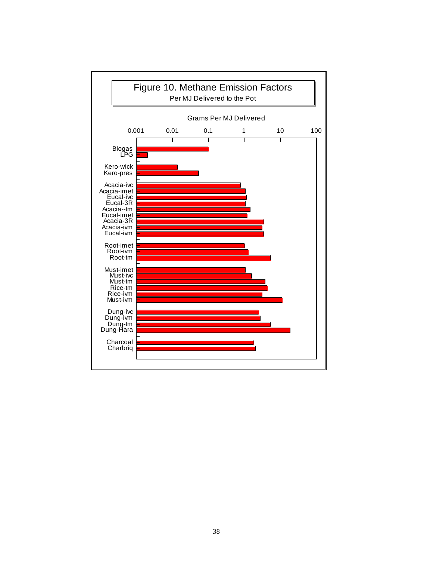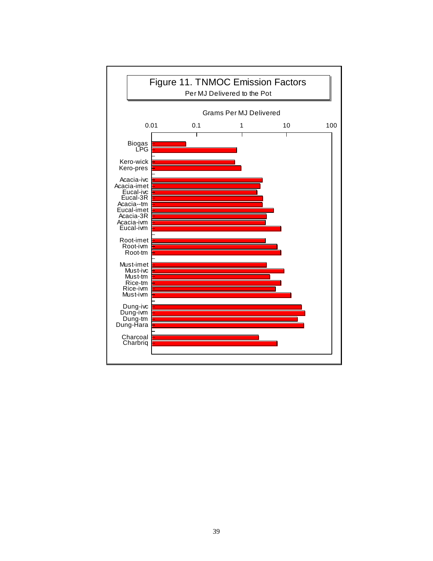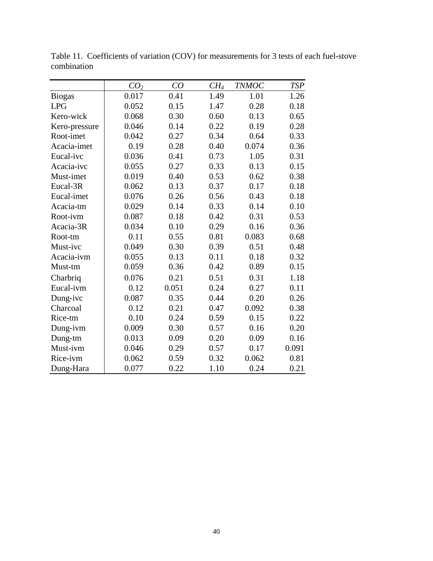|               | CO <sub>2</sub> | CO    | $CH_4$ | <b>TNMOC</b> | <b>TSP</b> |
|---------------|-----------------|-------|--------|--------------|------------|
| <b>Biogas</b> | 0.017           | 0.41  | 1.49   | 1.01         | 1.26       |
| <b>LPG</b>    | 0.052           | 0.15  | 1.47   | 0.28         | 0.18       |
| Kero-wick     | 0.068           | 0.30  | 0.60   | 0.13         | 0.65       |
| Kero-pressure | 0.046           | 0.14  | 0.22   | 0.19         | 0.28       |
| Root-imet     | 0.042           | 0.27  | 0.34   | 0.64         | 0.33       |
| Acacia-imet   | 0.19            | 0.28  | 0.40   | 0.074        | 0.36       |
| Eucal-ivc     | 0.036           | 0.41  | 0.73   | 1.05         | 0.31       |
| Acacia-ivc    | 0.055           | 0.27  | 0.33   | 0.13         | 0.15       |
| Must-imet     | 0.019           | 0.40  | 0.53   | 0.62         | 0.38       |
| Eucal-3R      | 0.062           | 0.13  | 0.37   | 0.17         | 0.18       |
| Eucal-imet    | 0.076           | 0.26  | 0.56   | 0.43         | 0.18       |
| Acacia-tm     | 0.029           | 0.14  | 0.33   | 0.14         | 0.10       |
| Root-ivm      | 0.087           | 0.18  | 0.42   | 0.31         | 0.53       |
| Acacia-3R     | 0.034           | 0.10  | 0.29   | 0.16         | 0.36       |
| Root-tm       | 0.11            | 0.55  | 0.81   | 0.083        | 0.68       |
| Must-ivc      | 0.049           | 0.30  | 0.39   | 0.51         | 0.48       |
| Acacia-ivm    | 0.055           | 0.13  | 0.11   | 0.18         | 0.32       |
| Must-tm       | 0.059           | 0.36  | 0.42   | 0.89         | 0.15       |
| Charbriq      | 0.076           | 0.21  | 0.51   | 0.31         | 1.18       |
| Eucal-ivm     | 0.12            | 0.051 | 0.24   | 0.27         | 0.11       |
| Dung-ivc      | 0.087           | 0.35  | 0.44   | 0.20         | 0.26       |
| Charcoal      | 0.12            | 0.21  | 0.47   | 0.092        | 0.38       |
| Rice-tm       | 0.10            | 0.24  | 0.59   | 0.15         | 0.22       |
| Dung-ivm      | 0.009           | 0.30  | 0.57   | 0.16         | 0.20       |
| Dung-tm       | 0.013           | 0.09  | 0.20   | 0.09         | 0.16       |
| Must-ivm      | 0.046           | 0.29  | 0.57   | 0.17         | 0.091      |
| Rice-ivm      | 0.062           | 0.59  | 0.32   | 0.062        | 0.81       |
| Dung-Hara     | 0.077           | 0.22  | 1.10   | 0.24         | 0.21       |

Table 11. Coefficients of variation (COV) for measurements for 3 tests of each fuel-stove combination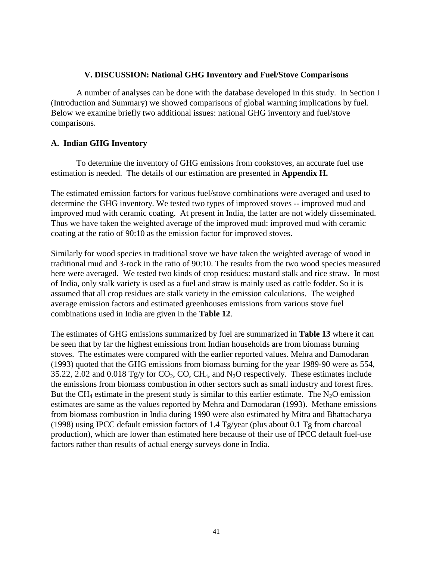## **V. DISCUSSION: National GHG Inventory and Fuel/Stove Comparisons**

A number of analyses can be done with the database developed in this study. In Section I (Introduction and Summary) we showed comparisons of global warming implications by fuel. Below we examine briefly two additional issues: national GHG inventory and fuel/stove comparisons.

## **A. Indian GHG Inventory**

To determine the inventory of GHG emissions from cookstoves, an accurate fuel use estimation is needed. The details of our estimation are presented in **Appendix H.** 

The estimated emission factors for various fuel/stove combinations were averaged and used to determine the GHG inventory. We tested two types of improved stoves -- improved mud and improved mud with ceramic coating. At present in India, the latter are not widely disseminated. Thus we have taken the weighted average of the improved mud: improved mud with ceramic coating at the ratio of 90:10 as the emission factor for improved stoves.

Similarly for wood species in traditional stove we have taken the weighted average of wood in traditional mud and 3-rock in the ratio of 90:10. The results from the two wood species measured here were averaged. We tested two kinds of crop residues: mustard stalk and rice straw. In most of India, only stalk variety is used as a fuel and straw is mainly used as cattle fodder. So it is assumed that all crop residues are stalk variety in the emission calculations. The weighed average emission factors and estimated greenhouses emissions from various stove fuel combinations used in India are given in the **Table 12**.

The estimates of GHG emissions summarized by fuel are summarized in **Table 13** where it can be seen that by far the highest emissions from Indian households are from biomass burning stoves. The estimates were compared with the earlier reported values. Mehra and Damodaran (1993) quoted that the GHG emissions from biomass burning for the year 1989-90 were as 554, 35.22, 2.02 and 0.018 Tg/y for  $CO_2$ ,  $CO$ ,  $CH_4$ , and  $N_2O$  respectively. These estimates include the emissions from biomass combustion in other sectors such as small industry and forest fires. But the CH<sub>4</sub> estimate in the present study is similar to this earlier estimate. The N<sub>2</sub>O emission estimates are same as the values reported by Mehra and Damodaran (1993). Methane emissions from biomass combustion in India during 1990 were also estimated by Mitra and Bhattacharya (1998) using IPCC default emission factors of 1.4 Tg/year (plus about 0.1 Tg from charcoal production), which are lower than estimated here because of their use of IPCC default fuel-use factors rather than results of actual energy surveys done in India.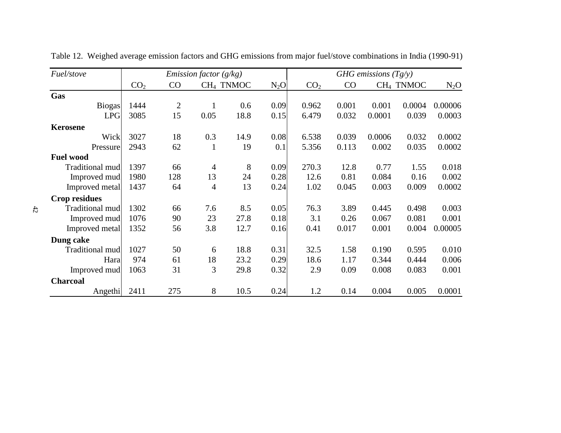| Fuel/stove           | <i>Emission factor</i> $(g/kg)$ |                |                | GHG emissions $(Tg/y)$ |        |                 |       |        |                       |         |
|----------------------|---------------------------------|----------------|----------------|------------------------|--------|-----------------|-------|--------|-----------------------|---------|
|                      | CO <sub>2</sub>                 | CO             |                | CH <sub>4</sub> TNMOC  | $N_2O$ | CO <sub>2</sub> | CO    |        | CH <sub>4</sub> TNMOC | $N_2O$  |
| Gas                  |                                 |                |                |                        |        |                 |       |        |                       |         |
| <b>Biogas</b>        | 1444                            | $\overline{2}$ | 1              | 0.6                    | 0.09   | 0.962           | 0.001 | 0.001  | 0.0004                | 0.00006 |
| <b>LPG</b>           | 3085                            | 15             | 0.05           | 18.8                   | 0.15   | 6.479           | 0.032 | 0.0001 | 0.039                 | 0.0003  |
| <b>Kerosene</b>      |                                 |                |                |                        |        |                 |       |        |                       |         |
| Wick                 | 3027                            | 18             | 0.3            | 14.9                   | 0.08   | 6.538           | 0.039 | 0.0006 | 0.032                 | 0.0002  |
| Pressure             | 2943                            | 62             | $\mathbf{1}$   | 19                     | 0.1    | 5.356           | 0.113 | 0.002  | 0.035                 | 0.0002  |
| <b>Fuel wood</b>     |                                 |                |                |                        |        |                 |       |        |                       |         |
| Traditional mud      | 1397                            | 66             | $\overline{4}$ | 8                      | 0.09   | 270.3           | 12.8  | 0.77   | 1.55                  | 0.018   |
| Improved mud         | 1980                            | 128            | 13             | 24                     | 0.28   | 12.6            | 0.81  | 0.084  | 0.16                  | 0.002   |
| Improved metal       | 1437                            | 64             | $\overline{4}$ | 13                     | 0.24   | 1.02            | 0.045 | 0.003  | 0.009                 | 0.0002  |
| <b>Crop residues</b> |                                 |                |                |                        |        |                 |       |        |                       |         |
| Traditional mud      | 1302                            | 66             | 7.6            | 8.5                    | 0.05   | 76.3            | 3.89  | 0.445  | 0.498                 | 0.003   |
| Improved mud         | 1076                            | 90             | 23             | 27.8                   | 0.18   | 3.1             | 0.26  | 0.067  | 0.081                 | 0.001   |
| Improved metal       | 1352                            | 56             | 3.8            | 12.7                   | 0.16   | 0.41            | 0.017 | 0.001  | 0.004                 | 0.00005 |
| Dung cake            |                                 |                |                |                        |        |                 |       |        |                       |         |
| Traditional mud      | 1027                            | 50             | 6              | 18.8                   | 0.31   | 32.5            | 1.58  | 0.190  | 0.595                 | 0.010   |
| Hara                 | 974                             | 61             | 18             | 23.2                   | 0.29   | 18.6            | 1.17  | 0.344  | 0.444                 | 0.006   |
| Improved mud         | 1063                            | 31             | 3              | 29.8                   | 0.32   | 2.9             | 0.09  | 0.008  | 0.083                 | 0.001   |
| <b>Charcoal</b>      |                                 |                |                |                        |        |                 |       |        |                       |         |
| Angethi              | 2411                            | 275            | 8              | 10.5                   | 0.24   | 1.2             | 0.14  | 0.004  | 0.005                 | 0.0001  |

Table 12. Weighed average emission factors and GHG emissions from major fuel/stove combinations in India (1990-91)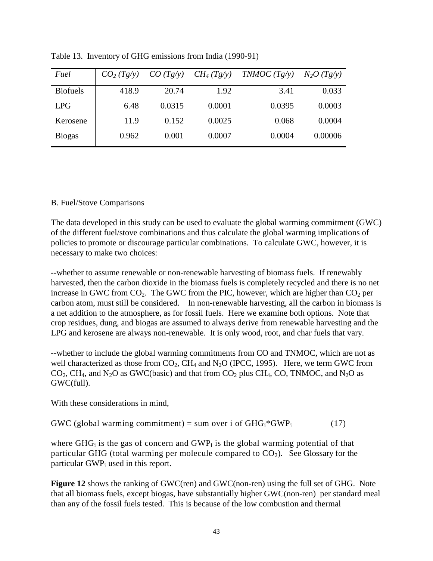| Fuel            | CO <sub>2</sub> (Tg/y) | CO (Tg/y) | $CH_4(Tg/y)$ | TNMOC(Tg/y) | $N_2O(Tg/y)$ |
|-----------------|------------------------|-----------|--------------|-------------|--------------|
| <b>Biofuels</b> | 418.9                  | 20.74     | 1.92         | 3.41        | 0.033        |
| <b>LPG</b>      | 6.48                   | 0.0315    | 0.0001       | 0.0395      | 0.0003       |
| Kerosene        | 11.9                   | 0.152     | 0.0025       | 0.068       | 0.0004       |
| <b>Biogas</b>   | 0.962                  | 0.001     | 0.0007       | 0.0004      | 0.00006      |

Table 13. Inventory of GHG emissions from India (1990-91)

# B. Fuel/Stove Comparisons

The data developed in this study can be used to evaluate the global warming commitment (GWC) of the different fuel/stove combinations and thus calculate the global warming implications of policies to promote or discourage particular combinations. To calculate GWC, however, it is necessary to make two choices:

--whether to assume renewable or non-renewable harvesting of biomass fuels. If renewably harvested, then the carbon dioxide in the biomass fuels is completely recycled and there is no net increase in GWC from  $CO_2$ . The GWC from the PIC, however, which are higher than  $CO_2$  per carbon atom, must still be considered. In non-renewable harvesting, all the carbon in biomass is a net addition to the atmosphere, as for fossil fuels. Here we examine both options. Note that crop residues, dung, and biogas are assumed to always derive from renewable harvesting and the LPG and kerosene are always non-renewable. It is only wood, root, and char fuels that vary.

--whether to include the global warming commitments from CO and TNMOC, which are not as well characterized as those from  $CO<sub>2</sub>$ , CH<sub>4</sub> and N<sub>2</sub>O (IPCC, 1995). Here, we term GWC from  $CO<sub>2</sub>$ , CH<sub>4</sub>, and N<sub>2</sub>O as GWC(basic) and that from  $CO<sub>2</sub>$  plus CH<sub>4</sub>, CO, TNMOC, and N<sub>2</sub>O as GWC(full).

With these considerations in mind,

GWC (global warming commitment) = sum over i of  $GHG_i*GWP_i$  (17)

where  $GHG_i$  is the gas of concern and  $GWP_i$  is the global warming potential of that particular GHG (total warming per molecule compared to  $CO<sub>2</sub>$ ). See Glossary for the particular  $GWP_i$  used in this report.

**Figure 12** shows the ranking of GWC(ren) and GWC(non-ren) using the full set of GHG. Note that all biomass fuels, except biogas, have substantially higher GWC(non-ren) per standard meal than any of the fossil fuels tested. This is because of the low combustion and thermal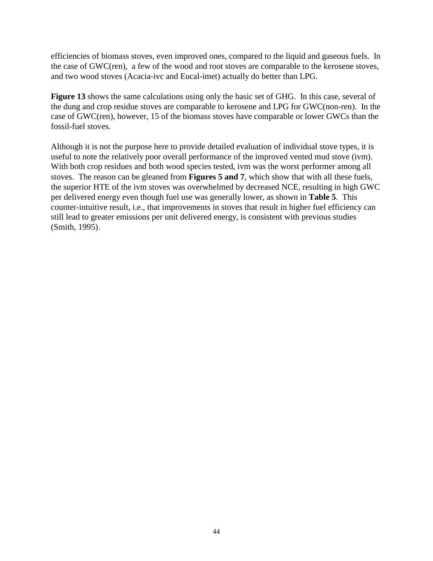efficiencies of biomass stoves, even improved ones, compared to the liquid and gaseous fuels. In the case of GWC(ren), a few of the wood and root stoves are comparable to the kerosene stoves, and two wood stoves (Acacia-ivc and Eucal-imet) actually do better than LPG.

**Figure 13** shows the same calculations using only the basic set of GHG. In this case, several of the dung and crop residue stoves are comparable to kerosene and LPG for GWC(non-ren). In the case of GWC(ren), however, 15 of the biomass stoves have comparable or lower GWCs than the fossil-fuel stoves.

Although it is not the purpose here to provide detailed evaluation of individual stove types, it is useful to note the relatively poor overall performance of the improved vented mud stove (ivm). With both crop residues and both wood species tested, ivm was the worst performer among all stoves. The reason can be gleaned from **Figures 5 and 7**, which show that with all these fuels, the superior HTE of the ivm stoves was overwhelmed by decreased NCE, resulting in high GWC per delivered energy even though fuel use was generally lower, as shown in **Table 5**. This counter-intuitive result, i.e., that improvements in stoves that result in higher fuel efficiency can still lead to greater emissions per unit delivered energy, is consistent with previous studies (Smith, 1995).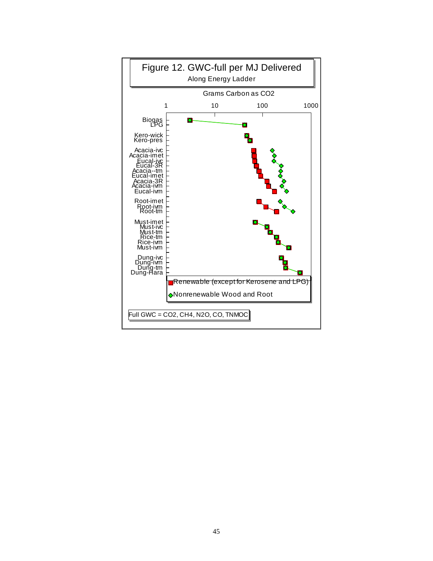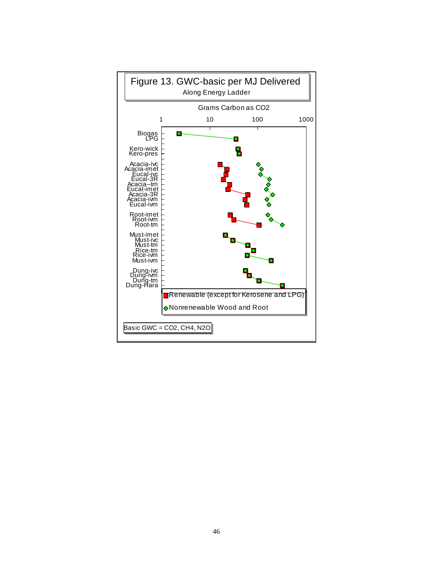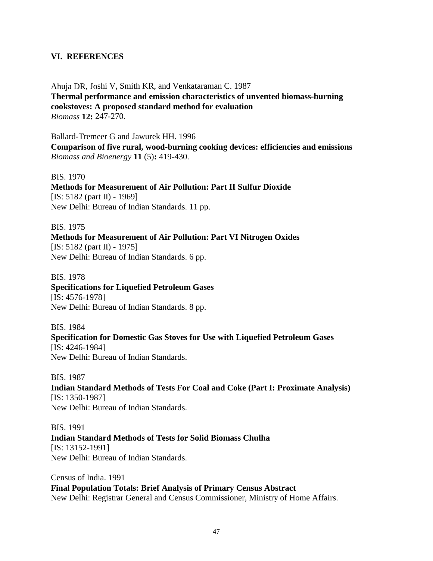## **VI. REFERENCES**

Ahuja DR, Joshi V, Smith KR, and Venkataraman C. 1987 **Thermal performance and emission characteristics of unvented biomass-burning cookstoves: A proposed standard method for evaluation**  *Biomass* **12:** 247-270.

Ballard-Tremeer G and Jawurek HH. 1996

**Comparison of five rural, wood-burning cooking devices: efficiencies and emissions**  *Biomass and Bioenergy* **11** (5)**:** 419-430.

BIS. 1970

**Methods for Measurement of Air Pollution: Part II Sulfur Dioxide**  [IS: 5182 (part II) - 1969] New Delhi: Bureau of Indian Standards. 11 pp.

BIS. 1975 **Methods for Measurement of Air Pollution: Part VI Nitrogen Oxides**  [IS: 5182 (part II) - 1975] New Delhi: Bureau of Indian Standards. 6 pp.

BIS. 1978 **Specifications for Liquefied Petroleum Gases**  [IS: 4576-1978] New Delhi: Bureau of Indian Standards. 8 pp.

BIS. 1984 **Specification for Domestic Gas Stoves for Use with Liquefied Petroleum Gases**  [IS: 4246-1984] New Delhi: Bureau of Indian Standards.

BIS. 1987 **Indian Standard Methods of Tests For Coal and Coke (Part I: Proximate Analysis)**  [IS: 1350-1987] New Delhi: Bureau of Indian Standards.

BIS. 1991 **Indian Standard Methods of Tests for Solid Biomass Chulha**  [IS: 13152-1991] New Delhi: Bureau of Indian Standards.

Census of India. 1991 **Final Population Totals: Brief Analysis of Primary Census Abstract**  New Delhi: Registrar General and Census Commissioner, Ministry of Home Affairs.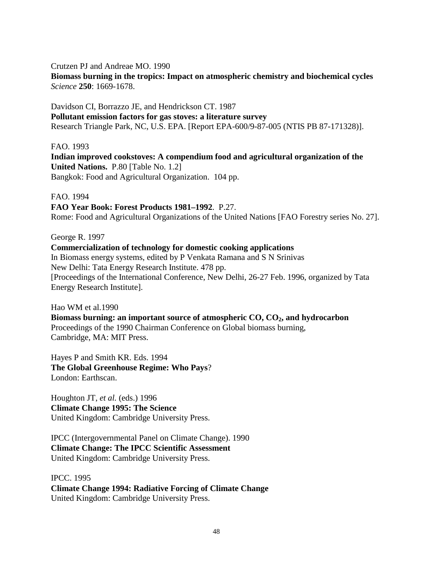Crutzen PJ and Andreae MO. 1990

**Biomass burning in the tropics: Impact on atmospheric chemistry and biochemical cycles**  *Science* **250**: 1669-1678.

Davidson CI, Borrazzo JE, and Hendrickson CT. 1987 **Pollutant emission factors for gas stoves: a literature survey**  Research Triangle Park, NC, U.S. EPA. [Report EPA-600/9-87-005 (NTIS PB 87-171328)].

FAO. 1993

**Indian improved cookstoves: A compendium food and agricultural organization of the United Nations.** P.80 [Table No. 1.2] Bangkok: Food and Agricultural Organization. 104 pp.

FAO. 1994

# **FAO Year Book: Forest Products 1981–1992**. P.27.

Rome: Food and Agricultural Organizations of the United Nations [FAO Forestry series No. 27].

George R. 1997

**Commercialization of technology for domestic cooking applications**  In Biomass energy systems, edited by P Venkata Ramana and S N Srinivas New Delhi: Tata Energy Research Institute. 478 pp. [Proceedings of the International Conference, New Delhi, 26-27 Feb. 1996, organized by Tata Energy Research Institute].

Hao WM et al.1990 **Biomass burning: an important source of atmospheric CO, CO2, and hydrocarbon**  Proceedings of the 1990 Chairman Conference on Global biomass burning, Cambridge, MA: MIT Press.

Hayes P and Smith KR. Eds. 1994 **The Global Greenhouse Regime: Who Pays**? London: Earthscan.

Houghton JT, *et al.* (eds.) 1996 **Climate Change 1995: The Science**  United Kingdom: Cambridge University Press.

IPCC (Intergovernmental Panel on Climate Change). 1990 **Climate Change: The IPCC Scientific Assessment**  United Kingdom: Cambridge University Press.

IPCC. 1995 **Climate Change 1994: Radiative Forcing of Climate Change**  United Kingdom: Cambridge University Press.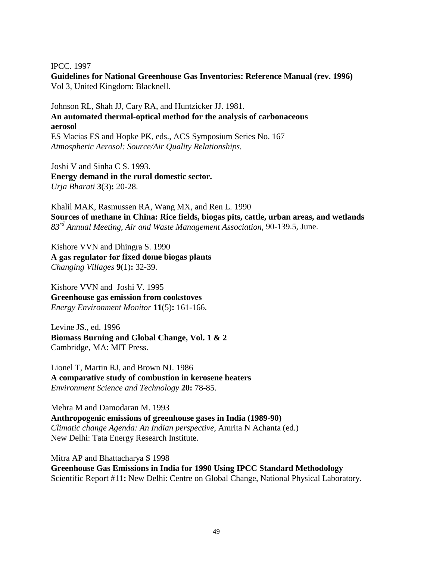IPCC. 1997

**Guidelines for National Greenhouse Gas Inventories: Reference Manual (rev. 1996)**  Vol 3, United Kingdom: Blacknell.

Johnson RL, Shah JJ, Cary RA, and Huntzicker JJ. 1981. **An automated thermal-optical method for the analysis of carbonaceous aerosol**  ES Macias ES and Hopke PK, eds., ACS Symposium Series No. 167 *Atmospheric Aerosol: Source/Air Quality Relationships.* 

Joshi V and Sinha C S. 1993. **Energy demand in the rural domestic sector.**  *Urja Bharati* **3**(3)**:** 20-28.

Khalil MAK, Rasmussen RA, Wang MX, and Ren L. 1990 **Sources of methane in China: Rice fields, biogas pits, cattle, urban areas, and wetlands**  *83rd Annual Meeting, Air and Waste Management Association,* 90-139.5, June.

Kishore VVN and Dhingra S. 1990 **A gas regulator for fixed dome biogas plants**  *Changing Villages* **9**(1)**:** 32-39.

Kishore VVN and Joshi V. 1995 **Greenhouse gas emission from cookstoves**  *Energy Environment Monitor* **11**(5)**:** 161-166.

Levine JS., ed. 1996 **Biomass Burning and Global Change, Vol. 1 & 2**  Cambridge, MA: MIT Press.

Lionel T, Martin RJ, and Brown NJ. 1986 **A comparative study of combustion in kerosene heaters**  *Environment Science and Technology* **20:** 78-85.

Mehra M and Damodaran M. 1993 **Anthropogenic emissions of greenhouse gases in India (1989-90)**  *Climatic change Agenda: An Indian perspective*, Amrita N Achanta (ed.) New Delhi: Tata Energy Research Institute.

Mitra AP and Bhattacharya S 1998 **Greenhouse Gas Emissions in India for 1990 Using IPCC Standard Methodology**  Scientific Report #11**:** New Delhi: Centre on Global Change, National Physical Laboratory.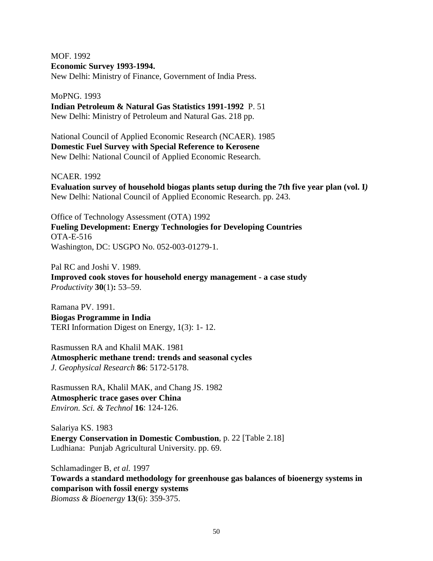MOF. 1992 **Economic Survey 1993-1994.** 

New Delhi: Ministry of Finance, Government of India Press.

MoPNG. 1993

**Indian Petroleum & Natural Gas Statistics 1991-1992** P. 51 New Delhi: Ministry of Petroleum and Natural Gas. 218 pp.

National Council of Applied Economic Research (NCAER). 1985 **Domestic Fuel Survey with Special Reference to Kerosene**  New Delhi: National Council of Applied Economic Research.

NCAER. 1992

**Evaluation survey of household biogas plants setup during the 7th five year plan (vol. I***)*  New Delhi: National Council of Applied Economic Research. pp. 243.

Office of Technology Assessment (OTA) 1992 **Fueling Development: Energy Technologies for Developing Countries**  OTA-E-516 Washington, DC: USGPO No. 052-003-01279-1.

Pal RC and Joshi V. 1989. **Improved cook stoves for household energy management - a case study**  *Productivity* **30**(1)**:** 53–59.

Ramana PV. 1991. **Biogas Programme in India**  TERI Information Digest on Energy, 1(3): 1- 12.

Rasmussen RA and Khalil MAK. 1981 **Atmospheric methane trend: trends and seasonal cycles**  *J. Geophysical Research* **86**: 5172-5178.

Rasmussen RA, Khalil MAK, and Chang JS. 1982 **Atmospheric trace gases over China**  *Environ. Sci. & Technol* **16**: 124-126.

Salariya KS. 1983 **Energy Conservation in Domestic Combustion**, p. 22 [Table 2.18] Ludhiana: Punjab Agricultural University. pp. 69.

Schlamadinger B, *et al.* 1997 **Towards a standard methodology for greenhouse gas balances of bioenergy systems in comparison with fossil energy systems**  *Biomass & Bioenergy* **13**(6): 359-375.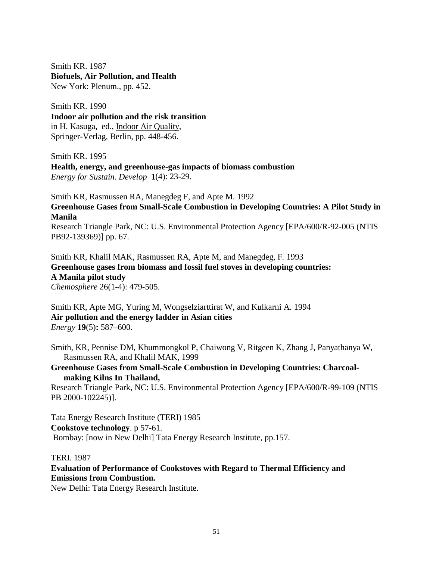Smith KR. 1987 **Biofuels, Air Pollution, and Health**  New York: Plenum., pp. 452.

Smith KR. 1990 **Indoor air pollution and the risk transition**  in H. Kasuga, ed., Indoor Air Quality, Springer-Verlag, Berlin, pp. 448-456.

Smith KR. 1995 **Health, energy, and greenhouse-gas impacts of biomass combustion**  *Energy for Sustain. Develop* **1**(4): 23-29.

Smith KR, Rasmussen RA, Manegdeg F, and Apte M. 1992 **Greenhouse Gases from Small-Scale Combustion in Developing Countries: A Pilot Study in Manila** 

Research Triangle Park, NC: U.S. Environmental Protection Agency [EPA/600/R-92-005 (NTIS PB92-139369)] pp. 67.

Smith KR, Khalil MAK, Rasmussen RA, Apte M, and Manegdeg, F*.* 1993 **Greenhouse gases from biomass and fossil fuel stoves in developing countries: A Manila pilot study**  *Chemosphere* 26(1-4): 479-505.

Smith KR, Apte MG, Yuring M, Wongselziarttirat W, and Kulkarni A. 1994 **Air pollution and the energy ladder in Asian cities**  *Energy* **19**(5)**:** 587–600.

Smith, KR, Pennise DM, Khummongkol P, Chaiwong V, Ritgeen K, Zhang J, Panyathanya W, Rasmussen RA, and Khalil MAK, 1999

**Greenhouse Gases from Small-Scale Combustion in Developing Countries: Charcoalmaking Kilns In Thailand,** 

Research Triangle Park, NC: U.S. Environmental Protection Agency [EPA/600/R-99-109 (NTIS PB 2000-102245)].

Tata Energy Research Institute (TERI) 1985 **Cookstove technology**. p 57-61. Bombay: [now in New Delhi] Tata Energy Research Institute, pp.157.

TERI. 1987

**Evaluation of Performance of Cookstoves with Regard to Thermal Efficiency and Emissions from Combustion***.* 

New Delhi: Tata Energy Research Institute.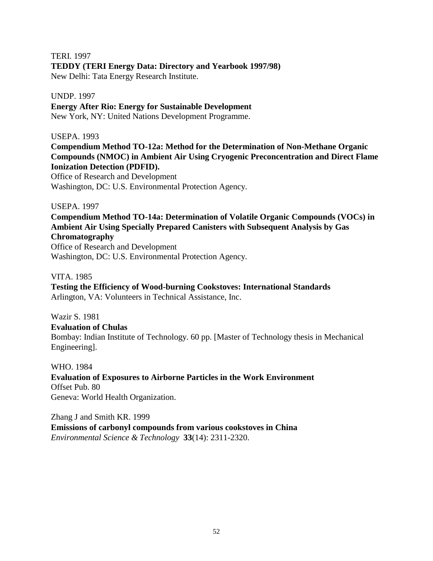TERI. 1997

## **TEDDY (TERI Energy Data: Directory and Yearbook 1997/98)**

New Delhi: Tata Energy Research Institute.

#### UNDP. 1997

**Energy After Rio: Energy for Sustainable Development**  New York, NY: United Nations Development Programme.

#### USEPA. 1993

**Compendium Method TO-12a: Method for the Determination of Non-Methane Organic Compounds (NMOC) in Ambient Air Using Cryogenic Preconcentration and Direct Flame Ionization Detection (PDFID).** 

Office of Research and Development Washington, DC: U.S. Environmental Protection Agency.

### USEPA. 1997

**Compendium Method TO-14a: Determination of Volatile Organic Compounds (VOCs) in Ambient Air Using Specially Prepared Canisters with Subsequent Analysis by Gas Chromatography** 

Office of Research and Development Washington, DC: U.S. Environmental Protection Agency.

## VITA. 1985

**Testing the Efficiency of Wood-burning Cookstoves: International Standards**  Arlington, VA: Volunteers in Technical Assistance, Inc.

Wazir S. 1981

#### **Evaluation of Chulas**

Bombay: Indian Institute of Technology. 60 pp. [Master of Technology thesis in Mechanical Engineering].

#### WHO. 1984

**Evaluation of Exposures to Airborne Particles in the Work Environment**  Offset Pub. 80 Geneva: World Health Organization.

Zhang J and Smith KR. 1999 **Emissions of carbonyl compounds from various cookstoves in China**  *Environmental Science & Technology* **33**(14): 2311-2320.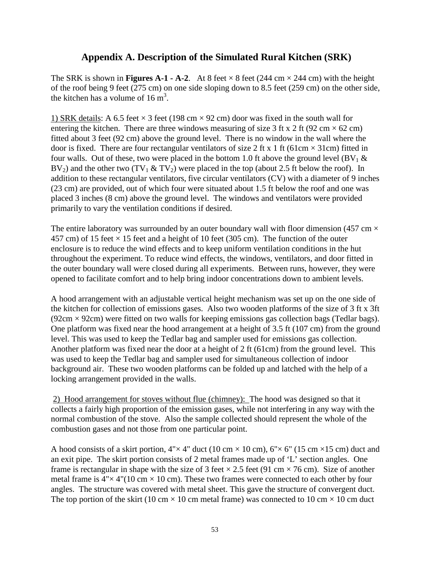# **Appendix A. Description of the Simulated Rural Kitchen (SRK)**

The SRK is shown in **Figures A-1 - A-2**. At 8 feet  $\times$  8 feet (244 cm  $\times$  244 cm) with the height of the roof being 9 feet (275 cm) on one side sloping down to 8.5 feet (259 cm) on the other side, the kitchen has a volume of  $16 \text{ m}^3$ .

1) SRK details: A 6.5 feet  $\times$  3 feet (198 cm  $\times$  92 cm) door was fixed in the south wall for entering the kitchen. There are three windows measuring of size 3 ft x 2 ft (92 cm  $\times$  62 cm) fitted about 3 feet (92 cm) above the ground level. There is no window in the wall where the door is fixed. There are four rectangular ventilators of size 2 ft x 1 ft (61cm  $\times$  31cm) fitted in four walls. Out of these, two were placed in the bottom 1.0 ft above the ground level (BV<sub>1</sub>  $\&$ BV<sub>2</sub>) and the other two (TV<sub>1</sub> & TV<sub>2</sub>) were placed in the top (about 2.5 ft below the roof). In addition to these rectangular ventilators, five circular ventilators (CV) with a diameter of 9 inches (23 cm) are provided, out of which four were situated about 1.5 ft below the roof and one was placed 3 inches (8 cm) above the ground level. The windows and ventilators were provided primarily to vary the ventilation conditions if desired.

The entire laboratory was surrounded by an outer boundary wall with floor dimension (457 cm  $\times$ 457 cm) of 15 feet  $\times$  15 feet and a height of 10 feet (305 cm). The function of the outer enclosure is to reduce the wind effects and to keep uniform ventilation conditions in the hut throughout the experiment. To reduce wind effects, the windows, ventilators, and door fitted in the outer boundary wall were closed during all experiments. Between runs, however, they were opened to facilitate comfort and to help bring indoor concentrations down to ambient levels.

A hood arrangement with an adjustable vertical height mechanism was set up on the one side of the kitchen for collection of emissions gases. Also two wooden platforms of the size of 3 ft x 3ft  $(92 \text{cm} \times 92 \text{cm})$  were fitted on two walls for keeping emissions gas collection bags (Tedlar bags). One platform was fixed near the hood arrangement at a height of 3.5 ft (107 cm) from the ground level. This was used to keep the Tedlar bag and sampler used for emissions gas collection. Another platform was fixed near the door at a height of 2 ft (61cm) from the ground level. This was used to keep the Tedlar bag and sampler used for simultaneous collection of indoor background air. These two wooden platforms can be folded up and latched with the help of a locking arrangement provided in the walls.

2) Hood arrangement for stoves without flue (chimney): The hood was designed so that it collects a fairly high proportion of the emission gases, while not interfering in any way with the normal combustion of the stove. Also the sample collected should represent the whole of the combustion gases and not those from one particular point.

A hood consists of a skirt portion,  $4'' \times 4''$  duct (10 cm  $\times$  10 cm),  $6'' \times 6''$  (15 cm  $\times$  15 cm) duct and an exit pipe. The skirt portion consists of 2 metal frames made up of 'L' section angles. One frame is rectangular in shape with the size of 3 feet  $\times$  2.5 feet (91 cm  $\times$  76 cm). Size of another metal frame is  $4" \times 4" (10 \text{ cm} \times 10 \text{ cm})$ . These two frames were connected to each other by four angles. The structure was covered with metal sheet. This gave the structure of convergent duct. The top portion of the skirt (10 cm  $\times$  10 cm metal frame) was connected to 10 cm  $\times$  10 cm duct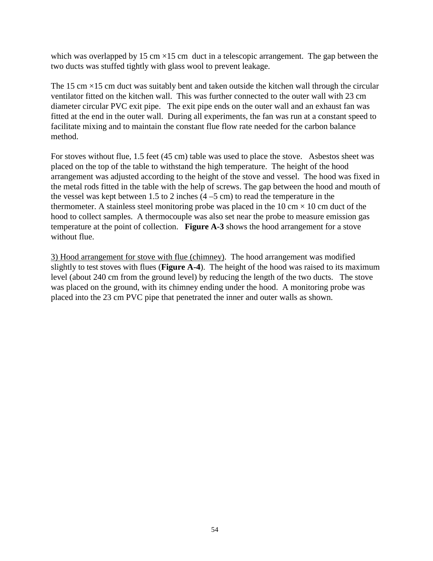which was overlapped by 15 cm  $\times$ 15 cm duct in a telescopic arrangement. The gap between the two ducts was stuffed tightly with glass wool to prevent leakage.

The 15 cm  $\times$ 15 cm duct was suitably bent and taken outside the kitchen wall through the circular ventilator fitted on the kitchen wall. This was further connected to the outer wall with 23 cm diameter circular PVC exit pipe. The exit pipe ends on the outer wall and an exhaust fan was fitted at the end in the outer wall. During all experiments, the fan was run at a constant speed to facilitate mixing and to maintain the constant flue flow rate needed for the carbon balance method.

For stoves without flue, 1.5 feet (45 cm) table was used to place the stove. Asbestos sheet was placed on the top of the table to withstand the high temperature. The height of the hood arrangement was adjusted according to the height of the stove and vessel. The hood was fixed in the metal rods fitted in the table with the help of screws. The gap between the hood and mouth of the vessel was kept between 1.5 to 2 inches  $(4 - 5$  cm) to read the temperature in the thermometer. A stainless steel monitoring probe was placed in the 10 cm  $\times$  10 cm duct of the hood to collect samples. A thermocouple was also set near the probe to measure emission gas temperature at the point of collection. **Figure A-3** shows the hood arrangement for a stove without flue.

3) Hood arrangement for stove with flue (chimney). The hood arrangement was modified slightly to test stoves with flues (**Figure A-4**). The height of the hood was raised to its maximum level (about 240 cm from the ground level) by reducing the length of the two ducts. The stove was placed on the ground, with its chimney ending under the hood. A monitoring probe was placed into the 23 cm PVC pipe that penetrated the inner and outer walls as shown.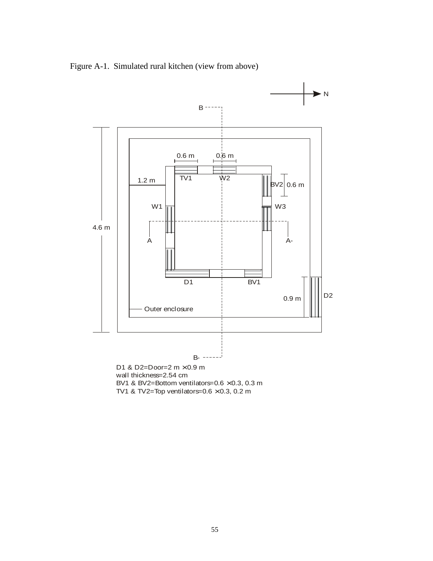Figure A-1. Simulated rural kitchen (view from above)



wall thickness=2.54 cm BV1 & BV2=Bottom ventilators= $0.6 \times 0.3$ , 0.3 m

TV1 & TV2=Top ventilators= $0.6 \times 0.3$ , 0.2 m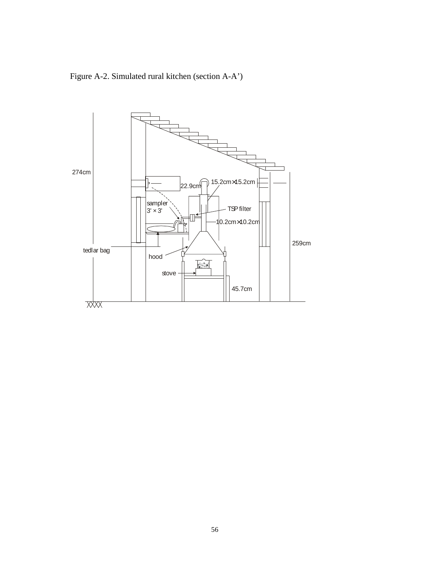Figure A-2. Simulated rural kitchen (section A-A')

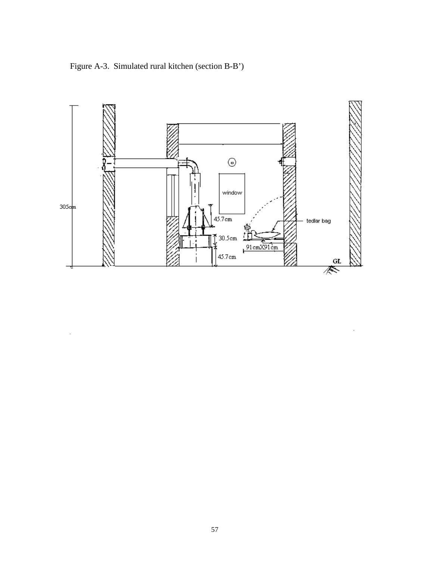Figure A-3. Simulated rural kitchen (section B-B')

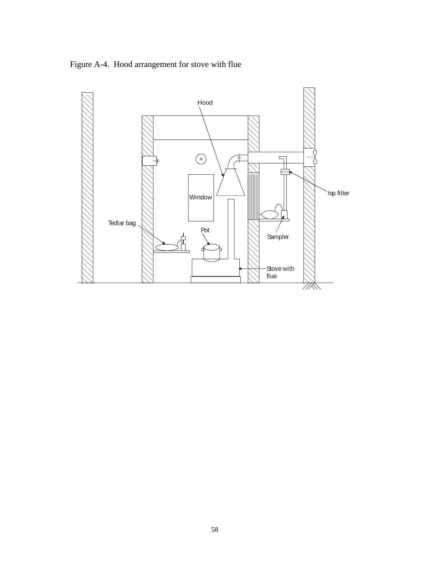Figure A-4. Hood arrangement for stove with flue

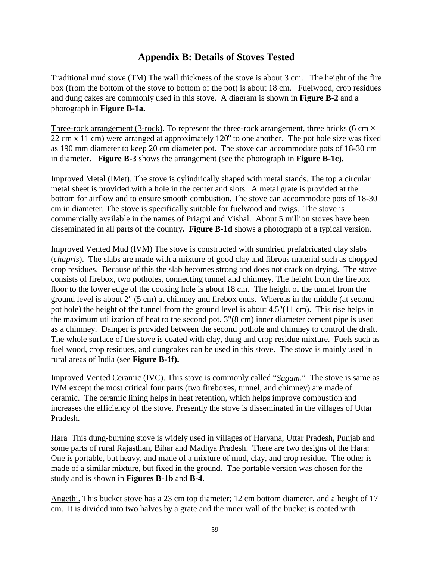# **Appendix B: Details of Stoves Tested**

Traditional mud stove (TM) The wall thickness of the stove is about 3 cm. The height of the fire box (from the bottom of the stove to bottom of the pot) is about 18 cm. Fuelwood, crop residues and dung cakes are commonly used in this stove. A diagram is shown in **Figure B-2** and a photograph in **Figure B-1a.** 

Three-rock arrangement (3-rock). To represent the three-rock arrangement, three bricks (6 cm  $\times$ 22 cm x 11 cm) were arranged at approximately  $120^{\circ}$  to one another. The pot hole size was fixed as 190 mm diameter to keep 20 cm diameter pot. The stove can accommodate pots of 18-30 cm in diameter. **Figure B-3** shows the arrangement (see the photograph in **Figure B-1c**).

Improved Metal (IMet). The stove is cylindrically shaped with metal stands. The top a circular metal sheet is provided with a hole in the center and slots. A metal grate is provided at the bottom for airflow and to ensure smooth combustion. The stove can accommodate pots of 18-30 cm in diameter. The stove is specifically suitable for fuelwood and twigs. The stove is commercially available in the names of Priagni and Vishal. About 5 million stoves have been disseminated in all parts of the country**. Figure B-1d** shows a photograph of a typical version.

Improved Vented Mud (IVM) The stove is constructed with sundried prefabricated clay slabs (*chapris*). The slabs are made with a mixture of good clay and fibrous material such as chopped crop residues. Because of this the slab becomes strong and does not crack on drying. The stove consists of firebox, two potholes, connecting tunnel and chimney. The height from the firebox floor to the lower edge of the cooking hole is about 18 cm. The height of the tunnel from the ground level is about 2" (5 cm) at chimney and firebox ends. Whereas in the middle (at second pot hole) the height of the tunnel from the ground level is about 4.5"(11 cm). This rise helps in the maximum utilization of heat to the second pot. 3"(8 cm) inner diameter cement pipe is used as a chimney. Damper is provided between the second pothole and chimney to control the draft. The whole surface of the stove is coated with clay, dung and crop residue mixture. Fuels such as fuel wood, crop residues, and dungcakes can be used in this stove. The stove is mainly used in rural areas of India (see **Figure B-1f).** 

Improved Vented Ceramic (IVC). This stove is commonly called "*Sugam*." The stove is same as IVM except the most critical four parts (two fireboxes, tunnel, and chimney) are made of ceramic. The ceramic lining helps in heat retention, which helps improve combustion and increases the efficiency of the stove. Presently the stove is disseminated in the villages of Uttar Pradesh.

Hara This dung-burning stove is widely used in villages of Haryana, Uttar Pradesh, Punjab and some parts of rural Rajasthan, Bihar and Madhya Pradesh. There are two designs of the Hara: One is portable, but heavy, and made of a mixture of mud, clay, and crop residue. The other is made of a similar mixture, but fixed in the ground. The portable version was chosen for the study and is shown in **Figures B-1b** and **B-4**.

Angethi. This bucket stove has a 23 cm top diameter; 12 cm bottom diameter, and a height of 17 cm. It is divided into two halves by a grate and the inner wall of the bucket is coated with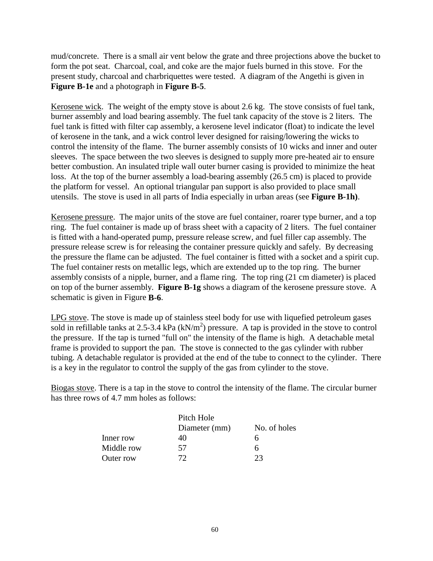mud/concrete. There is a small air vent below the grate and three projections above the bucket to form the pot seat. Charcoal, coal, and coke are the major fuels burned in this stove. For the present study, charcoal and charbriquettes were tested. A diagram of the Angethi is given in **Figure B-1e** and a photograph in **Figure B-5**.

Kerosene wick. The weight of the empty stove is about 2.6 kg. The stove consists of fuel tank, burner assembly and load bearing assembly. The fuel tank capacity of the stove is 2 liters. The fuel tank is fitted with filter cap assembly, a kerosene level indicator (float) to indicate the level of kerosene in the tank, and a wick control lever designed for raising/lowering the wicks to control the intensity of the flame. The burner assembly consists of 10 wicks and inner and outer sleeves. The space between the two sleeves is designed to supply more pre-heated air to ensure better combustion. An insulated triple wall outer burner casing is provided to minimize the heat loss. At the top of the burner assembly a load-bearing assembly (26.5 cm) is placed to provide the platform for vessel. An optional triangular pan support is also provided to place small utensils. The stove is used in all parts of India especially in urban areas (see **Figure B-1h)**.

Kerosene pressure. The major units of the stove are fuel container, roarer type burner, and a top ring. The fuel container is made up of brass sheet with a capacity of 2 liters. The fuel container is fitted with a hand-operated pump, pressure release screw, and fuel filler cap assembly. The pressure release screw is for releasing the container pressure quickly and safely. By decreasing the pressure the flame can be adjusted. The fuel container is fitted with a socket and a spirit cup. The fuel container rests on metallic legs, which are extended up to the top ring. The burner assembly consists of a nipple, burner, and a flame ring. The top ring (21 cm diameter) is placed on top of the burner assembly. **Figure B-1g** shows a diagram of the kerosene pressure stove. A schematic is given in Figure **B-6**.

LPG stove. The stove is made up of stainless steel body for use with liquefied petroleum gases sold in refillable tanks at 2.5-3.4 kPa  $(kN/m<sup>2</sup>)$  pressure. A tap is provided in the stove to control the pressure. If the tap is turned "full on" the intensity of the flame is high. A detachable metal frame is provided to support the pan. The stove is connected to the gas cylinder with rubber tubing. A detachable regulator is provided at the end of the tube to connect to the cylinder. There is a key in the regulator to control the supply of the gas from cylinder to the stove.

Biogas stove. There is a tap in the stove to control the intensity of the flame. The circular burner has three rows of 4.7 mm holes as follows:

|            | Pitch Hole    |              |
|------------|---------------|--------------|
|            | Diameter (mm) | No. of holes |
| Inner row  | 40            | n            |
| Middle row | 57            | h            |
| Outer row  | 72            | つつ           |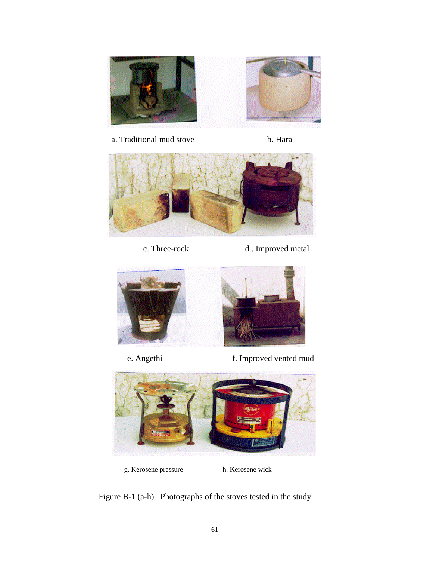

a. Traditional mud stove b. Hara



- 
- c. Three-rock d . Improved metal



- 
- e. Angethi f. Improved vented mud



g. Kerosene pressure h. Kerosene wick

Figure B-1 (a-h). Photographs of the stoves tested in the study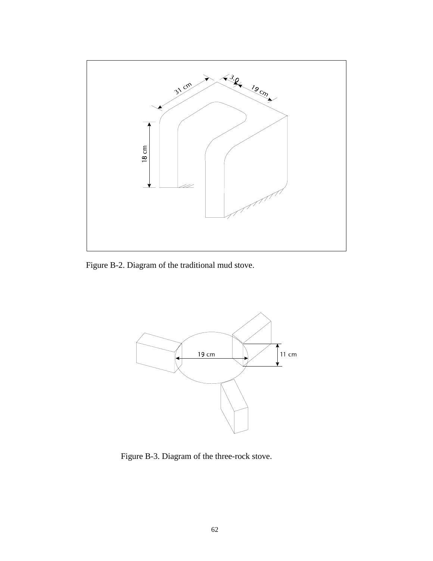

Figure B-2. Diagram of the traditional mud stove.



Figure B-3. Diagram of the three-rock stove.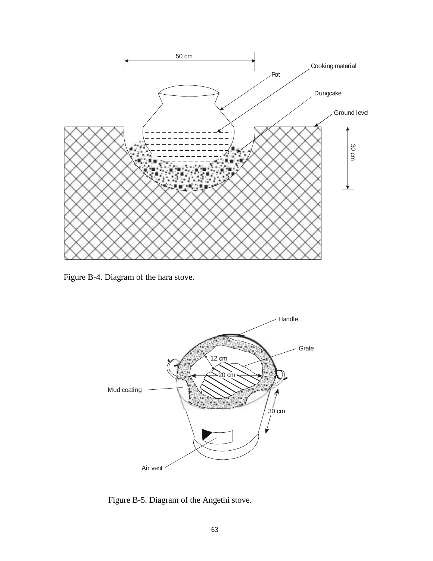

Figure B-4. Diagram of the hara stove.



Figure B-5. Diagram of the Angethi stove.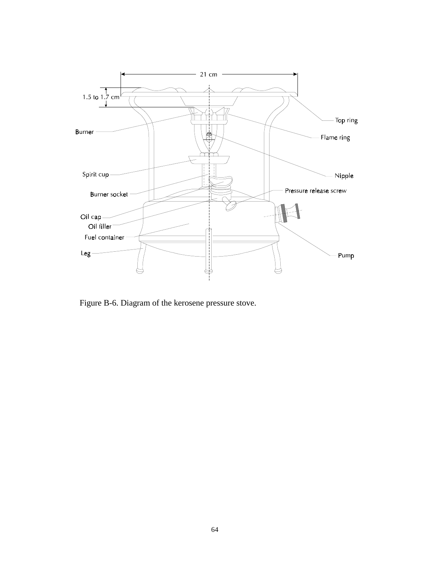

Figure B-6. Diagram of the kerosene pressure stove.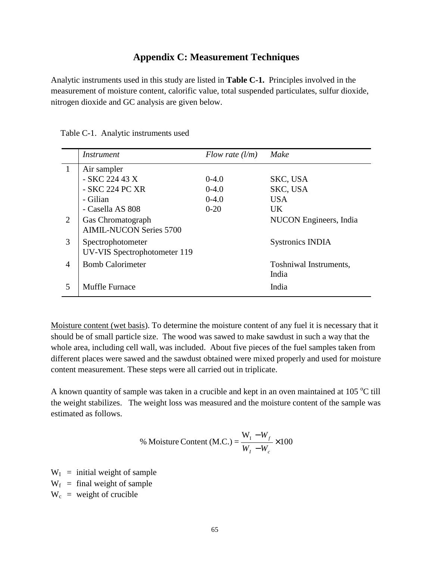## **Appendix C: Measurement Techniques**

Analytic instruments used in this study are listed in **Table C-1.** Principles involved in the measurement of moisture content, calorific value, total suspended particulates, sulfur dioxide, nitrogen dioxide and GC analysis are given below.

|                | <i>Instrument</i>                   | Flow rate $(l/m)$ | Make                    |
|----------------|-------------------------------------|-------------------|-------------------------|
| $\mathbf{1}$   | Air sampler                         |                   |                         |
|                | - SKC 224 43 X                      | $0-4.0$           | SKC, USA                |
|                | - SKC 224 PC XR                     | $0-4.0$           | SKC, USA                |
|                | - Gilian                            | $0-4.0$           | <b>USA</b>              |
|                | - Casella AS 808                    | $0-20$            | <b>UK</b>               |
| 2              | Gas Chromatograph                   |                   | NUCON Engineers, India  |
|                | <b>AIMIL-NUCON Series 5700</b>      |                   |                         |
| 3              | Spectrophotometer                   |                   | <b>Systronics INDIA</b> |
|                | <b>UV-VIS Spectrophotometer 119</b> |                   |                         |
| $\overline{4}$ | <b>Bomb Calorimeter</b>             |                   | Toshniwal Instruments,  |
|                |                                     |                   | India                   |
| 5              | <b>Muffle Furnace</b>               |                   | India                   |

Table C-1. Analytic instruments used

Moisture content (wet basis). To determine the moisture content of any fuel it is necessary that it should be of small particle size. The wood was sawed to make sawdust in such a way that the whole area, including cell wall, was included. About five pieces of the fuel samples taken from different places were sawed and the sawdust obtained were mixed properly and used for moisture content measurement. These steps were all carried out in triplicate.

A known quantity of sample was taken in a crucible and kept in an oven maintained at  $105^{\circ}$ C till the weight stabilizes. The weight loss was measured and the moisture content of the sample was estimated as follows.

% Moisture Content (M.C.) = 
$$
\frac{W_I - W_f}{W_I - W_c} \times 100
$$

 $W_I$  = initial weight of sample  $W_f$  = final weight of sample

 $W_c$  = weight of crucible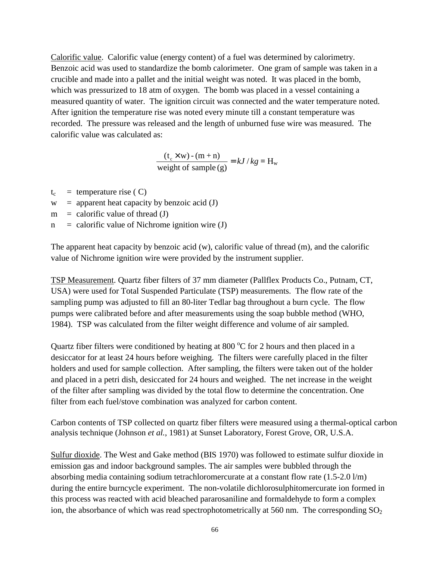Calorific value. Calorific value (energy content) of a fuel was determined by calorimetry. Benzoic acid was used to standardize the bomb calorimeter. One gram of sample was taken in a crucible and made into a pallet and the initial weight was noted. It was placed in the bomb, which was pressurized to 18 atm of oxygen. The bomb was placed in a vessel containing a measured quantity of water. The ignition circuit was connected and the water temperature noted. After ignition the temperature rise was noted every minute till a constant temperature was recorded. The pressure was released and the length of unburned fuse wire was measured. The calorific value was calculated as:

 $\frac{(t_c \times w) - (m + n)}{w$  weight of sample (g)  $= kJ / kg = H_w$ 

 $t_c$  = temperature rise ( C)

 $w =$  apparent heat capacity by benzoic acid (J)

 $m =$  calorific value of thread (J)

 $n =$  calorific value of Nichrome ignition wire (J)

The apparent heat capacity by benzoic acid (w), calorific value of thread (m), and the calorific value of Nichrome ignition wire were provided by the instrument supplier.

TSP Measurement. Quartz fiber filters of 37 mm diameter (Pallflex Products Co., Putnam, CT, USA) were used for Total Suspended Particulate (TSP) measurements. The flow rate of the sampling pump was adjusted to fill an 80-liter Tedlar bag throughout a burn cycle. The flow pumps were calibrated before and after measurements using the soap bubble method (WHO, 1984). TSP was calculated from the filter weight difference and volume of air sampled.

Quartz fiber filters were conditioned by heating at 800  $^{\circ}$ C for 2 hours and then placed in a desiccator for at least 24 hours before weighing. The filters were carefully placed in the filter holders and used for sample collection. After sampling, the filters were taken out of the holder and placed in a petri dish, desiccated for 24 hours and weighed. The net increase in the weight of the filter after sampling was divided by the total flow to determine the concentration. One filter from each fuel/stove combination was analyzed for carbon content.

Carbon contents of TSP collected on quartz fiber filters were measured using a thermal-optical carbon analysis technique (Johnson *et al.*, 1981) at Sunset Laboratory, Forest Grove, OR, U.S.A.

Sulfur dioxide. The West and Gake method (BIS 1970) was followed to estimate sulfur dioxide in emission gas and indoor background samples. The air samples were bubbled through the absorbing media containing sodium tetrachloromercurate at a constant flow rate  $(1.5\n-2.0\,$ l/m) during the entire burncycle experiment. The non-volatile dichlorosulphitomercurate ion formed in this process was reacted with acid bleached pararosaniline and formaldehyde to form a complex ion, the absorbance of which was read spectrophotometrically at 560 nm. The corresponding  $SO_2$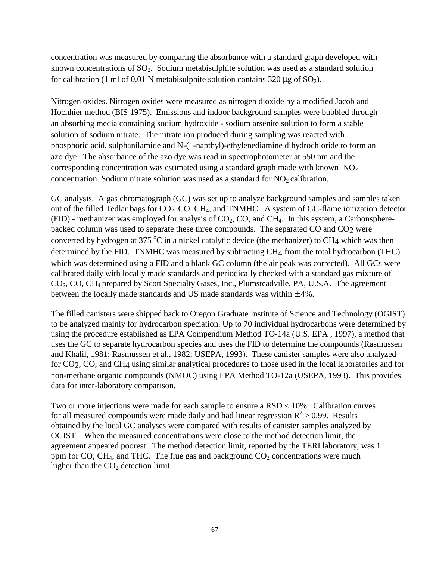concentration was measured by comparing the absorbance with a standard graph developed with known concentrations of  $SO_2$ . Sodium metabisulphite solution was used as a standard solution for calibration (1 ml of 0.01 N metabisulphite solution contains 320  $\mu$ g of SO<sub>2</sub>).

Nitrogen oxides. Nitrogen oxides were measured as nitrogen dioxide by a modified Jacob and Hochhier method (BIS 1975). Emissions and indoor background samples were bubbled through an absorbing media containing sodium hydroxide - sodium arsenite solution to form a stable solution of sodium nitrate. The nitrate ion produced during sampling was reacted with phosphoric acid, sulphanilamide and N-(1-napthyl)-ethylenediamine dihydrochloride to form an azo dye. The absorbance of the azo dye was read in spectrophotometer at 550 nm and the corresponding concentration was estimated using a standard graph made with known  $NO<sub>2</sub>$ concentration. Sodium nitrate solution was used as a standard for  $NO<sub>2</sub>$  calibration.

GC analysis. A gas chromatograph (GC) was set up to analyze background samples and samples taken out of the filled Tedlar bags for CO<sub>2</sub>, CO, CH<sub>4</sub>, and TNMHC. A system of GC-flame ionization detector (FID) - methanizer was employed for analysis of  $CO<sub>2</sub>$ , CO, and CH<sub>4</sub>. In this system, a Carbonspherepacked column was used to separate these three compounds. The separated CO and CO2 were converted by hydrogen at 375 °C in a nickel catalytic device (the methanizer) to CH<sub>4</sub> which was then determined by the FID. TNMHC was measured by subtracting CH4 from the total hydrocarbon (THC) which was determined using a FID and a blank GC column (the air peak was corrected). All GCs were calibrated daily with locally made standards and periodically checked with a standard gas mixture of CO2, CO, CH4 prepared by Scott Specialty Gases, Inc., Plumsteadville, PA, U.S.A. The agreement between the locally made standards and US made standards was within  $\pm 4\%$ .

The filled canisters were shipped back to Oregon Graduate Institute of Science and Technology (OGIST) to be analyzed mainly for hydrocarbon speciation. Up to 70 individual hydrocarbons were determined by using the procedure established as EPA Compendium Method TO-14a (U.S. EPA , 1997), a method that uses the GC to separate hydrocarbon species and uses the FID to determine the compounds (Rasmussen and Khalil, 1981; Rasmussen et al., 1982; USEPA, 1993). These canister samples were also analyzed for CO2, CO, and CH4 using similar analytical procedures to those used in the local laboratories and for non-methane organic compounds (NMOC) using EPA Method TO-12a (USEPA, 1993). This provides data for inter-laboratory comparison.

Two or more injections were made for each sample to ensure a RSD < 10%. Calibration curves for all measured compounds were made daily and had linear regression  $R^2 > 0.99$ . Results obtained by the local GC analyses were compared with results of canister samples analyzed by OGIST. When the measured concentrations were close to the method detection limit, the agreement appeared poorest. The method detection limit, reported by the TERI laboratory, was 1 ppm for CO, CH<sub>4</sub>, and THC. The flue gas and background  $CO<sub>2</sub>$  concentrations were much higher than the  $CO<sub>2</sub>$  detection limit.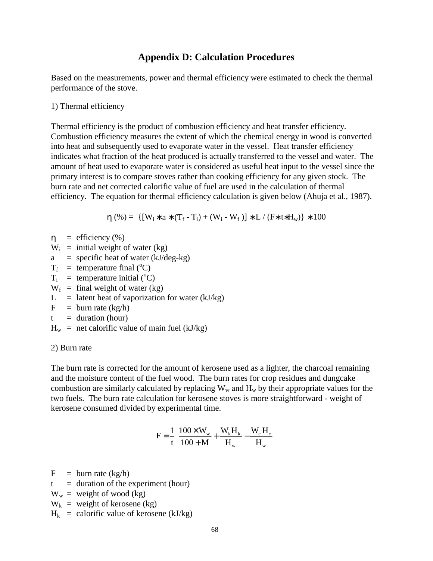### **Appendix D: Calculation Procedures**

Based on the measurements, power and thermal efficiency were estimated to check the thermal performance of the stove.

1) Thermal efficiency

Thermal efficiency is the product of combustion efficiency and heat transfer efficiency. Combustion efficiency measures the extent of which the chemical energy in wood is converted into heat and subsequently used to evaporate water in the vessel. Heat transfer efficiency indicates what fraction of the heat produced is actually transferred to the vessel and water. The amount of heat used to evaporate water is considered as useful heat input to the vessel since the primary interest is to compare stoves rather than cooking efficiency for any given stock. The burn rate and net corrected calorific value of fuel are used in the calculation of thermal efficiency. The equation for thermal efficiency calculation is given below (Ahuja et al., 1987).

$$
\eta(\%) = \{ [W_i * a * (T_f - T_i) + (W_i - W_f)] * L / (F * t * H_w) \} * 100
$$

- $\eta$  = efficiency (%)
- $W_i$  = initial weight of water (kg)
- $a =$  specific heat of water (kJ/deg-kg)
- $T_f$  = temperature final (°C)
- $T_i$  = temperature initial (°C)
- $W_f$  = final weight of water (kg)
- $L =$  latent heat of vaporization for water (kJ/kg)
- $F = burn rate (kg/h)$
- $t =$  duration (hour)
- $H_w$  = net calorific value of main fuel (kJ/kg)

#### 2) Burn rate

The burn rate is corrected for the amount of kerosene used as a lighter, the charcoal remaining and the moisture content of the fuel wood. The burn rates for crop residues and dungcake combustion are similarly calculated by replacing  $W_w$  and  $H_w$  by their appropriate values for the two fuels. The burn rate calculation for kerosene stoves is more straightforward - weight of kerosene consumed divided by experimental time.

$$
F = \frac{1}{t} \left[ \frac{100 \times W_w}{100 + M} + \frac{W_k H_k}{H_w} - \frac{W_c H_c}{H_w} \right]
$$

 $F = burn rate (kg/h)$ 

- $t =$  duration of the experiment (hour)
- $W_w$  = weight of wood (kg)
- $W_k$  = weight of kerosene (kg)
- $H_k$  = calorific value of kerosene (kJ/kg)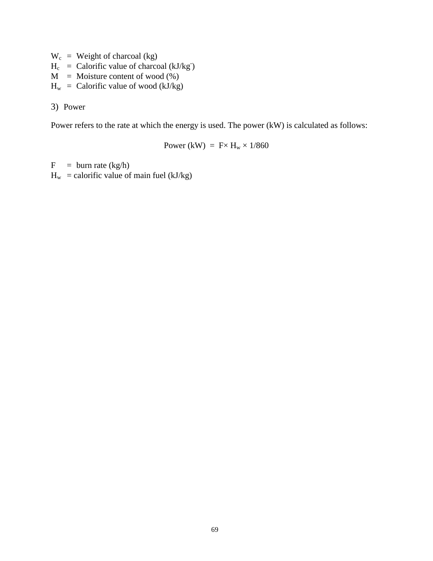- $W_c$  = Weight of charcoal (kg)
- $H_c$  = Calorific value of charcoal (kJ/kg)
- $M =$  Moisture content of wood  $(\%)$
- $H_w =$  Calorific value of wood (kJ/kg)

3) Power

Power refers to the rate at which the energy is used. The power (kW) is calculated as follows:

Power (kW) =  $F \times H_w \times 1/860$ 

 $F = burn rate (kg/h)$  $H_w$  = calorific value of main fuel (kJ/kg)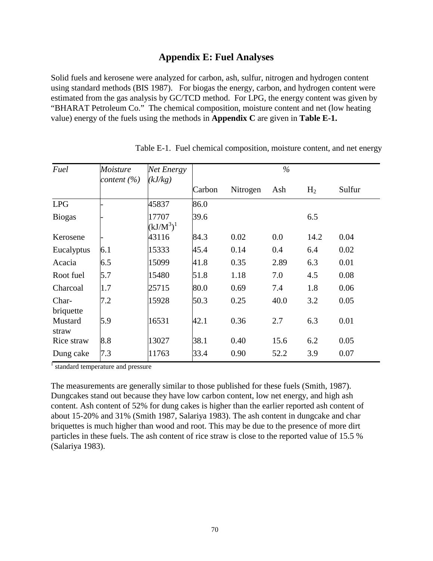## **Appendix E: Fuel Analyses**

Solid fuels and kerosene were analyzed for carbon, ash, sulfur, nitrogen and hydrogen content using standard methods (BIS 1987). For biogas the energy, carbon, and hydrogen content were estimated from the gas analysis by GC/TCD method. For LPG, the energy content was given by "BHARAT Petroleum Co." The chemical composition, moisture content and net (low heating value) energy of the fuels using the methods in **Appendix C** are given in **Table E-1.** 

| Fuel               | <b>Moisture</b> | Net Energy            |        |          |      |                |        |
|--------------------|-----------------|-----------------------|--------|----------|------|----------------|--------|
|                    | content $(\% )$ | (kJ/kg)               | Carbon | Nitrogen | Ash  | H <sub>2</sub> | Sulfur |
| <b>LPG</b>         |                 | 45837                 | 86.0   |          |      |                |        |
| <b>Biogas</b>      |                 | 17707<br>$(kJ/M^3)^1$ | 39.6   |          |      | 6.5            |        |
| Kerosene           |                 | 43116                 | 84.3   | 0.02     | 0.0  | 14.2           | 0.04   |
| Eucalyptus         | 6.1             | 15333                 | 45.4   | 0.14     | 0.4  | 6.4            | 0.02   |
| Acacia             | 6.5             | 15099                 | 41.8   | 0.35     | 2.89 | 6.3            | 0.01   |
| Root fuel          | 5.7             | 15480                 | 51.8   | 1.18     | 7.0  | 4.5            | 0.08   |
| Charcoal           | 1.7             | 25715                 | 80.0   | 0.69     | 7.4  | 1.8            | 0.06   |
| Char-<br>briquette | 7.2             | 15928                 | 50.3   | 0.25     | 40.0 | 3.2            | 0.05   |
| Mustard<br>straw   | 5.9             | 16531                 | 42.1   | 0.36     | 2.7  | 6.3            | 0.01   |
| Rice straw         | 8.8             | 13027                 | 38.1   | 0.40     | 15.6 | 6.2            | 0.05   |
| Dung cake          | 7.3             | 11763                 | 33.4   | 0.90     | 52.2 | 3.9            | 0.07   |

Table E-1. Fuel chemical composition, moisture content, and net energy

<sup>1</sup> standard temperature and pressure

The measurements are generally similar to those published for these fuels (Smith, 1987). Dungcakes stand out because they have low carbon content, low net energy, and high ash content. Ash content of 52% for dung cakes is higher than the earlier reported ash content of about 15-20% and 31% (Smith 1987, Salariya 1983). The ash content in dungcake and char briquettes is much higher than wood and root. This may be due to the presence of more dirt particles in these fuels. The ash content of rice straw is close to the reported value of 15.5 % (Salariya 1983).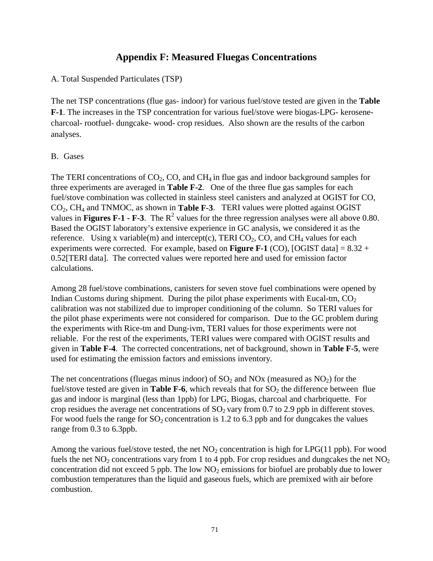## **Appendix F: Measured Fluegas Concentrations**

### A. Total Suspended Particulates (TSP)

The net TSP concentrations (flue gas- indoor) for various fuel/stove tested are given in the **Table F-1**. The increases in the TSP concentration for various fuel/stove were biogas-LPG- kerosenecharcoal- rootfuel- dungcake- wood- crop residues. Also shown are the results of the carbon analyses.

#### B. Gases

The TERI concentrations of  $CO<sub>2</sub>$ , CO, and CH<sub>4</sub> in flue gas and indoor background samples for three experiments are averaged in **Table F-2**. One of the three flue gas samples for each fuel/stove combination was collected in stainless steel canisters and analyzed at OGIST for CO, CO2, CH4 and TNMOC, as shown in **Table F-3**. TERI values were plotted against OGIST values in **Figures F-1 - F-3**. The  $R^2$  values for the three regression analyses were all above 0.80. Based the OGIST laboratory's extensive experience in GC analysis, we considered it as the reference. Using x variable(m) and intercept(c), TERI  $CO_2$ ,  $CO$ , and  $CH_4$  values for each experiments were corrected. For example, based on **Figure F-1** (CO), [OGIST data] =  $8.32 +$ 0.52[TERI data]. The corrected values were reported here and used for emission factor calculations.

Among 28 fuel/stove combinations, canisters for seven stove fuel combinations were opened by Indian Customs during shipment. During the pilot phase experiments with Eucal-tm,  $CO<sub>2</sub>$ calibration was not stabilized due to improper conditioning of the column. So TERI values for the pilot phase experiments were not considered for comparison. Due to the GC problem during the experiments with Rice-tm and Dung-ivm, TERI values for those experiments were not reliable. For the rest of the experiments, TERI values were compared with OGIST results and given in **Table F-4**. The corrected concentrations, net of background, shown in **Table F-5**, were used for estimating the emission factors and emissions inventory.

The net concentrations (fluegas minus indoor) of  $SO_2$  and  $NOx$  (measured as  $NO_2$ ) for the fuel/stove tested are given in **Table F-6**, which reveals that for  $SO_2$  the difference between flue gas and indoor is marginal (less than 1ppb) for LPG, Biogas, charcoal and charbriquette. For crop residues the average net concentrations of  $SO_2$  vary from 0.7 to 2.9 ppb in different stoves. For wood fuels the range for  $SO_2$  concentration is 1.2 to 6.3 ppb and for dungcakes the values range from 0.3 to 6.3ppb.

Among the various fuel/stove tested, the net  $NO<sub>2</sub>$  concentration is high for LPG(11 ppb). For wood fuels the net  $NO<sub>2</sub>$  concentrations vary from 1 to 4 ppb. For crop residues and dungcakes the net  $NO<sub>2</sub>$ concentration did not exceed 5 ppb. The low  $NO<sub>2</sub>$  emissions for biofuel are probably due to lower combustion temperatures than the liquid and gaseous fuels, which are premixed with air before combustion.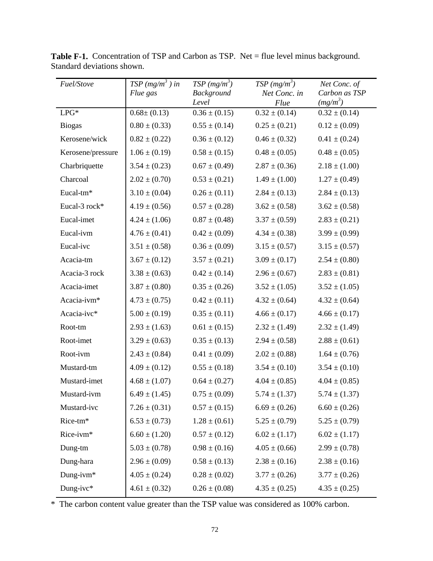| Fuel/Stove        | $TSP(mg/m^3)$ in<br>Flue gas | $TSP(mg/m^3)$<br>Background<br>Level | $TSP(mg/m^3)$<br>Net Conc. in<br>Flue | Net Conc. of<br>Carbon as TSP<br>$(mg/m^3)$ |
|-------------------|------------------------------|--------------------------------------|---------------------------------------|---------------------------------------------|
| $LPG^*$           | $0.68 \pm (0.13)$            | $0.36 \pm (0.15)$                    | $0.32 \pm (0.14)$                     | $0.32 \pm (0.14)$                           |
| <b>Biogas</b>     | $0.80 \pm (0.33)$            | $0.55 \pm (0.14)$                    | $0.25 \pm (0.21)$                     | $0.12 \pm (0.09)$                           |
| Kerosene/wick     | $0.82 \pm (0.22)$            | $0.36 \pm (0.12)$                    | $0.46 \pm (0.32)$                     | $0.41 \pm (0.24)$                           |
| Kerosene/pressure | $1.06 \pm (0.19)$            | $0.58 \pm (0.15)$                    | $0.48 \pm (0.05)$                     | $0.48 \pm (0.05)$                           |
| Charbriquette     | $3.54 \pm (0.23)$            | $0.67 \pm (0.49)$                    | $2.87 \pm (0.36)$                     | $2.18 \pm (1.00)$                           |
| Charcoal          | $2.02 \pm (0.70)$            | $0.53 \pm (0.21)$                    | $1.49 \pm (1.00)$                     | $1.27 \pm (0.49)$                           |
| Eucal-tm*         | $3.10 \pm (0.04)$            | $0.26 \pm (0.11)$                    | $2.84 \pm (0.13)$                     | $2.84 \pm (0.13)$                           |
| Eucal-3 rock*     | $4.19 \pm (0.56)$            | $0.57 \pm (0.28)$                    | $3.62 \pm (0.58)$                     | $3.62 \pm (0.58)$                           |
| Eucal-imet        | $4.24 \pm (1.06)$            | $0.87 \pm (0.48)$                    | $3.37 \pm (0.59)$                     | $2.83 \pm (0.21)$                           |
| Eucal-ivm         | $4.76 \pm (0.41)$            | $0.42 \pm (0.09)$                    | $4.34 \pm (0.38)$                     | $3.99 \pm (0.99)$                           |
| Eucal-ivc         | $3.51 \pm (0.58)$            | $0.36 \pm (0.09)$                    | $3.15 \pm (0.57)$                     | $3.15 \pm (0.57)$                           |
| Acacia-tm         | $3.67 \pm (0.12)$            | $3.57 \pm (0.21)$                    | $3.09 \pm (0.17)$                     | $2.54 \pm (0.80)$                           |
| Acacia-3 rock     | $3.38 \pm (0.63)$            | $0.42 \pm (0.14)$                    | $2.96 \pm (0.67)$                     | $2.83 \pm (0.81)$                           |
| Acacia-imet       | $3.87 \pm (0.80)$            | $0.35 \pm (0.26)$                    | $3.52 \pm (1.05)$                     | $3.52 \pm (1.05)$                           |
| Acacia-ivm*       | $4.73 \pm (0.75)$            | $0.42 \pm (0.11)$                    | $4.32 \pm (0.64)$                     | $4.32 \pm (0.64)$                           |
| Acacia-ivc*       | $5.00 \pm (0.19)$            | $0.35 \pm (0.11)$                    | $4.66 \pm (0.17)$                     | $4.66 \pm (0.17)$                           |
| Root-tm           | $2.93 \pm (1.63)$            | $0.61 \pm (0.15)$                    | $2.32 \pm (1.49)$                     | $2.32 \pm (1.49)$                           |
| Root-imet         | $3.29 \pm (0.63)$            | $0.35 \pm (0.13)$                    | $2.94 \pm (0.58)$                     | $2.88 \pm (0.61)$                           |
| Root-ivm          | $2.43 \pm (0.84)$            | $0.41 \pm (0.09)$                    | $2.02 \pm (0.88)$                     | $1.64 \pm (0.76)$                           |
| Mustard-tm        | $4.09 \pm (0.12)$            | $0.55 \pm (0.18)$                    | $3.54 \pm (0.10)$                     | $3.54 \pm (0.10)$                           |
| Mustard-imet      | $4.68 \pm (1.07)$            | $0.64 \pm (0.27)$                    | $4.04 \pm (0.85)$                     | $4.04 \pm (0.85)$                           |
| Mustard-ivm       | $6.49 \pm (1.45)$            | $0.75 \pm (0.09)$                    | $5.74 \pm (1.37)$                     | $5.74 \pm (1.37)$                           |
| Mustard-ivc       | $7.26 \pm (0.31)$            | $0.57 \pm (0.15)$                    | $6.69 \pm (0.26)$                     | $6.60 \pm (0.26)$                           |
| Rice-tm*          | $6.53 \pm (0.73)$            | $1.28 \pm (0.61)$                    | $5.25 \pm (0.79)$                     | $5.25 \pm (0.79)$                           |
| Rice-ivm*         | $6.60 \pm (1.20)$            | $0.57 \pm (0.12)$                    | $6.02 \pm (1.17)$                     | $6.02 \pm (1.17)$                           |
| Dung-tm           | $5.03 \pm (0.78)$            | $0.98 \pm (0.16)$                    | $4.05 \pm (0.66)$                     | $2.99 \pm (0.78)$                           |
| Dung-hara         | $2.96 \pm (0.09)$            | $0.58 \pm (0.13)$                    | $2.38 \pm (0.16)$                     | $2.38 \pm (0.16)$                           |
| Dung-ivm*         | $4.05 \pm (0.24)$            | $0.28 \pm (0.02)$                    | $3.77 \pm (0.26)$                     | $3.77 \pm (0.26)$                           |
| Dung-ivc*         | $4.61 \pm (0.32)$            | $0.26 \pm (0.08)$                    | $4.35 \pm (0.25)$                     | $4.35 \pm (0.25)$                           |

Table F-1. Concentration of TSP and Carbon as TSP. Net = flue level minus background. Standard deviations shown.

\* The carbon content value greater than the TSP value was considered as 100% carbon.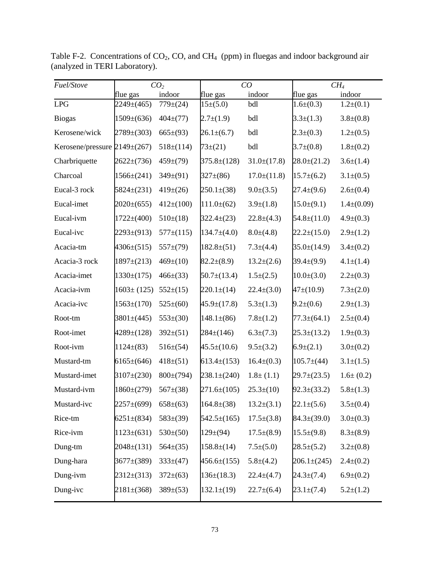| Fuel/Stove                       |                  | CO <sub>2</sub> |                   | CO               | CH <sub>4</sub>   |                 |  |
|----------------------------------|------------------|-----------------|-------------------|------------------|-------------------|-----------------|--|
|                                  | flue gas         | indoor          | flue gas          | indoor           | flue gas          | indoor          |  |
| LPG                              | $2249 \pm (465)$ | 779(124)        | $15\pm(5.0)$      | bdl              | $1.6\pm(0.3)$     | $1.2\pm(0.1)$   |  |
| <b>Biogas</b>                    | $1509\pm(636)$   | $404 \pm (77)$  | $2.7 \pm (1.9)$   | bdl              | $3.3 \pm (1.3)$   | $3.8 \pm (0.8)$ |  |
| Kerosene/wick                    | $2789 \pm (303)$ | $665\pm(93)$    | $26.1 \pm (6.7)$  | bdl              | $2.3 \pm (0.3)$   | $1.2\pm(0.5)$   |  |
| Kerosene/pressure $2149\pm(267)$ |                  | $518 \pm (114)$ | $73 \pm (21)$     | bdl              | $3.7\pm(0.8)$     | $1.8 \pm (0.2)$ |  |
| Charbriquette                    | $2622 \pm (736)$ | $459 \pm (79)$  | $375.8 \pm (128)$ | $31.0\pm(17.8)$  | $28.0\pm(21.2)$   | $3.6\pm(1.4)$   |  |
| Charcoal                         | $1566\pm(241)$   | $349\pm(91)$    | $327 \pm (86)$    | $17.0\pm(11.8)$  | $15.7\pm(6.2)$    | $3.1 \pm (0.5)$ |  |
| Eucal-3 rock                     | $5824 \pm (231)$ | $419\pm(26)$    | $250.1\pm(38)$    | $9.0\pm(3.5)$    | $27.4 \pm (9.6)$  | $2.6\pm(0.4)$   |  |
| Eucal-imet                       | $2020\pm(655)$   | $412\pm(100)$   | $111.0\pm(62)$    | $3.9\pm(1.8)$    | $15.0\pm(9.1)$    | $1.4\pm(0.09)$  |  |
| Eucal-ivm                        | $1722 \pm (400)$ | $510\pm(18)$    | $322.4\pm(23)$    | $22.8 \pm (4.3)$ | $54.8 \pm (11.0)$ | $4.9 \pm (0.3)$ |  |
| Eucal-ivc                        | $2293\pm(913)$   | $577\pm(115)$   | $134.7\pm(4.0)$   | $8.0\pm(4.8)$    | $22.2 \pm (15.0)$ | $2.9 \pm (1.2)$ |  |
| Acacia-tm                        | $4306 \pm (515)$ | $557\pm(79)$    | $182.8\pm(51)$    | $7.3 \pm (4.4)$  | $35.0\pm(14.9)$   | $3.4\pm(0.2)$   |  |
| Acacia-3 rock                    | $1897 \pm (213)$ | $469 \pm (10)$  | $82.2 \pm (8.9)$  | $13.2 \pm (2.6)$ | $39.4\pm(9.9)$    | $4.1 \pm (1.4)$ |  |
| Acacia-imet                      | $1330\pm(175)$   | $466\pm(33)$    | $50.7 \pm (13.4)$ | $1.5\pm(2.5)$    | $10.0\pm(3.0)$    | $2.2\pm(0.3)$   |  |
| Acacia-ivm                       | $1603 \pm (125)$ | $552\pm(15)$    | $220.1 \pm (14)$  | $22.4\pm(3.0)$   | $47 \pm (10.9)$   | $7.3 \pm (2.0)$ |  |
| Acacia-ivc                       | $1563 \pm (170)$ | $525\pm(60)$    | $45.9 \pm (17.8)$ | $5.3\pm(1.3)$    | $9.2 \pm (0.6)$   | $2.9 \pm (1.3)$ |  |
| Root-tm                          | $3801 \pm (445)$ | $553\pm(30)$    | $148.1\pm(86)$    | $7.8 \pm (1.2)$  | $77.3 \pm (64.1)$ | $2.5\pm(0.4)$   |  |
| Root-imet                        | $4289 \pm (128)$ | $392\pm(51)$    | $284 \pm (146)$   | $6.3 \pm (7.3)$  | $25.3 \pm (13.2)$ | $1.9\pm(0.3)$   |  |
| Root-ivm                         | $1124 \pm (83)$  | $516\pm(54)$    | $45.5 \pm (10.6)$ | $9.5 \pm (3.2)$  | $6.9 \pm (2.1)$   | $3.0\pm(0.2)$   |  |
| Mustard-tm                       | $6165\pm(646)$   | $418 \pm (51)$  | $613.4\pm(153)$   | $16.4\pm(0.3)$   | $105.7\pm(44)$    | $3.1 \pm (1.5)$ |  |
| Mustard-imet                     | $3107 \pm (230)$ | $800\pm(794)$   | $238.1 \pm (240)$ | $1.8 \pm (1.1)$  | $29.7 \pm (23.5)$ | $1.6 \pm (0.2)$ |  |
| Mustard-ivm                      | $1860\pm(279)$   | $567\pm(38)$    | $271.6\pm(105)$   | $25.3 \pm (10)$  | $92.3 \pm (33.2)$ | $5.8 \pm (1.3)$ |  |
| Mustard-ivc                      | 2257±(699)       | $658\pm(63)$    | $164.8 \pm (38)$  | $13.2\pm(3.1)$   | $22.1 \pm (5.6)$  | $3.5\pm(0.4)$   |  |
| Rice-tm                          | $6251 \pm (834)$ | $583\pm(39)$    | $542.5 \pm (165)$ | $17.5\pm(3.8)$   | $84.3 \pm (39.0)$ | $3.0\pm(0.3)$   |  |
| Rice-ivm                         | $1123\pm(631)$   | $530\pm(50)$    | 129(64)           | $17.5\pm(8.9)$   | $15.5\pm(9.8)$    | $8.3\pm(8.9)$   |  |
| Dung-tm                          | $2048 \pm (131)$ | $564\pm(35)$    | $158.8\pm(14)$    | $7.5\pm(5.0)$    | $28.5 \pm (5.2)$  | $3.2\pm(0.8)$   |  |
| Dung-hara                        | $3677\pm(389)$   | $333\pm(47)$    | $456.6\pm(155)$   | $5.8 \pm (4.2)$  | $206.1 \pm (245)$ | $2.4\pm(0.2)$   |  |
| Dung-ivm                         | $2312\pm(313)$   | $372\pm(63)$    | $136\pm(18.3)$    | $22.4 \pm (4.7)$ | $24.3 \pm (7.4)$  | $6.9\pm(0.2)$   |  |
| Dung-ivc                         | $2181 \pm (368)$ | $389\pm(53)$    | $132.1 \pm (19)$  | $22.7\pm(6.4)$   | $23.1 \pm (7.4)$  | $5.2\pm(1.2)$   |  |

Table F-2. Concentrations of  $CO_2$ , CO, and CH<sub>4</sub> (ppm) in fluegas and indoor background air (analyzed in TERI Laboratory).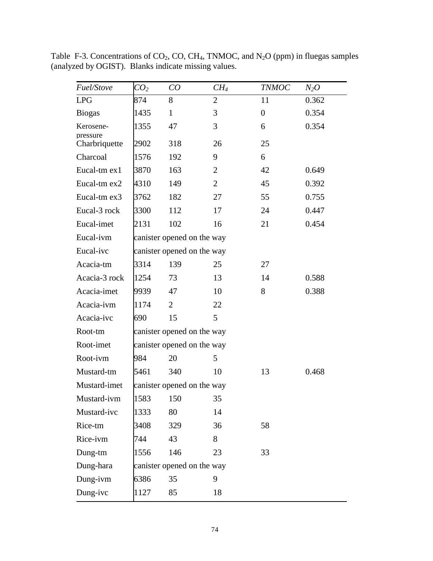| Fuel/Stove                | CO <sub>2</sub> | CO                         | $CH_4$         | <b>TNMOC</b>   | $N_2O$ |  |  |  |  |  |  |  |
|---------------------------|-----------------|----------------------------|----------------|----------------|--------|--|--|--|--|--|--|--|
| <b>LPG</b>                | 874             | 8                          | 2              | 11             | 0.362  |  |  |  |  |  |  |  |
| <b>Biogas</b>             | 1435            | $\mathbf{1}$               | 3              | $\overline{0}$ | 0.354  |  |  |  |  |  |  |  |
| Kerosene-                 | 1355            | 47                         | 3              | 6              | 0.354  |  |  |  |  |  |  |  |
| pressure<br>Charbriquette | 2902            | 318                        | 26             | 25             |        |  |  |  |  |  |  |  |
| Charcoal                  | 1576            | 192                        | 9              | 6              |        |  |  |  |  |  |  |  |
| Eucal-tm ex1              | 3870            | 163                        | 2              | 42             | 0.649  |  |  |  |  |  |  |  |
| Eucal-tm ex2              | 4310            | 149                        | $\overline{2}$ | 45             | 0.392  |  |  |  |  |  |  |  |
| Eucal-tm ex3              | 3762            | 182                        | 27             | 55             | 0.755  |  |  |  |  |  |  |  |
| Eucal-3 rock              | 3300            | 112                        | 17             | 24             | 0.447  |  |  |  |  |  |  |  |
| Eucal-imet                | 2131            | 102                        | 16             | 21             | 0.454  |  |  |  |  |  |  |  |
| Eucal-ivm                 |                 | canister opened on the way |                |                |        |  |  |  |  |  |  |  |
| Eucal-ivc                 |                 | canister opened on the way |                |                |        |  |  |  |  |  |  |  |
| Acacia-tm                 | 3314            | 139                        | 25             | 27             |        |  |  |  |  |  |  |  |
| Acacia-3 rock             | 1254            | 73                         | 13             | 14             | 0.588  |  |  |  |  |  |  |  |
| Acacia-imet               | 9939            | 47                         | 10             | 8              | 0.388  |  |  |  |  |  |  |  |
| Acacia-ivm                | 1174            | $\overline{2}$             | 22             |                |        |  |  |  |  |  |  |  |
| Acacia-ivc                | 690             | 15                         | 5              |                |        |  |  |  |  |  |  |  |
| Root-tm                   |                 | canister opened on the way |                |                |        |  |  |  |  |  |  |  |
| Root-imet                 |                 | canister opened on the way |                |                |        |  |  |  |  |  |  |  |
| Root-ivm                  | 984             | 20                         | 5              |                |        |  |  |  |  |  |  |  |
| Mustard-tm                | 5461            | 340                        | 10             | 13             | 0.468  |  |  |  |  |  |  |  |
| Mustard-imet              |                 | canister opened on the way |                |                |        |  |  |  |  |  |  |  |
| Mustard-ivm               | 1583            | 150                        | 35             |                |        |  |  |  |  |  |  |  |
| Mustard-ivc               | 1333            | 80                         | 14             |                |        |  |  |  |  |  |  |  |
| Rice-tm                   | 3408            | 329                        | 36             | 58             |        |  |  |  |  |  |  |  |
| Rice-ivm                  | 744             | 43                         | 8              |                |        |  |  |  |  |  |  |  |
| Dung-tm                   | 1556            | 146                        | 23             | 33             |        |  |  |  |  |  |  |  |
| Dung-hara                 |                 | canister opened on the way |                |                |        |  |  |  |  |  |  |  |
| Dung-ivm                  | 6386            | 35                         | 9              |                |        |  |  |  |  |  |  |  |
| Dung-ivc                  | 1127            | 85                         | 18             |                |        |  |  |  |  |  |  |  |

Table F-3. Concentrations of  $CO_2$ , CO, CH<sub>4</sub>, TNMOC, and N<sub>2</sub>O (ppm) in fluegas samples (analyzed by OGIST). Blanks indicate missing values.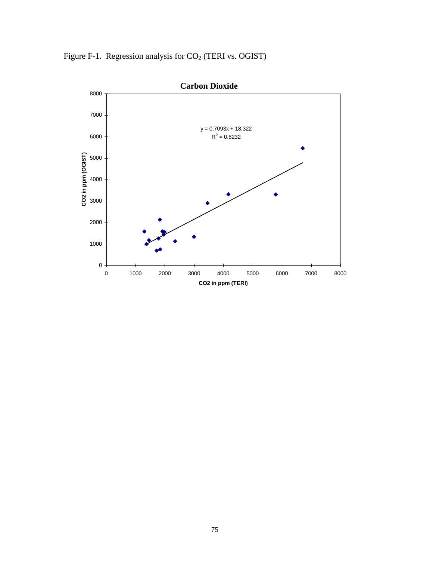Figure F-1. Regression analysis for  $CO<sub>2</sub>$  (TERI vs. OGIST)

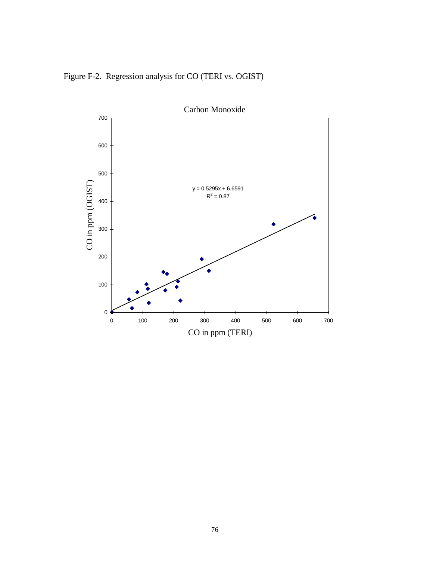Figure F-2. Regression analysis for CO (TERI vs. OGIST)

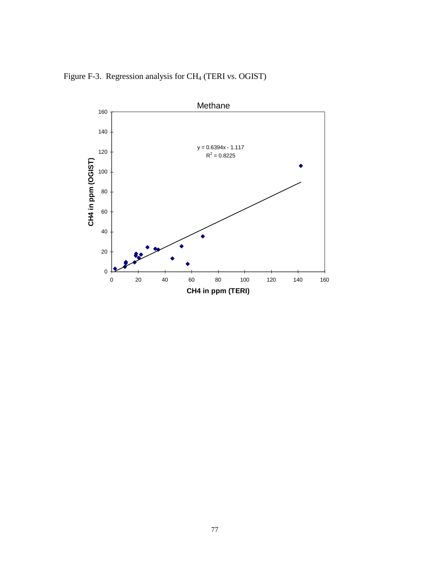Figure F-3. Regression analysis for CH4 (TERI vs. OGIST)

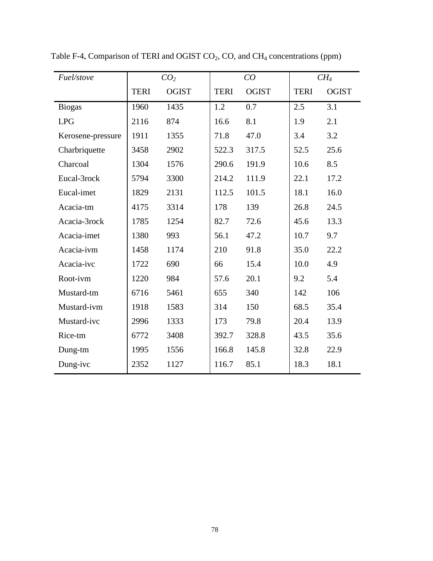| Fuel/stove        |             | CO <sub>2</sub> |             | CO           | CH <sub>4</sub> |              |  |
|-------------------|-------------|-----------------|-------------|--------------|-----------------|--------------|--|
|                   | <b>TERI</b> | <b>OGIST</b>    | <b>TERI</b> | <b>OGIST</b> | <b>TERI</b>     | <b>OGIST</b> |  |
| <b>Biogas</b>     | 1960        | 1435            | 1.2         | 0.7          | 2.5             | 3.1          |  |
| <b>LPG</b>        | 2116        | 874             | 16.6        | 8.1          | 1.9             | 2.1          |  |
| Kerosene-pressure | 1911        | 1355            | 71.8        | 47.0         | 3.4             | 3.2          |  |
| Charbriquette     | 3458        | 2902            | 522.3       | 317.5        | 52.5            | 25.6         |  |
| Charcoal          | 1304        | 1576            | 290.6       | 191.9        | 10.6            | 8.5          |  |
| Eucal-3rock       | 5794        | 3300            | 214.2       | 111.9        | 22.1            | 17.2         |  |
| Eucal-imet        | 1829        | 2131            | 112.5       | 101.5        | 18.1            | 16.0         |  |
| Acacia-tm         | 4175        | 3314            | 178         | 139          | 26.8            | 24.5         |  |
| Acacia-3rock      | 1785        | 1254            | 82.7        | 72.6         | 45.6            | 13.3         |  |
| Acacia-imet       | 1380        | 993             | 56.1        | 47.2         | 10.7            | 9.7          |  |
| Acacia-ivm        | 1458        | 1174            | 210         | 91.8         | 35.0            | 22.2         |  |
| Acacia-ivc        | 1722        | 690             | 66          | 15.4         | 10.0            | 4.9          |  |
| Root-ivm          | 1220        | 984             | 57.6        | 20.1         | 9.2             | 5.4          |  |
| Mustard-tm        | 6716        | 5461            | 655         | 340          | 142             | 106          |  |
| Mustard-ivm       | 1918        | 1583            | 314         | 150          | 68.5            | 35.4         |  |
| Mustard-ivc       | 2996        | 1333            | 173         | 79.8         | 20.4            | 13.9         |  |
| Rice-tm           | 6772        | 3408            | 392.7       | 328.8        | 43.5            | 35.6         |  |
| Dung-tm           | 1995        | 1556            | 166.8       | 145.8        | 32.8            | 22.9         |  |
| Dung-ivc          | 2352        | 1127            | 116.7       | 85.1         | 18.3            | 18.1         |  |

Table F-4<sub>**.**</sub> Comparison of TERI and OGIST CO<sub>2</sub>, CO, and CH<sub>4</sub> concentrations (ppm)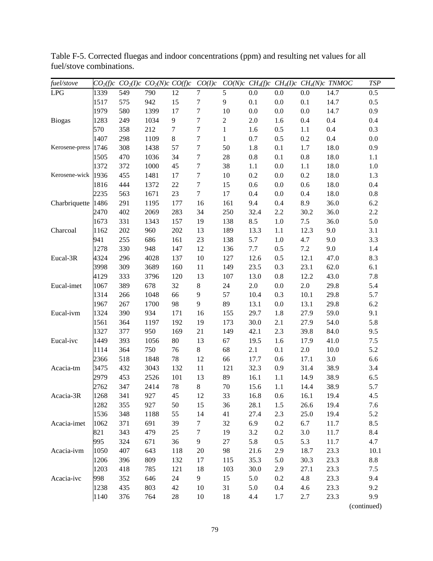| fuel/stove     |      |     | $CO2(f)c$ $CO2(I)c$ $CO2(N)c$ $CO(f)c$ |        | CO(I)c           |              |         |         |         | $CO(N)c$ CH <sub>4</sub> (f)c CH <sub>4</sub> (I)c CH <sub>4</sub> (N)c TNMOC | <b>TSP</b> |
|----------------|------|-----|----------------------------------------|--------|------------------|--------------|---------|---------|---------|-------------------------------------------------------------------------------|------------|
| LPG            | 1339 | 549 | 790                                    | 12     | $\overline{7}$   | 5            | 0.0     | 0.0     | 0.0     | 14.7                                                                          | 0.5        |
|                | 1517 | 575 | 942                                    | 15     | 7                | 9            | 0.1     | 0.0     | 0.1     | 14.7                                                                          | 0.5        |
|                | 1979 | 580 | 1399                                   | 17     | $\boldsymbol{7}$ | 10           | 0.0     | 0.0     | 0.0     | 14.7                                                                          | 0.9        |
| <b>Biogas</b>  | 1283 | 249 | 1034                                   | 9      | $\boldsymbol{7}$ | $\sqrt{2}$   | 2.0     | 1.6     | 0.4     | 0.4                                                                           | 0.4        |
|                | 570  | 358 | 212                                    | $\tau$ | $\boldsymbol{7}$ | $\mathbf{1}$ | 1.6     | 0.5     | 1.1     | 0.4                                                                           | 0.3        |
|                | 1407 | 298 | 1109                                   | $8\,$  | $\boldsymbol{7}$ | $\mathbf{1}$ | 0.7     | 0.5     | $0.2\,$ | 0.4                                                                           | 0.0        |
| Kerosene-press | 1746 | 308 | 1438                                   | 57     | $\boldsymbol{7}$ | 50           | 1.8     | 0.1     | $1.7\,$ | 18.0                                                                          | 0.9        |
|                | 1505 | 470 | 1036                                   | 34     | 7                | 28           | 0.8     | 0.1     | $0.8\,$ | 18.0                                                                          | 1.1        |
|                | 1372 | 372 | 1000                                   | 45     | $\boldsymbol{7}$ | 38           | 1.1     | 0.0     | $1.1\,$ | 18.0                                                                          | 1.0        |
| Kerosene-wick  | 1936 | 455 | 1481                                   | 17     | $\boldsymbol{7}$ | 10           | 0.2     | 0.0     | 0.2     | 18.0                                                                          | 1.3        |
|                | 1816 | 444 | 1372                                   | 22     | 7                | 15           | 0.6     | 0.0     | 0.6     | 18.0                                                                          | 0.4        |
|                | 2235 | 563 | 1671                                   | 23     | 7                | 17           | 0.4     | 0.0     | 0.4     | 18.0                                                                          | 0.8        |
| Charbriquette  | 1486 | 291 | 1195                                   | 177    | 16               | 161          | 9.4     | 0.4     | 8.9     | 36.0                                                                          | 6.2        |
|                | 2470 | 402 | 2069                                   | 283    | 34               | 250          | 32.4    | 2.2     | 30.2    | 36.0                                                                          | 2.2        |
|                | 1673 | 331 | 1343                                   | 157    | 19               | 138          | 8.5     | 1.0     | $7.5$   | 36.0                                                                          | 5.0        |
| Charcoal       | 1162 | 202 | 960                                    | 202    | 13               | 189          | 13.3    | 1.1     | 12.3    | 9.0                                                                           | 3.1        |
|                | 941  | 255 | 686                                    | 161    | 23               | 138          | 5.7     | 1.0     | 4.7     | 9.0                                                                           | 3.3        |
|                | 1278 | 330 | 948                                    | 147    | 12               | 136          | 7.7     | 0.5     | $7.2\,$ | 9.0                                                                           | 1.4        |
| Eucal-3R       | 4324 | 296 | 4028                                   | 137    | $10\,$           | 127          | 12.6    | 0.5     | 12.1    | 47.0                                                                          | 8.3        |
|                | 3998 | 309 | 3689                                   | 160    | 11               | 149          | 23.5    | 0.3     | 23.1    | 62.0                                                                          | 6.1        |
|                | 4129 | 333 | 3796                                   | 120    | 13               | 107          | 13.0    | 0.8     | 12.2    | 43.0                                                                          | 7.8        |
| Eucal-imet     | 1067 | 389 | 678                                    | 32     | 8                | 24           | $2.0\,$ | $0.0\,$ | $2.0\,$ | 29.8                                                                          | 5.4        |
|                | 1314 | 266 | 1048                                   | 66     | 9                | 57           | 10.4    | 0.3     | 10.1    | 29.8                                                                          | 5.7        |
|                | 1967 | 267 | 1700                                   | 98     | 9                | 89           | 13.1    | 0.0     | 13.1    | 29.8                                                                          | 6.2        |
| Eucal-ivm      | 1324 | 390 | 934                                    | 171    | 16               | 155          | 29.7    | 1.8     | 27.9    | 59.0                                                                          | 9.1        |
|                | 1561 | 364 | 1197                                   | 192    | 19               | 173          | 30.0    | 2.1     | 27.9    | 54.0                                                                          | 5.8        |
|                | 1327 | 377 | 950                                    | 169    | 21               | 149          | 42.1    | 2.3     | 39.8    | 84.0                                                                          | 9.5        |
| Eucal-ivc      | 1449 | 393 | 1056                                   | 80     | 13               | 67           | 19.5    | 1.6     | 17.9    | 41.0                                                                          | 7.5        |
|                | 1114 | 364 | 750                                    | 76     | 8                | 68           | 2.1     | 0.1     | $2.0\,$ | 10.0                                                                          | 5.2        |
|                | 2366 | 518 | 1848                                   | 78     | 12               | 66           | 17.7    | 0.6     | 17.1    | 3.0                                                                           | 6.6        |
| Acacia-tm      | 3475 | 432 | 3043                                   | 132    | 11               | 121          | 32.3    | 0.9     | 31.4    | 38.9                                                                          | 3.4        |
|                | 2979 | 453 | 2526                                   | 101    | 13               | 89           | 16.1    | 1.1     | 14.9    | 38.9                                                                          | 6.5        |
|                | 2762 | 347 | 2414                                   | $78\,$ | 8                | 70           | 15.6    | 1.1     | 14.4    | 38.9                                                                          | 5.7        |
| Acacia-3R      | 1268 | 341 | 927                                    | 45     | 12               | 33           | 16.8    | 0.6     | 16.1    | 19.4                                                                          | 4.5        |
|                | 1282 | 355 | 927                                    | 50     | 15               | 36           | 28.1    | 1.5     | 26.6    | 19.4                                                                          | 7.6        |
|                | 1536 | 348 | 1188                                   | 55     | 14               | 41           | 27.4    | 2.3     | 25.0    | 19.4                                                                          | 5.2        |
| Acacia-imet    | 1062 | 371 | 691                                    | 39     | $\tau$           | 32           | 6.9     | 0.2     | 6.7     | 11.7                                                                          | 8.5        |
|                | 821  | 343 | 479                                    | 25     | 7                | 19           | 3.2     | 0.2     | $3.0\,$ | 11.7                                                                          | 8.4        |
|                | 995  | 324 | 671                                    | 36     | $\overline{9}$   | 27           | 5.8     | 0.5     | 5.3     | 11.7                                                                          | 4.7        |
| Acacia-ivm     | 1050 | 407 | 643                                    | 118    | $20\,$           | 98           | 21.6    | 2.9     | 18.7    | 23.3                                                                          | 10.1       |
|                | 1206 | 396 | 809                                    | 132    | 17               | 115          | 35.3    | 5.0     | 30.3    | 23.3                                                                          | $8.8\,$    |
|                | 1203 | 418 | 785                                    | 121    | 18               | 103          | 30.0    | 2.9     | 27.1    | 23.3                                                                          | $7.5$      |
| Acacia-ivc     | 998  | 352 | 646                                    | 24     | 9                | 15           | 5.0     | 0.2     | 4.8     | 23.3                                                                          | 9.4        |
|                | 1238 | 435 | 803                                    | 42     | 10               | 31           | 5.0     | 0.4     | 4.6     | 23.3                                                                          | 9.2        |
|                | 1140 | 376 | 764                                    | $28\,$ | 10               | 18           | 4.4     | 1.7     | 2.7     | 23.3                                                                          | 9.9        |

Table F-5. Corrected fluegas and indoor concentrations (ppm) and resulting net values for all fuel/stove combinations.

(continued)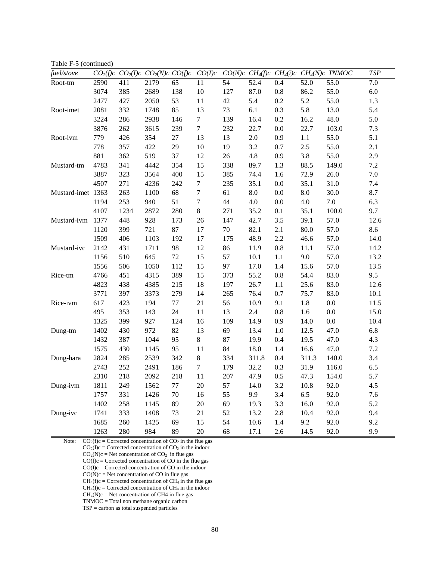Table F-5 (continued)

| fuel/stove   |      |      | $CO2(f)c$ $CO2(I)c$ $CO2(N)c$ $CO(f)c$ |        | CO(I)c           |        |            |         |         | $CO(N)c$ CH <sub>4</sub> (f)c CH <sub>4</sub> (i)c CH <sub>4</sub> (N)c TNMOC | $\ensuremath{\mathit{TSP}}$ |
|--------------|------|------|----------------------------------------|--------|------------------|--------|------------|---------|---------|-------------------------------------------------------------------------------|-----------------------------|
| Root-tm      | 2590 | 411  | 2179                                   | 65     | 11               | 54     | 52.4       | 0.4     | 52.0    | 55.0                                                                          | 7.0                         |
|              | 3074 | 385  | 2689                                   | 138    | 10               | 127    | 87.0       | $0.8\,$ | 86.2    | 55.0                                                                          | $6.0\,$                     |
|              | 2477 | 427  | 2050                                   | 53     | $11\,$           | 42     | 5.4        | $0.2\,$ | 5.2     | 55.0                                                                          | 1.3                         |
| Root-imet    | 2081 | 332  | 1748                                   | 85     | 13               | 73     | 6.1        | 0.3     | 5.8     | 13.0                                                                          | 5.4                         |
|              | 3224 | 286  | 2938                                   | 146    | $\boldsymbol{7}$ | 139    | 16.4       | 0.2     | 16.2    | 48.0                                                                          | 5.0                         |
|              | 3876 | 262  | 3615                                   | 239    | $\boldsymbol{7}$ | 232    | 22.7       | 0.0     | 22.7    | 103.0                                                                         | $7.3\,$                     |
| Root-ivm     | 779  | 426  | 354                                    | 27     | 13               | 13     | $2.0\,$    | 0.9     | $1.1\,$ | 55.0                                                                          | 5.1                         |
|              | 778  | 357  | 422                                    | 29     | 10               | 19     | 3.2        | 0.7     | 2.5     | 55.0                                                                          | 2.1                         |
|              | 881  | 362  | 519                                    | 37     | 12               | $26\,$ | $4.8\,$    | 0.9     | 3.8     | 55.0                                                                          | 2.9                         |
| Mustard-tm   | 4783 | 341  | 4442                                   | 354    | 15               | 338    | 89.7       | 1.3     | 88.5    | 149.0                                                                         | 7.2                         |
|              | 3887 | 323  | 3564                                   | 400    | 15               | 385    | 74.4       | 1.6     | 72.9    | 26.0                                                                          | $7.0\,$                     |
|              | 4507 | 271  | 4236                                   | 242    | $\boldsymbol{7}$ | 235    | 35.1       | $0.0\,$ | 35.1    | 31.0                                                                          | $7.4\,$                     |
| Mustard-imet | 1363 | 263  | 1100                                   | 68     | $\boldsymbol{7}$ | 61     | $\ \, 8.0$ | $0.0\,$ | 8.0     | 30.0                                                                          | 8.7                         |
|              | 1194 | 253  | 940                                    | 51     | $\boldsymbol{7}$ | 44     | 4.0        | $0.0\,$ | 4.0     | 7.0                                                                           | 6.3                         |
|              | 4107 | 1234 | 2872                                   | 280    | $\,8\,$          | 271    | 35.2       | 0.1     | 35.1    | 100.0                                                                         | 9.7                         |
| Mustard-ivm  | 1377 | 448  | 928                                    | 173    | $26\,$           | 147    | 42.7       | 3.5     | 39.1    | 57.0                                                                          | 12.6                        |
|              | 1120 | 399  | 721                                    | 87     | $17\,$           | 70     | 82.1       | 2.1     | 80.0    | 57.0                                                                          | 8.6                         |
|              | 1509 | 406  | 1103                                   | 192    | 17               | 175    | 48.9       | 2.2     | 46.6    | 57.0                                                                          | 14.0                        |
| Mustard-ivc  | 2142 | 431  | 1711                                   | 98     | 12               | 86     | 11.9       | $0.8\,$ | 11.1    | 57.0                                                                          | 14.2                        |
|              | 1156 | 510  | 645                                    | 72     | 15               | 57     | 10.1       | 1.1     | 9.0     | 57.0                                                                          | 13.2                        |
|              | 1556 | 506  | 1050                                   | 112    | 15               | 97     | 17.0       | 1.4     | 15.6    | 57.0                                                                          | 13.5                        |
| Rice-tm      | 4766 | 451  | 4315                                   | 389    | 15               | 373    | 55.2       | $0.8\,$ | 54.4    | 83.0                                                                          | 9.5                         |
|              | 4823 | 438  | 4385                                   | 215    | 18               | 197    | 26.7       | $1.1\,$ | 25.6    | 83.0                                                                          | 12.6                        |
|              | 3771 | 397  | 3373                                   | 279    | 14               | 265    | 76.4       | 0.7     | 75.7    | 83.0                                                                          | 10.1                        |
| Rice-ivm     | 617  | 423  | 194                                    | 77     | $21\,$           | 56     | 10.9       | 9.1     | 1.8     | $0.0\,$                                                                       | 11.5                        |
|              | 495  | 353  | 143                                    | 24     | 11               | 13     | 2.4        | $0.8\,$ | 1.6     | $0.0\,$                                                                       | 15.0                        |
|              | 1325 | 399  | 927                                    | 124    | 16               | 109    | 14.9       | 0.9     | 14.0    | 0.0                                                                           | 10.4                        |
| Dung-tm      | 1402 | 430  | 972                                    | 82     | 13               | 69     | 13.4       | $1.0\,$ | 12.5    | 47.0                                                                          | 6.8                         |
|              | 1432 | 387  | 1044                                   | 95     | $8\,$            | 87     | 19.9       | 0.4     | 19.5    | 47.0                                                                          | 4.3                         |
|              | 1575 | 430  | 1145                                   | 95     | 11               | 84     | 18.0       | 1.4     | 16.6    | 47.0                                                                          | $7.2\,$                     |
| Dung-hara    | 2824 | 285  | 2539                                   | 342    | $\,8\,$          | 334    | 311.8      | 0.4     | 311.3   | 140.0                                                                         | 3.4                         |
|              | 2743 | 252  | 2491                                   | 186    | $\tau$           | 179    | 32.2       | 0.3     | 31.9    | 116.0                                                                         | 6.5                         |
|              | 2310 | 218  | 2092                                   | 218    | $11\,$           | 207    | 47.9       | 0.5     | 47.3    | 154.0                                                                         | 5.7                         |
| Dung-ivm     | 1811 | 249  | 1562                                   | $77\,$ | 20               | 57     | 14.0       | 3.2     | 10.8    | 92.0                                                                          | 4.5                         |
|              | 1757 | 331  | 1426                                   | 70     | 16               | 55     | 9.9        | 3.4     | 6.5     | 92.0                                                                          | 7.6                         |
|              | 1402 | 258  | 1145                                   | 89     | $20\,$           | 69     | 19.3       | 3.3     | 16.0    | 92.0                                                                          | 5.2                         |
| Dung-ivc     | 1741 | 333  | 1408                                   | 73     | $21\,$           | 52     | 13.2       | 2.8     | 10.4    | 92.0                                                                          | 9.4                         |
|              | 1685 | 260  | 1425                                   | 69     | 15               | 54     | 10.6       | 1.4     | 9.2     | 92.0                                                                          | 9.2                         |
|              | 1263 | 280  | 984                                    | 89     | 20               | 68     | 17.1       | 2.6     | 14.5    | 92.0                                                                          | 9.9                         |

Note:  $CO_2(f)c =$ Corrected concentration of  $CO_2$  in the flue gas

 $CO<sub>2</sub>(I)c = Corrected concentration of CO<sub>2</sub> in the indoor$ 

 $CO<sub>2</sub>(N)c = Net concentration of CO<sub>2</sub> in flue gas$ 

 $CO(f)c =$  Corrected concentration of CO in the flue gas

 $CO(I)c = Corrected concentration of CO in the indoor$ 

 $CO(N)c = Net concentration of CO in flue gas$  $CH<sub>4</sub>(f)c = Corrected concentration of CH<sub>4</sub> in the flue gas$ 

 $CH<sub>4</sub>(I)c = Corrected concentration of CH<sub>4</sub> in the indoor$ 

 $CH<sub>4</sub>(N)c = Net concentration of CH4 in flue gas$ 

TNMOC = Total non methane organic carbon

TSP = carbon as total suspended particles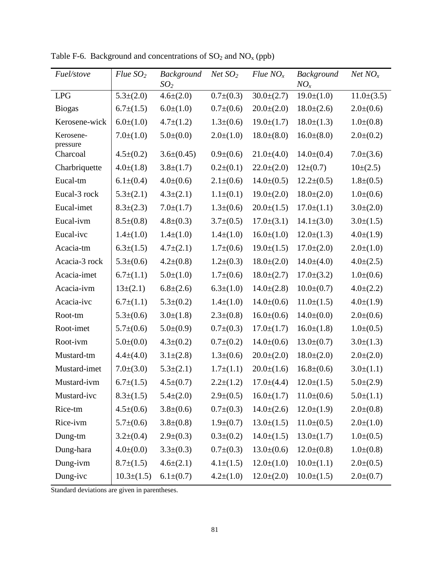| <i>Fuel/stove</i>     | $Flue$ $SO2$     | <b>Background</b><br>SO <sub>2</sub> | $Net$ $SO2$     | Flue NO <sub>x</sub> | <b>Background</b><br>$NO_x$ | $Net\,NO_x$     |
|-----------------------|------------------|--------------------------------------|-----------------|----------------------|-----------------------------|-----------------|
| <b>LPG</b>            | $5.3\pm(2.0)$    | $4.6 \pm (2.0)$                      | $0.7\pm(0.3)$   | $30.0 \pm (2.7)$     | $19.0\pm(1.0)$              | $11.0\pm(3.5)$  |
| <b>Biogas</b>         | $6.7 \pm (1.5)$  | $6.0\pm(1.0)$                        | $0.7\pm(0.6)$   | $20.0\pm(2.0)$       | $18.0 \pm (2.6)$            | $2.0\pm(0.6)$   |
| Kerosene-wick         | $6.0\pm(1.0)$    | $4.7 \pm (1.2)$                      | $1.3\pm(0.6)$   | $19.0\pm(1.7)$       | $18.0 \pm (1.3)$            | $1.0\pm(0.8)$   |
| Kerosene-<br>pressure | $7.0 \pm (1.0)$  | $5.0\pm(0.0)$                        | $2.0\pm(1.0)$   | $18.0\pm(8.0)$       | $16.0\pm(8.0)$              | $2.0\pm(0.2)$   |
| Charcoal              | $4.5 \pm (0.2)$  | $3.6\pm(0.45)$                       | $0.9\pm(0.6)$   | $21.0\pm(4.0)$       | $14.0\pm(0.4)$              | $7.0\pm(3.6)$   |
| Charbriquette         | $4.0 \pm (1.8)$  | $3.8 \pm (1.7)$                      | $0.2\pm(0.1)$   | $22.0\pm(2.0)$       | $12\pm(0.7)$                | $10\pm(2.5)$    |
| Eucal-tm              | $6.1 \pm (0.4)$  | $4.0 \pm (0.6)$                      | $2.1 \pm (0.6)$ | $14.0\pm(0.5)$       | $12.2 \pm (0.5)$            | $1.8 \pm (0.5)$ |
| Eucal-3 rock          | $5.3\pm(2.1)$    | $4.3 \pm (2.1)$                      | $1.1\pm(0.1)$   | $19.0\pm(2.0)$       | $18.0\pm(2.0)$              | $1.0\pm(0.6)$   |
| Eucal-imet            | $8.3 \pm (2.3)$  | $7.0 \pm (1.7)$                      | $1.3\pm(0.6)$   | $20.0 \pm (1.5)$     | $17.0 \pm (1.1)$            | $3.0\pm(2.0)$   |
| Eucal-ivm             | $8.5\pm(0.8)$    | $4.8 \pm (0.3)$                      | $3.7\pm(0.5)$   | $17.0\pm(3.1)$       | $14.1\pm(3.0)$              | $3.0\pm(1.5)$   |
| Eucal-ivc             | $1.4\pm(1.0)$    | $1.4\pm(1.0)$                        | $1.4\pm(1.0)$   | $16.0\pm(1.0)$       | $12.0\pm(1.3)$              | $4.0\pm(1.9)$   |
| Acacia-tm             | $6.3 \pm (1.5)$  | $4.7 \pm (2.1)$                      | $1.7\pm(0.6)$   | $19.0 \pm (1.5)$     | $17.0\pm(2.0)$              | $2.0\pm(1.0)$   |
| Acacia-3 rock         | $5.3\pm(0.6)$    | $4.2 \pm (0.8)$                      | $1.2\pm(0.3)$   | $18.0\pm(2.0)$       | $14.0\pm(4.0)$              | $4.0 \pm (2.5)$ |
| Acacia-imet           | $6.7 \pm (1.1)$  | $5.0\pm(1.0)$                        | $1.7\pm(0.6)$   | $18.0 \pm (2.7)$     | $17.0\pm(3.2)$              | $1.0\pm(0.6)$   |
| Acacia-ivm            | $13\pm(2.1)$     | $6.8 \pm (2.6)$                      | $6.3\pm(1.0)$   | $14.0\pm(2.8)$       | $10.0\pm(0.7)$              | $4.0 \pm (2.2)$ |
| Acacia-ivc            | $6.7 \pm (1.1)$  | $5.3\pm(0.2)$                        | $1.4\pm(1.0)$   | $14.0\pm(0.6)$       | $11.0\pm(1.5)$              | $4.0 \pm (1.9)$ |
| Root-tm               | $5.3\pm(0.6)$    | $3.0\pm(1.8)$                        | $2.3\pm(0.8)$   | $16.0\pm(0.6)$       | $14.0\pm(0.0)$              | $2.0\pm(0.6)$   |
| Root-imet             | $5.7\pm(0.6)$    | $5.0\pm(0.9)$                        | $0.7\pm(0.3)$   | $17.0 \pm (1.7)$     | $16.0\pm(1.8)$              | $1.0\pm(0.5)$   |
| Root-ivm              | $5.0\pm(0.0)$    | $4.3 \pm (0.2)$                      | $0.7 \pm (0.2)$ | $14.0\pm(0.6)$       | $13.0\pm(0.7)$              | $3.0 \pm (1.3)$ |
| Mustard-tm            | $4.4 \pm (4.0)$  | $3.1 \pm (2.8)$                      | $1.3\pm(0.6)$   | $20.0\pm(2.0)$       | $18.0 \pm (2.0)$            | $2.0\pm(2.0)$   |
| Mustard-imet          | $7.0\pm(3.0)$    | $5.3\pm(2.1)$                        | $1.7\pm(1.1)$   | $20.0\pm(1.6)$       | $16.8 \pm (0.6)$            | $3.0\pm(1.1)$   |
| Mustard-ivm           | $6.7 \pm (1.5)$  | $4.5 \pm (0.7)$                      | $2.2\pm(1.2)$   | $17.0 \pm (4.4)$     | $12.0\pm(1.5)$              | $5.0\pm(2.9)$   |
| Mustard-ivc           | $8.3 \pm (1.5)$  | $5.4 \pm (2.0)$                      | $2.9 \pm (0.5)$ | $16.0\pm(1.7)$       | $11.0\pm(0.6)$              | $5.0\pm(1.1)$   |
| Rice-tm               | $4.5 \pm (0.6)$  | $3.8 \pm (0.6)$                      | $0.7\pm(0.3)$   | $14.0 \pm (2.6)$     | $12.0 \pm (1.9)$            | $2.0\pm(0.8)$   |
| Rice-ivm              | $5.7\pm(0.6)$    | $3.8 \pm (0.8)$                      | $1.9\pm(0.7)$   | $13.0 \pm (1.5)$     | $11.0\pm(0.5)$              | $2.0\pm(1.0)$   |
| Dung-tm               | $3.2\pm(0.4)$    | $2.9 \pm (0.3)$                      | $0.3\pm(0.2)$   | $14.0\pm(1.5)$       | $13.0 \pm (1.7)$            | $1.0\pm(0.5)$   |
| Dung-hara             | $4.0 \pm (0.0)$  | $3.3\pm(0.3)$                        | $0.7\pm(0.3)$   | $13.0\pm(0.6)$       | $12.0\pm(0.8)$              | $1.0\pm(0.8)$   |
| Dung-ivm              | $8.7 \pm (1.5)$  | $4.6 \pm (2.1)$                      | $4.1 \pm (1.5)$ | $12.0\pm(1.0)$       | $10.0\pm(1.1)$              | $2.0\pm(0.5)$   |
| Dung-ivc              | $10.3 \pm (1.5)$ | $6.1 \pm (0.7)$                      | $4.2\pm(1.0)$   | $12.0\pm(2.0)$       | $10.0\pm(1.5)$              | $2.0\pm(0.7)$   |

Table F-6. Background and concentrations of  $SO_2$  and  $NO_x$  (ppb)

Standard deviations are given in parentheses.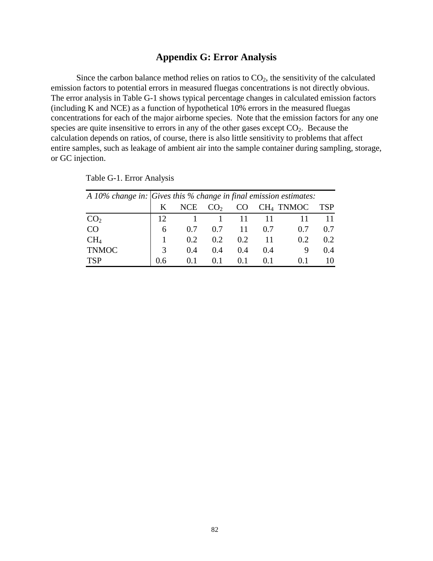## **Appendix G: Error Analysis**

Since the carbon balance method relies on ratios to  $CO<sub>2</sub>$ , the sensitivity of the calculated emission factors to potential errors in measured fluegas concentrations is not directly obvious. The error analysis in Table G-1 shows typical percentage changes in calculated emission factors (including K and NCE) as a function of hypothetical 10% errors in the measured fluegas concentrations for each of the major airborne species. Note that the emission factors for any one species are quite insensitive to errors in any of the other gases except  $CO<sub>2</sub>$ . Because the calculation depends on ratios, of course, there is also little sensitivity to problems that affect entire samples, such as leakage of ambient air into the sample container during sampling, storage, or GC injection.

|                 |               | A 10% change in: $Gives this % change in final emission estimates:$ |                 |     |     |             |            |  |  |  |  |  |  |
|-----------------|---------------|---------------------------------------------------------------------|-----------------|-----|-----|-------------|------------|--|--|--|--|--|--|
|                 | K             | <b>NCE</b>                                                          | CO <sub>2</sub> | CO  |     | $CH4$ TNMOC | <b>TSP</b> |  |  |  |  |  |  |
| CO <sub>2</sub> |               |                                                                     |                 |     |     |             |            |  |  |  |  |  |  |
| <b>CO</b>       | 6             | 0.7                                                                 | 0.7             | -11 | 0.7 | 0.7         | 0.7        |  |  |  |  |  |  |
| CH <sub>4</sub> |               | 0.2                                                                 | 0.2             | 0.2 |     | 0.2         | 0.2        |  |  |  |  |  |  |
| <b>TNMOC</b>    | $\mathcal{R}$ | 0.4                                                                 | 0.4             | 0.4 | 0.4 | 9           | 0.4        |  |  |  |  |  |  |
| <b>TSP</b>      |               | 0.1                                                                 | 0.1             |     |     |             |            |  |  |  |  |  |  |

Table G-1. Error Analysis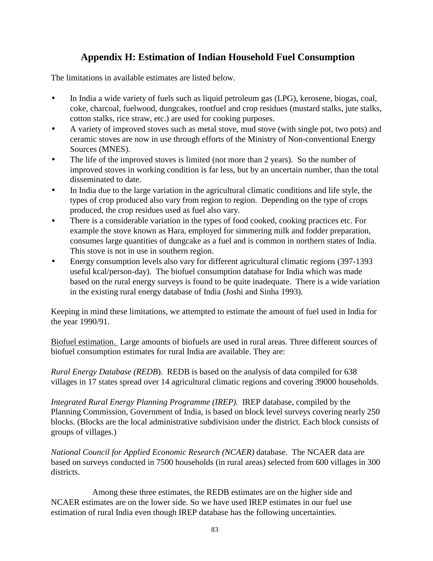# **Appendix H: Estimation of Indian Household Fuel Consumption**

The limitations in available estimates are listed below.

- In India a wide variety of fuels such as liquid petroleum gas (LPG), kerosene, biogas, coal, coke, charcoal, fuelwood, dungcakes, rootfuel and crop residues (mustard stalks, jute stalks, cotton stalks, rice straw, etc.) are used for cooking purposes.
- A variety of improved stoves such as metal stove, mud stove (with single pot, two pots) and ceramic stoves are now in use through efforts of the Ministry of Non-conventional Energy Sources (MNES).
- The life of the improved stoves is limited (not more than 2 years). So the number of improved stoves in working condition is far less, but by an uncertain number, than the total disseminated to date.
- In India due to the large variation in the agricultural climatic conditions and life style, the types of crop produced also vary from region to region. Depending on the type of crops produced, the crop residues used as fuel also vary.
- There is a considerable variation in the types of food cooked, cooking practices etc. For example the stove known as Hara, employed for simmering milk and fodder preparation, consumes large quantities of dungcake as a fuel and is common in northern states of India. This stove is not in use in southern region.
- Energy consumption levels also vary for different agricultural climatic regions (397-1393) useful kcal/person-day). The biofuel consumption database for India which was made based on the rural energy surveys is found to be quite inadequate. There is a wide variation in the existing rural energy database of India (Joshi and Sinha 1993).

Keeping in mind these limitations, we attempted to estimate the amount of fuel used in India for the year 1990/91.

Biofuel estimation. Large amounts of biofuels are used in rural areas. Three different sources of biofuel consumption estimates for rural India are available. They are:

*Rural Energy Database (REDB*). REDB is based on the analysis of data compiled for 638 villages in 17 states spread over 14 agricultural climatic regions and covering 39000 households.

*Integrated Rural Energy Planning Programme (IREP).* IREP database, compiled by the Planning Commission, Government of India, is based on block level surveys covering nearly 250 blocks. (Blocks are the local administrative subdivision under the district. Each block consists of groups of villages.)

*National Council for Applied Economic Research (NCAER)* database. The NCAER data are based on surveys conducted in 7500 households (in rural areas) selected from 600 villages in 300 districts.

Among these three estimates, the REDB estimates are on the higher side and NCAER estimates are on the lower side. So we have used IREP estimates in our fuel use estimation of rural India even though IREP database has the following uncertainties.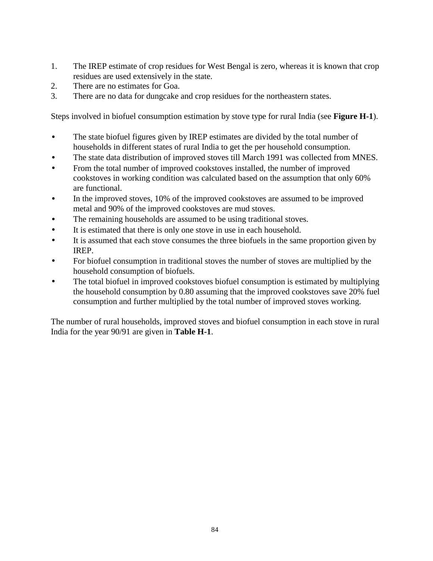- 1. The IREP estimate of crop residues for West Bengal is zero, whereas it is known that crop residues are used extensively in the state.
- 2. There are no estimates for Goa.
- 3. There are no data for dungcake and crop residues for the northeastern states.

Steps involved in biofuel consumption estimation by stove type for rural India (see **Figure H-1**).

- The state biofuel figures given by IREP estimates are divided by the total number of households in different states of rural India to get the per household consumption.
- The state data distribution of improved stoves till March 1991 was collected from MNES.
- From the total number of improved cookstoves installed, the number of improved cookstoves in working condition was calculated based on the assumption that only 60% are functional.
- In the improved stoves, 10% of the improved cookstoves are assumed to be improved metal and 90% of the improved cookstoves are mud stoves.
- The remaining households are assumed to be using traditional stoves.
- It is estimated that there is only one stove in use in each household.
- It is assumed that each stove consumes the three biofuels in the same proportion given by IREP.
- For biofuel consumption in traditional stoves the number of stoves are multiplied by the household consumption of biofuels.
- The total biofuel in improved cookstoves biofuel consumption is estimated by multiplying the household consumption by 0.80 assuming that the improved cookstoves save 20% fuel consumption and further multiplied by the total number of improved stoves working.

The number of rural households, improved stoves and biofuel consumption in each stove in rural India for the year 90/91 are given in **Table H-1**.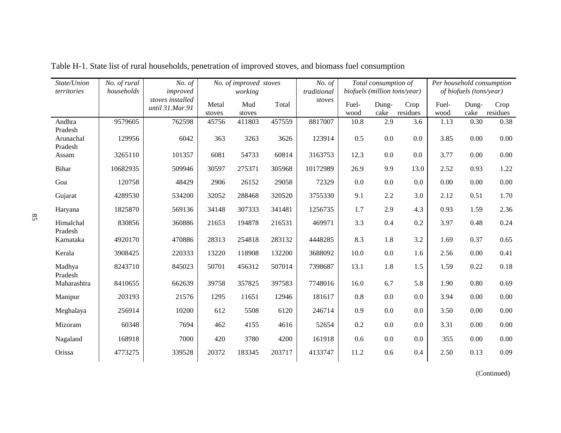| State/Union<br>territories      | No. of rural<br>households | No. of<br>improved                  | No. of improved stoves<br>working |               |        | No. of<br>traditional |               | Total consumption of | biofuels (million tons/year) | Per household consumption<br>of biofuels (tons/year) |               |                  |
|---------------------------------|----------------------------|-------------------------------------|-----------------------------------|---------------|--------|-----------------------|---------------|----------------------|------------------------------|------------------------------------------------------|---------------|------------------|
|                                 |                            | stoves installed<br>until 31.Mar.91 | Metal<br>stoves                   | Mud<br>stoves | Total  | $\emph{stoves}$       | Fuel-<br>wood | Dung-<br>cake        | Crop<br>residues             | Fuel-<br>wood                                        | Dung-<br>cake | Crop<br>residues |
| Andhra                          | 9579605                    | 762598                              | 45756                             | 411803        | 457559 | 8817007               | 10.8          | 2.9                  | 3.6                          | 1.13                                                 | 0.30          | 0.38             |
| Pradesh<br>Arunachal<br>Pradesh | 129956                     | 6042                                | 363                               | 3263          | 3626   | 123914                | 0.5           | 0.0                  | 0.0                          | 3.85                                                 | 0.00          | 0.00             |
| Assam                           | 3265110                    | 101357                              | 6081                              | 54733         | 60814  | 3163753               | 12.3          | 0.0                  | 0.0                          | 3.77                                                 | 0.00          | 0.00             |
| <b>Bihar</b>                    | 10682935                   | 509946                              | 30597                             | 275371        | 305968 | 10172989              | 26.9          | 9.9                  | 13.0                         | 2.52                                                 | 0.93          | 1.22             |
| Goa                             | 120758                     | 48429                               | 2906                              | 26152         | 29058  | 72329                 | 0.0           | 0.0                  | 0.0                          | 0.00                                                 | 0.00          | 0.00             |
| Gujarat                         | 4289530                    | 534200                              | 32052                             | 288468        | 320520 | 3755330               | 9.1           | 2.2                  | 3.0                          | 2.12                                                 | 0.51          | 1.70             |
| Haryana                         | 1825870                    | 569136                              | 34148                             | 307333        | 341481 | 1256735               | 1.7           | 2.9                  | 4.3                          | 0.93                                                 | 1.59          | 2.36             |
| Himalchal<br>Pradesh            | 830856                     | 360886                              | 21653                             | 194878        | 216531 | 469971                | 3.3           | 0.4                  | 0.2                          | 3.97                                                 | 0.48          | 0.24             |
| Karnataka                       | 4920170                    | 470886                              | 28313                             | 254818        | 283132 | 4448285               | 8.3           | 1.8                  | 3.2                          | 1.69                                                 | 0.37          | 0.65             |
| Kerala                          | 3908425                    | 220333                              | 13220                             | 118908        | 132200 | 3688092               | 10.0          | 0.0                  | 1.6                          | 2.56                                                 | 0.00          | 0.41             |
| Madhya<br>Pradesh               | 8243710                    | 845023                              | 50701                             | 456312        | 507014 | 7398687               | 13.1          | 1.8                  | 1.5                          | 1.59                                                 | 0.22          | 0.18             |
| Maharashtra                     | 8410655                    | 662639                              | 39758                             | 357825        | 397583 | 7748016               | 16.0          | 6.7                  | 5.8                          | 1.90                                                 | 0.80          | 0.69             |
| Manipur                         | 203193                     | 21576                               | 1295                              | 11651         | 12946  | 181617                | 0.8           | 0.0                  | 0.0                          | 3.94                                                 | 0.00          | 0.00             |
| Meghalaya                       | 256914                     | 10200                               | 612                               | 5508          | 6120   | 246714                | 0.9           | 0.0                  | 0.0                          | 3.50                                                 | 0.00          | 0.00             |
| Mizoram                         | 60348                      | 7694                                | 462                               | 4155          | 4616   | 52654                 | 0.2           | 0.0                  | 0.0                          | 3.31                                                 | 0.00          | 0.00             |
| Nagaland                        | 168918                     | 7000                                | 420                               | 3780          | 4200   | 161918                | 0.6           | 0.0                  | 0.0                          | 355                                                  | 0.00          | 0.00             |
| Orissa                          | 4773275                    | 339528                              | 20372                             | 183345        | 203717 | 4133747               | 11.2          | 0.6                  | 0.4                          | 2.50                                                 | 0.13          | 0.09             |

Table H-1. State list of rural households, penetration of improved stoves, and biomass fuel consumption

(Continued)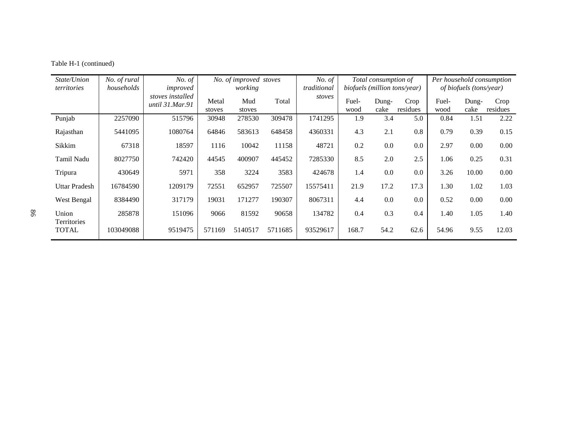| State/Union<br>territories  | No. of rural<br>households | No. of<br>improved                  | No. of improved stoves<br>working |               | No. of<br>traditional | Total consumption of<br>biofuels (million tons/year) |               |               | Per household consumption<br>of biofuels (tons/year) |               |               |                  |
|-----------------------------|----------------------------|-------------------------------------|-----------------------------------|---------------|-----------------------|------------------------------------------------------|---------------|---------------|------------------------------------------------------|---------------|---------------|------------------|
|                             |                            | stoves installed<br>until 31.Mar.91 | Metal<br>stoves                   | Mud<br>stoves | Total                 | stoves                                               | Fuel-<br>wood | Dung-<br>cake | Crop<br>residues                                     | Fuel-<br>wood | Dung-<br>cake | Crop<br>residues |
| Punjab                      | 2257090                    | 515796                              | 30948                             | 278530        | 309478                | 1741295                                              | 1.9           | 3.4           | 5.0                                                  | 0.84          | 1.51          | 2.22             |
| Rajasthan                   | 5441095                    | 1080764                             | 64846                             | 583613        | 648458                | 4360331                                              | 4.3           | 2.1           | 0.8                                                  | 0.79          | 0.39          | 0.15             |
| Sikkim                      | 67318                      | 18597                               | 1116                              | 10042         | 11158                 | 48721                                                | 0.2           | 0.0           | 0.0                                                  | 2.97          | 0.00          | 0.00             |
| Tamil Nadu                  | 8027750                    | 742420                              | 44545                             | 400907        | 445452                | 7285330                                              | 8.5           | 2.0           | 2.5                                                  | 1.06          | 0.25          | 0.31             |
| Tripura                     | 430649                     | 5971                                | 358                               | 3224          | 3583                  | 424678                                               | 1.4           | 0.0           | 0.0                                                  | 3.26          | 10.00         | 0.00             |
| <b>Uttar Pradesh</b>        | 16784590                   | 1209179                             | 72551                             | 652957        | 725507                | 15575411                                             | 21.9          | 17.2          | 17.3                                                 | 1.30          | 1.02          | 1.03             |
| West Bengal                 | 8384490                    | 317179                              | 19031                             | 171277        | 190307                | 8067311                                              | 4.4           | 0.0           | 0.0                                                  | 0.52          | 0.00          | 0.00             |
| Union                       | 285878                     | 151096                              | 9066                              | 81592         | 90658                 | 134782                                               | 0.4           | 0.3           | 0.4                                                  | 1.40          | 1.05          | 1.40             |
| Territories<br><b>TOTAL</b> | 103049088                  | 9519475                             | 571169                            | 5140517       | 5711685               | 93529617                                             | 168.7         | 54.2          | 62.6                                                 | 54.96         | 9.55          | 12.03            |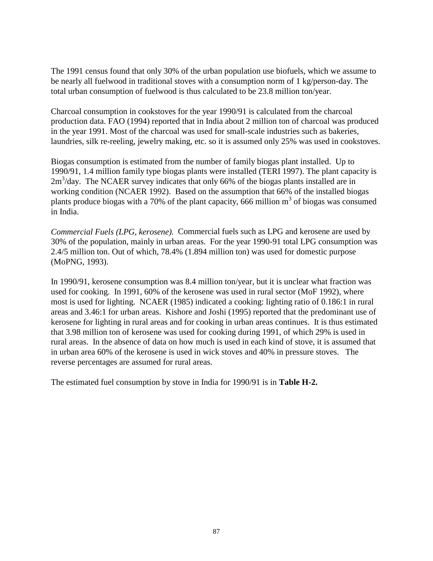The 1991 census found that only 30% of the urban population use biofuels, which we assume to be nearly all fuelwood in traditional stoves with a consumption norm of 1 kg/person-day. The total urban consumption of fuelwood is thus calculated to be 23.8 million ton/year.

Charcoal consumption in cookstoves for the year 1990/91 is calculated from the charcoal production data. FAO (1994) reported that in India about 2 million ton of charcoal was produced in the year 1991. Most of the charcoal was used for small-scale industries such as bakeries, laundries, silk re-reeling, jewelry making, etc. so it is assumed only 25% was used in cookstoves.

Biogas consumption is estimated from the number of family biogas plant installed. Up to 1990/91, 1.4 million family type biogas plants were installed (TERI 1997). The plant capacity is  $2m<sup>3</sup>/day$ . The NCAER survey indicates that only 66% of the biogas plants installed are in working condition (NCAER 1992). Based on the assumption that 66% of the installed biogas plants produce biogas with a 70% of the plant capacity, 666 million  $m<sup>3</sup>$  of biogas was consumed in India.

*Commercial Fuels (LPG, kerosene).* Commercial fuels such as LPG and kerosene are used by 30% of the population, mainly in urban areas. For the year 1990-91 total LPG consumption was 2.4/5 million ton. Out of which, 78.4% (1.894 million ton) was used for domestic purpose (MoPNG, 1993).

In 1990/91, kerosene consumption was 8.4 million ton/year, but it is unclear what fraction was used for cooking. In 1991, 60% of the kerosene was used in rural sector (MoF 1992), where most is used for lighting. NCAER (1985) indicated a cooking: lighting ratio of 0.186:1 in rural areas and 3.46:1 for urban areas. Kishore and Joshi (1995) reported that the predominant use of kerosene for lighting in rural areas and for cooking in urban areas continues. It is thus estimated that 3.98 million ton of kerosene was used for cooking during 1991, of which 29% is used in rural areas. In the absence of data on how much is used in each kind of stove, it is assumed that in urban area 60% of the kerosene is used in wick stoves and 40% in pressure stoves. The reverse percentages are assumed for rural areas.

The estimated fuel consumption by stove in India for 1990/91 is in **Table H-2.**